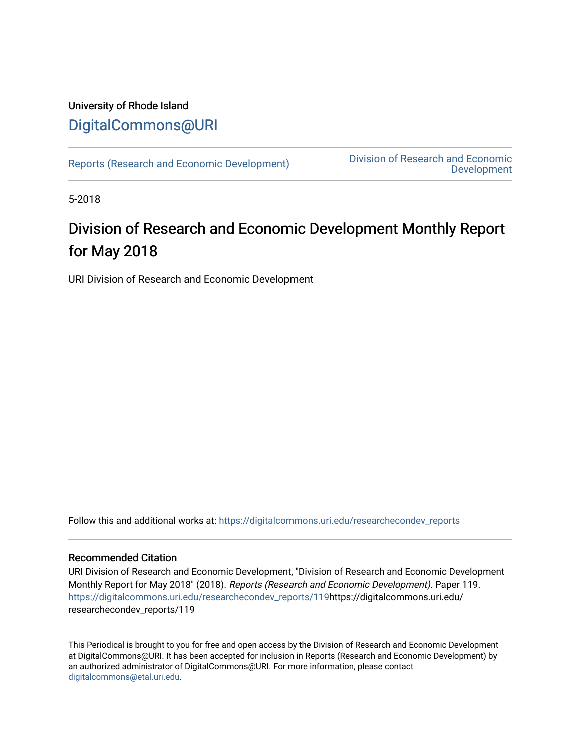### University of Rhode Island [DigitalCommons@URI](https://digitalcommons.uri.edu/)

[Reports \(Research and Economic Development\)](https://digitalcommons.uri.edu/researchecondev_reports) Division of Research and Economic [Development](https://digitalcommons.uri.edu/researchecondev) 

5-2018

### Division of Research and Economic Development Monthly Report for May 2018

URI Division of Research and Economic Development

Follow this and additional works at: [https://digitalcommons.uri.edu/researchecondev\\_reports](https://digitalcommons.uri.edu/researchecondev_reports?utm_source=digitalcommons.uri.edu%2Fresearchecondev_reports%2F119&utm_medium=PDF&utm_campaign=PDFCoverPages) 

#### Recommended Citation

URI Division of Research and Economic Development, "Division of Research and Economic Development Monthly Report for May 2018" (2018). Reports (Research and Economic Development). Paper 119. [https://digitalcommons.uri.edu/researchecondev\\_reports/119](https://digitalcommons.uri.edu/researchecondev_reports/119?utm_source=digitalcommons.uri.edu%2Fresearchecondev_reports%2F119&utm_medium=PDF&utm_campaign=PDFCoverPages)https://digitalcommons.uri.edu/ researchecondev\_reports/119

This Periodical is brought to you for free and open access by the Division of Research and Economic Development at DigitalCommons@URI. It has been accepted for inclusion in Reports (Research and Economic Development) by an authorized administrator of DigitalCommons@URI. For more information, please contact [digitalcommons@etal.uri.edu](mailto:digitalcommons@etal.uri.edu).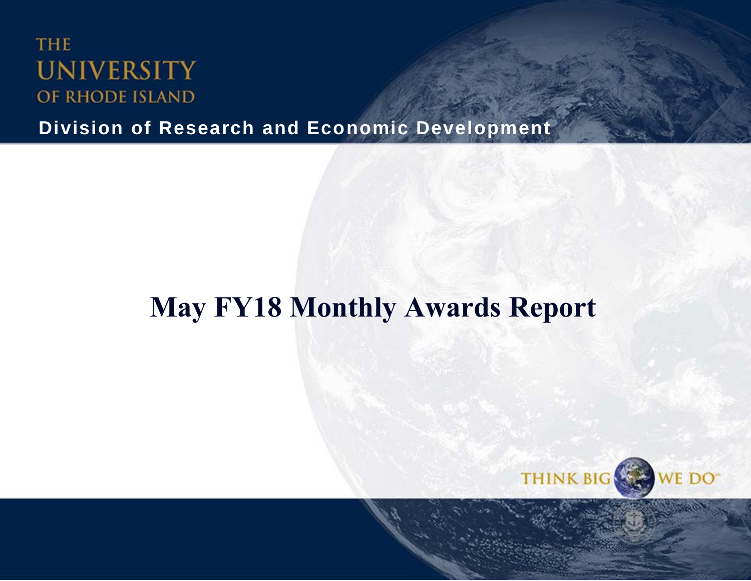## **THE UNIVERSITY** OF RHODE ISLAND

**Division of Research and Economic Development**

# **May FY18 Monthly Awards Report**

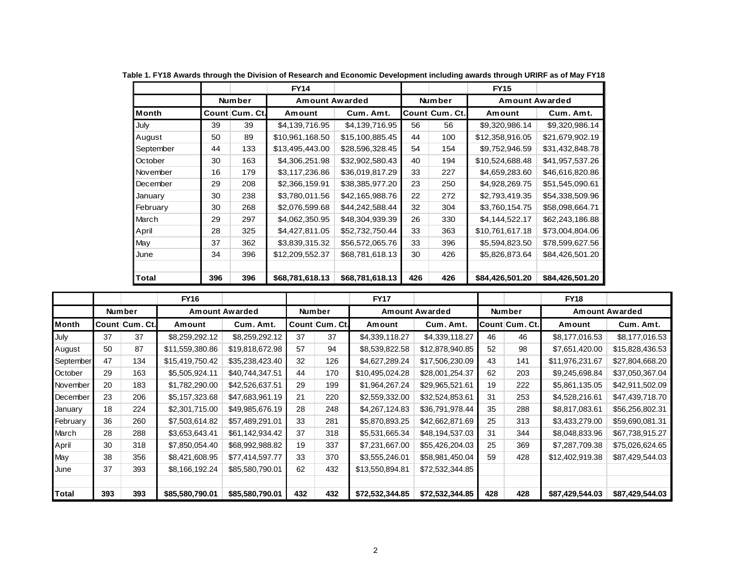|              |     |                | <b>FY14</b>     |                 |     |                | <b>FY15</b>           |                 |
|--------------|-----|----------------|-----------------|-----------------|-----|----------------|-----------------------|-----------------|
|              |     | <b>Number</b>  | Amount Awarded  |                 |     | <b>Number</b>  | <b>Amount Awarded</b> |                 |
| <b>Month</b> |     | Count Cum. Ct. | Amount          | Cum. Amt.       |     | Count Cum. Ct. | Amount                | Cum. Amt.       |
| July         | 39  | 39             | \$4,139,716.95  | \$4,139,716.95  | 56  | 56             | \$9,320,986.14        | \$9,320,986.14  |
| August       | 50  | 89             | \$10,961,168.50 | \$15,100,885.45 | 44  | 100            | \$12,358,916.05       | \$21,679,902.19 |
| September    | 44  | 133            | \$13,495,443.00 | \$28,596,328.45 | 54  | 154            | \$9,752,946.59        | \$31,432,848.78 |
| October      | 30  | 163            | \$4,306,251.98  | \$32,902,580.43 | 40  | 194            | \$10,524,688.48       | \$41,957,537.26 |
| November     | 16  | 179            | \$3,117,236.86  | \$36,019,817.29 | 33  | 227            | \$4,659,283.60        | \$46,616,820.86 |
| December     | 29  | 208            | \$2,366,159.91  | \$38,385,977.20 | 23  | 250            | \$4,928,269.75        | \$51,545,090.61 |
| January      | 30  | 238            | \$3,780,011.56  | \$42,165,988.76 | 22  | 272            | \$2,793,419.35        | \$54,338,509.96 |
| February     | 30  | 268            | \$2,076,599.68  | \$44,242,588.44 | 32  | 304            | \$3,760,154.75        | \$58,098,664.71 |
| March        | 29  | 297            | \$4,062,350.95  | \$48,304,939.39 | 26  | 330            | \$4,144,522.17        | \$62,243,186.88 |
| April        | 28  | 325            | \$4,427,811.05  | \$52,732,750.44 | 33  | 363            | \$10,761,617.18       | \$73,004,804.06 |
| May          | 37  | 362            | \$3,839,315.32  | \$56,572,065.76 | 33  | 396            | \$5,594,823.50        | \$78,599,627.56 |
| June         | 34  | 396            | \$12,209,552.37 | \$68,781,618.13 | 30  | 426            | \$5,826,873.64        | \$84,426,501.20 |
|              |     |                |                 |                 |     |                |                       |                 |
| Total        | 396 | 396            | \$68,781,618.13 | \$68,781,618.13 | 426 | 426            | \$84,426,501.20       | \$84,426,501.20 |

**Table 1. FY18 Awards through the Division of Research and Economic Development including awards through URIRF as of May FY18**

|           |     |                | <b>FY16</b>     |                 |     |                | <b>FY17</b>     |                       |     |                | <b>FY18</b>     |                       |
|-----------|-----|----------------|-----------------|-----------------|-----|----------------|-----------------|-----------------------|-----|----------------|-----------------|-----------------------|
|           |     | <b>Number</b>  |                 | Amount Awarded  |     | <b>Number</b>  |                 | <b>Amount Awarded</b> |     | <b>Number</b>  |                 | <b>Amount Awarded</b> |
| Month     |     | Count Cum. Ct. | Amount          | Cum. Amt.       |     | Count Cum. Ct. | Amount          | Cum. Amt.             |     | Count Cum. Ct. | Amount          | Cum. Amt.             |
| July      | 37  | 37             | \$8,259,292.12  | \$8,259,292.12  | 37  | 37             | \$4,339,118.27  | \$4,339,118.27        | 46  | 46             | \$8,177,016.53  | \$8,177,016.53        |
| August    | 50  | 87             | \$11,559,380.86 | \$19,818,672.98 | 57  | 94             | \$8,539,822.58  | \$12,878,940.85       | 52  | 98             | \$7,651,420.00  | \$15,828,436.53       |
| September | 47  | 134            | \$15,419,750.42 | \$35,238,423.40 | 32  | 126            | \$4,627,289.24  | \$17,506,230.09       | 43  | 141            | \$11,976,231.67 | \$27,804,668.20       |
| October   | 29  | 163            | \$5,505,924.11  | \$40,744,347.51 | 44  | 170            | \$10,495,024.28 | \$28,001,254.37       | 62  | 203            | \$9,245,698.84  | \$37,050,367.04       |
| November  | 20  | 183            | \$1,782,290.00  | \$42,526,637.51 | 29  | 199            | \$1,964,267.24  | \$29,965,521.61       | 19  | 222            | \$5,861,135.05  | \$42,911,502.09       |
| December  | 23  | 206            | \$5,157,323.68  | \$47,683,961.19 | 21  | 220            | \$2,559,332.00  | \$32,524,853.61       | 31  | 253            | \$4,528,216.61  | \$47,439,718.70       |
| January   | 18  | 224            | \$2,301,715.00  | \$49,985,676.19 | 28  | 248            | \$4,267,124.83  | \$36,791,978.44       | 35  | 288            | \$8,817,083.61  | \$56,256,802.31       |
| February  | 36  | 260            | \$7,503,614.82  | \$57,489,291.01 | 33  | 281            | \$5,870,893.25  | \$42,662,871.69       | 25  | 313            | \$3,433,279.00  | \$59,690,081.31       |
| March     | 28  | 288            | \$3,653,643.41  | \$61,142,934.42 | 37  | 318            | \$5,531,665.34  | \$48,194,537.03       | 31  | 344            | \$8,048,833.96  | \$67,738,915.27       |
| April     | 30  | 318            | \$7,850,054.40  | \$68,992,988.82 | 19  | 337            | \$7,231,667.00  | \$55,426,204.03       | 25  | 369            | \$7,287,709.38  | \$75,026,624.65       |
| May       | 38  | 356            | \$8,421,608.95  | \$77,414,597.77 | 33  | 370            | \$3,555,246.01  | \$58,981,450.04       | 59  | 428            | \$12,402,919.38 | \$87,429,544.03       |
| June      | 37  | 393            | \$8,166,192.24  | \$85,580,790.01 | 62  | 432            | \$13,550,894.81 | \$72,532,344.85       |     |                |                 |                       |
|           |     |                |                 |                 |     |                |                 |                       |     |                |                 |                       |
| Total     | 393 | 393            | \$85,580,790.01 | \$85,580,790.01 | 432 | 432            | \$72,532,344.85 | \$72,532,344.85       | 428 | 428            | \$87,429,544.03 | \$87,429,544.03       |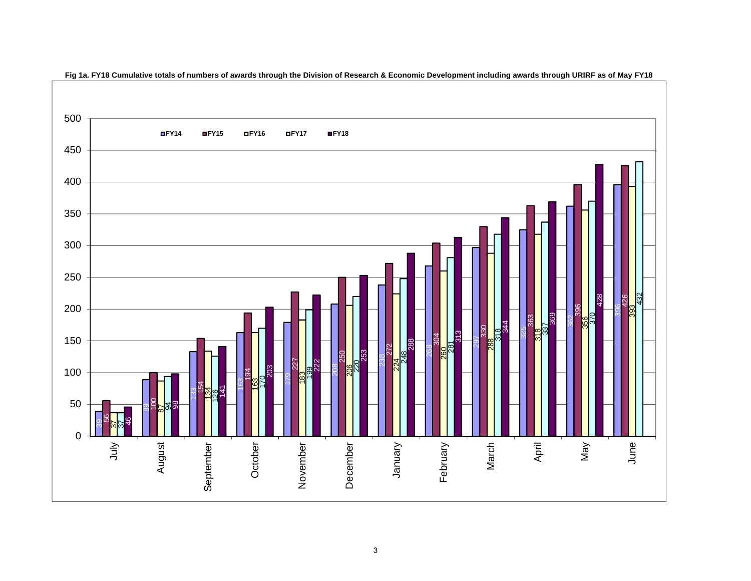

 **Fig 1a. FY18 Cumulative totals of numbers of awards through the Division of Research & Economic Development including awards through URIRF as of May FY18**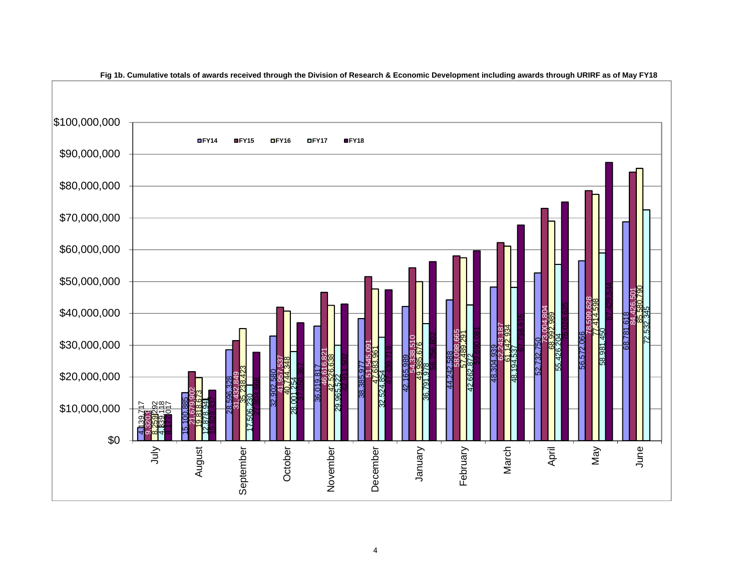

**Fig 1b. Cumulative totals of awards received through the Division of Research & Economic Development including awards through URIRF as of May FY18**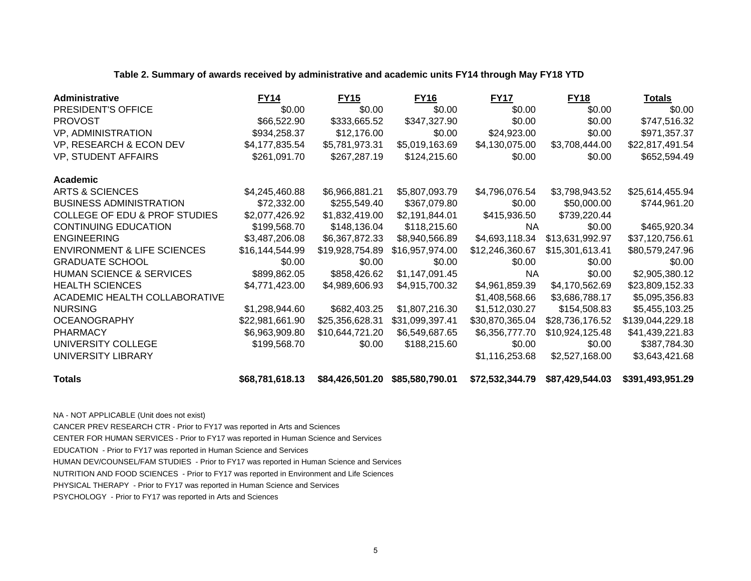|  | Table 2. Summary of awards received by administrative and academic units FY14 through May FY18 YTD |  |
|--|----------------------------------------------------------------------------------------------------|--|
|  |                                                                                                    |  |

| Administrative                           | <b>FY14</b>     | <b>FY15</b>     | <b>FY16</b>         | <b>FY17</b>     | <b>FY18</b>     | <u>Totals</u>                                                                                                                                                                                                                                                                                                       |
|------------------------------------------|-----------------|-----------------|---------------------|-----------------|-----------------|---------------------------------------------------------------------------------------------------------------------------------------------------------------------------------------------------------------------------------------------------------------------------------------------------------------------|
| PRESIDENT'S OFFICE                       | \$0.00          | \$0.00          | \$0.00              | \$0.00          | \$0.00          | \$0.00                                                                                                                                                                                                                                                                                                              |
| <b>PROVOST</b>                           | \$66,522.90     | \$333,665.52    | \$347,327.90        | \$0.00          | \$0.00          | \$747,516.32                                                                                                                                                                                                                                                                                                        |
| VP, ADMINISTRATION                       | \$934,258.37    | \$12,176.00     | \$0.00              | \$24,923.00     | \$0.00          | \$971,357.37                                                                                                                                                                                                                                                                                                        |
| VP, RESEARCH & ECON DEV                  | \$4,177,835.54  | \$5,781,973.31  | \$5,019,163.69      | \$4,130,075.00  | \$3,708,444.00  | \$22,817,491.54                                                                                                                                                                                                                                                                                                     |
| <b>VP, STUDENT AFFAIRS</b>               | \$261,091.70    | \$267,287.19    | \$124,215.60        | \$0.00          | \$0.00          | \$652,594.49                                                                                                                                                                                                                                                                                                        |
| <b>Academic</b>                          |                 |                 |                     |                 |                 |                                                                                                                                                                                                                                                                                                                     |
| ARTS & SCIENCES                          | \$4,245,460.88  | \$6,966,881.21  | \$5,807,093.79      | \$4,796,076.54  | \$3,798,943.52  | \$25,614,455.94                                                                                                                                                                                                                                                                                                     |
| <b>BUSINESS ADMINISTRATION</b>           | \$72,332.00     | \$255,549.40    | \$367,079.80        | \$0.00          | \$50,000.00     | \$744,961.20                                                                                                                                                                                                                                                                                                        |
| <b>COLLEGE OF EDU &amp; PROF STUDIES</b> | \$2,077,426.92  | \$1,832,419.00  | \$2,191,844.01      | \$415,936.50    | \$739,220.44    |                                                                                                                                                                                                                                                                                                                     |
| <b>CONTINUING EDUCATION</b>              | \$199,568.70    | \$148,136.04    | \$118,215.60        | <b>NA</b>       | \$0.00          | \$465,920.34                                                                                                                                                                                                                                                                                                        |
| <b>ENGINEERING</b>                       | \$3,487,206.08  | \$6,367,872.33  | \$8,940,566.89      | \$4,693,118.34  | \$13,631,992.97 | \$37,120,756.61                                                                                                                                                                                                                                                                                                     |
| <b>ENVIRONMENT &amp; LIFE SCIENCES</b>   | \$16,144,544.99 | \$19,928,754.89 | \$16,957,974.00     | \$12,246,360.67 | \$15,301,613.41 | \$80,579,247.96                                                                                                                                                                                                                                                                                                     |
| <b>GRADUATE SCHOOL</b>                   | \$0.00          | \$0.00          | \$0.00              | \$0.00          | \$0.00          | \$0.00                                                                                                                                                                                                                                                                                                              |
| <b>HUMAN SCIENCE &amp; SERVICES</b>      | \$899,862.05    | \$858,426.62    | \$1,147,091.45      | <b>NA</b>       | \$0.00          | \$2,905,380.12                                                                                                                                                                                                                                                                                                      |
| <b>HEALTH SCIENCES</b>                   | \$4,771,423.00  | \$4,989,606.93  | \$4,915,700.32      | \$4,961,859.39  | \$4,170,562.69  | \$23,809,152.33                                                                                                                                                                                                                                                                                                     |
| ACADEMIC HEALTH COLLABORATIVE            |                 |                 |                     | \$1,408,568.66  | \$3,686,788.17  | \$5,095,356.83                                                                                                                                                                                                                                                                                                      |
| <b>NURSING</b>                           | \$1,298,944.60  | \$682,403.25    | \$1,807,216.30      | \$1,512,030.27  | \$154,508.83    | \$5,455,103.25                                                                                                                                                                                                                                                                                                      |
| <b>OCEANOGRAPHY</b>                      | \$22,981,661.90 | \$25,356,628.31 | \$31,099,397.41     | \$30,870,365.04 | \$28,736,176.52 | \$139,044,229.18                                                                                                                                                                                                                                                                                                    |
| <b>PHARMACY</b>                          | \$6,963,909.80  | \$10,644,721.20 | \$6,549,687.65      | \$6,356,777.70  | \$10,924,125.48 | \$41,439,221.83                                                                                                                                                                                                                                                                                                     |
| UNIVERSITY COLLEGE                       | \$199,568.70    | \$0.00          | \$188,215.60        | \$0.00          | \$0.00          | \$387,784.30                                                                                                                                                                                                                                                                                                        |
| UNIVERSITY LIBRARY                       |                 |                 |                     | \$1,116,253.68  | \$2,527,168.00  | \$3,643,421.68                                                                                                                                                                                                                                                                                                      |
| -                                        |                 |                 | - ^^= =^^ =^^ ^ ^ ' |                 |                 | $\frac{1}{2}$ $\frac{1}{2}$ $\frac{1}{2}$ $\frac{1}{2}$ $\frac{1}{2}$ $\frac{1}{2}$ $\frac{1}{2}$ $\frac{1}{2}$ $\frac{1}{2}$ $\frac{1}{2}$ $\frac{1}{2}$ $\frac{1}{2}$ $\frac{1}{2}$ $\frac{1}{2}$ $\frac{1}{2}$ $\frac{1}{2}$ $\frac{1}{2}$ $\frac{1}{2}$ $\frac{1}{2}$ $\frac{1}{2}$ $\frac{1}{2}$ $\frac{1}{2}$ |

**Totals**

**\$68,781,618.13 \$84,426,501.20 \$85,580,790.01 \$72,532,344.79 \$87,429,544.03 \$391,493,951.29**

NA - NOT APPLICABLE (Unit does not exist)

CANCER PREV RESEARCH CTR - Prior to FY17 was reported in Arts and Sciences

CENTER FOR HUMAN SERVICES - Prior to FY17 was reported in Human Science and Services

EDUCATION - Prior to FY17 was reported in Human Science and Services

HUMAN DEV/COUNSEL/FAM STUDIES - Prior to FY17 was reported in Human Science and Services

NUTRITION AND FOOD SCIENCES - Prior to FY17 was reported in Environment and Life Sciences

PHYSICAL THERAPY - Prior to FY17 was reported in Human Science and Services

PSYCHOLOGY - Prior to FY17 was reported in Arts and Sciences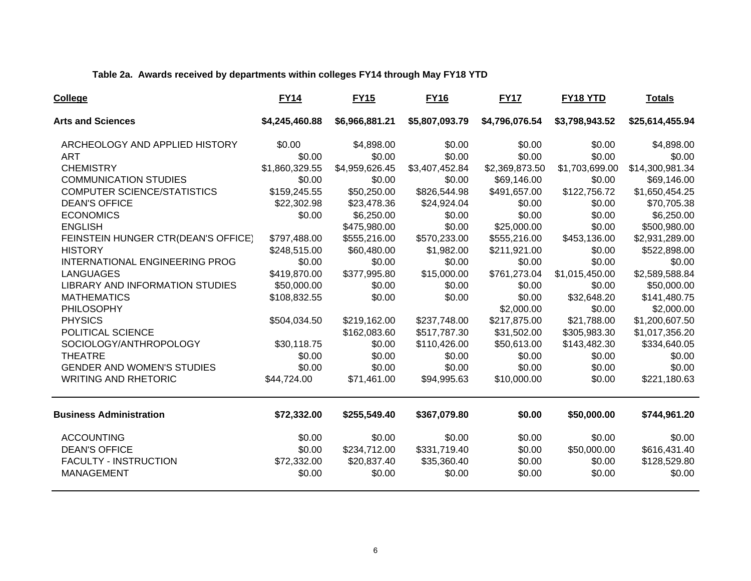#### **Table 2a. Awards received by departments within colleges FY14 through May FY18 YTD**

| <b>College</b>                         | <b>FY14</b>    | <b>FY15</b>    | <b>FY16</b>    | <b>FY17</b>    | FY18 YTD       | Totals          |
|----------------------------------------|----------------|----------------|----------------|----------------|----------------|-----------------|
| <b>Arts and Sciences</b>               | \$4,245,460.88 | \$6,966,881.21 | \$5,807,093.79 | \$4,796,076.54 | \$3,798,943.52 | \$25,614,455.94 |
| ARCHEOLOGY AND APPLIED HISTORY         | \$0.00         | \$4,898.00     | \$0.00         | \$0.00         | \$0.00         | \$4,898.00      |
| <b>ART</b>                             | \$0.00         | \$0.00         | \$0.00         | \$0.00         | \$0.00         | \$0.00          |
| <b>CHEMISTRY</b>                       | \$1,860,329.55 | \$4,959,626.45 | \$3,407,452.84 | \$2,369,873.50 | \$1,703,699.00 | \$14,300,981.34 |
| <b>COMMUNICATION STUDIES</b>           | \$0.00         | \$0.00         | \$0.00         | \$69,146.00    | \$0.00         | \$69,146.00     |
| <b>COMPUTER SCIENCE/STATISTICS</b>     | \$159,245.55   | \$50,250.00    | \$826,544.98   | \$491,657.00   | \$122,756.72   | \$1,650,454.25  |
| <b>DEAN'S OFFICE</b>                   | \$22,302.98    | \$23,478.36    | \$24,924.04    | \$0.00         | \$0.00         | \$70,705.38     |
| <b>ECONOMICS</b>                       | \$0.00         | \$6,250.00     | \$0.00         | \$0.00         | \$0.00         | \$6,250.00      |
| <b>ENGLISH</b>                         |                | \$475,980.00   | \$0.00         | \$25,000.00    | \$0.00         | \$500,980.00    |
| FEINSTEIN HUNGER CTR(DEAN'S OFFICE)    | \$797,488.00   | \$555,216.00   | \$570,233.00   | \$555,216.00   | \$453,136.00   | \$2,931,289.00  |
| <b>HISTORY</b>                         | \$248,515.00   | \$60,480.00    | \$1,982.00     | \$211,921.00   | \$0.00         | \$522,898.00    |
| <b>INTERNATIONAL ENGINEERING PROG</b>  | \$0.00         | \$0.00         | \$0.00         | \$0.00         | \$0.00         | \$0.00          |
| <b>LANGUAGES</b>                       | \$419,870.00   | \$377,995.80   | \$15,000.00    | \$761,273.04   | \$1,015,450.00 | \$2,589,588.84  |
| <b>LIBRARY AND INFORMATION STUDIES</b> | \$50,000.00    | \$0.00         | \$0.00         | \$0.00         | \$0.00         | \$50,000.00     |
| <b>MATHEMATICS</b>                     | \$108,832.55   | \$0.00         | \$0.00         | \$0.00         | \$32,648.20    | \$141,480.75    |
| PHILOSOPHY                             |                |                |                | \$2,000.00     | \$0.00         | \$2,000.00      |
| <b>PHYSICS</b>                         | \$504,034.50   | \$219,162.00   | \$237,748.00   | \$217,875.00   | \$21,788.00    | \$1,200,607.50  |
| POLITICAL SCIENCE                      |                | \$162,083.60   | \$517,787.30   | \$31,502.00    | \$305,983.30   | \$1,017,356.20  |
| SOCIOLOGY/ANTHROPOLOGY                 | \$30,118.75    | \$0.00         | \$110,426.00   | \$50,613.00    | \$143,482.30   | \$334,640.05    |
| <b>THEATRE</b>                         | \$0.00         | \$0.00         | \$0.00         | \$0.00         | \$0.00         | \$0.00          |
| <b>GENDER AND WOMEN'S STUDIES</b>      | \$0.00         | \$0.00         | \$0.00         | \$0.00         | \$0.00         | \$0.00          |
| <b>WRITING AND RHETORIC</b>            | \$44,724.00    | \$71,461.00    | \$94,995.63    | \$10,000.00    | \$0.00         | \$221,180.63    |
| <b>Business Administration</b>         | \$72,332.00    | \$255,549.40   | \$367,079.80   | \$0.00         | \$50,000.00    | \$744,961.20    |
| <b>ACCOUNTING</b>                      | \$0.00         | \$0.00         | \$0.00         | \$0.00         | \$0.00         | \$0.00          |
| <b>DEAN'S OFFICE</b>                   | \$0.00         | \$234,712.00   | \$331,719.40   | \$0.00         | \$50,000.00    | \$616,431.40    |
| <b>FACULTY - INSTRUCTION</b>           | \$72,332.00    | \$20,837.40    | \$35,360.40    | \$0.00         | \$0.00         | \$128,529.80    |
| <b>MANAGEMENT</b>                      | \$0.00         | \$0.00         | \$0.00         | \$0.00         | \$0.00         | \$0.00          |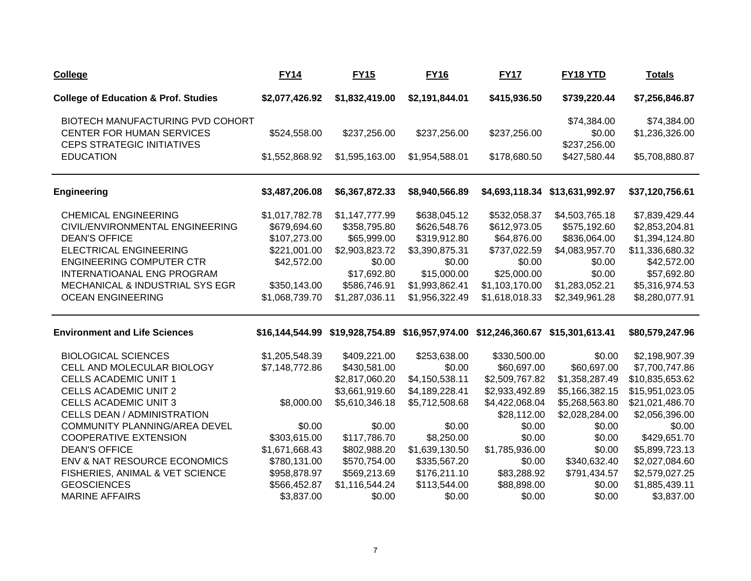| <b>College</b>                                        | <b>FY14</b>    | <b>FY15</b>    | <b>FY16</b>    | <b>FY17</b>                                                                                 | <b>FY18 YTD</b>                | <u>Totals</u>   |
|-------------------------------------------------------|----------------|----------------|----------------|---------------------------------------------------------------------------------------------|--------------------------------|-----------------|
| <b>College of Education &amp; Prof. Studies</b>       | \$2,077,426.92 | \$1,832,419.00 | \$2,191,844.01 | \$415,936.50                                                                                | \$739,220.44                   | \$7,256,846.87  |
| BIOTECH MANUFACTURING PVD COHORT                      |                |                |                |                                                                                             | \$74,384.00                    | \$74,384.00     |
| CENTER FOR HUMAN SERVICES                             | \$524,558.00   | \$237,256.00   | \$237,256.00   | \$237,256.00                                                                                | \$0.00                         | \$1,236,326.00  |
| <b>CEPS STRATEGIC INITIATIVES</b><br><b>EDUCATION</b> | \$1,552,868.92 | \$1,595,163.00 | \$1,954,588.01 | \$178,680.50                                                                                | \$237,256.00<br>\$427,580.44   | \$5,708,880.87  |
| <b>Engineering</b>                                    | \$3,487,206.08 | \$6,367,872.33 | \$8,940,566.89 |                                                                                             | \$4,693,118.34 \$13,631,992.97 | \$37,120,756.61 |
| <b>CHEMICAL ENGINEERING</b>                           | \$1,017,782.78 | \$1,147,777.99 | \$638,045.12   | \$532,058.37                                                                                | \$4,503,765.18                 | \$7,839,429.44  |
| CIVIL/ENVIRONMENTAL ENGINEERING                       | \$679,694.60   | \$358,795.80   | \$626,548.76   | \$612,973.05                                                                                | \$575,192.60                   | \$2,853,204.81  |
| <b>DEAN'S OFFICE</b>                                  | \$107,273.00   | \$65,999.00    | \$319,912.80   | \$64,876.00                                                                                 | \$836,064.00                   | \$1,394,124.80  |
| <b>ELECTRICAL ENGINEERING</b>                         | \$221,001.00   | \$2,903,823.72 | \$3,390,875.31 | \$737,022.59                                                                                | \$4,083,957.70                 | \$11,336,680.32 |
| <b>ENGINEERING COMPUTER CTR</b>                       | \$42,572.00    | \$0.00         | \$0.00         | \$0.00                                                                                      | \$0.00                         | \$42,572.00     |
| INTERNATIOANAL ENG PROGRAM                            |                | \$17,692.80    | \$15,000.00    | \$25,000.00                                                                                 | \$0.00                         | \$57,692.80     |
| MECHANICAL & INDUSTRIAL SYS EGR                       | \$350,143.00   | \$586,746.91   | \$1,993,862.41 | \$1,103,170.00                                                                              | \$1,283,052.21                 | \$5,316,974.53  |
| <b>OCEAN ENGINEERING</b>                              | \$1,068,739.70 | \$1,287,036.11 | \$1,956,322.49 | \$1,618,018.33                                                                              | \$2,349,961.28                 | \$8,280,077.91  |
| <b>Environment and Life Sciences</b>                  |                |                |                | \$16,144,544.99    \$19,928,754.89    \$16,957,974.00    \$12,246,360.67    \$15,301,613.41 |                                | \$80,579,247.96 |
| <b>BIOLOGICAL SCIENCES</b>                            | \$1,205,548.39 | \$409,221.00   | \$253,638.00   | \$330,500.00                                                                                | \$0.00                         | \$2,198,907.39  |
| CELL AND MOLECULAR BIOLOGY                            | \$7,148,772.86 | \$430,581.00   | \$0.00         | \$60,697.00                                                                                 | \$60,697.00                    | \$7,700,747.86  |
| <b>CELLS ACADEMIC UNIT 1</b>                          |                | \$2,817,060.20 | \$4,150,538.11 | \$2,509,767.82                                                                              | \$1,358,287.49                 | \$10,835,653.62 |
| <b>CELLS ACADEMIC UNIT 2</b>                          |                | \$3,661,919.60 | \$4,189,228.41 | \$2,933,492.89                                                                              | \$5,166,382.15                 | \$15,951,023.05 |
| <b>CELLS ACADEMIC UNIT 3</b>                          | \$8,000.00     | \$5,610,346.18 | \$5,712,508.68 | \$4,422,068.04                                                                              | \$5,268,563.80                 | \$21,021,486.70 |
| <b>CELLS DEAN / ADMINISTRATION</b>                    |                |                |                | \$28,112.00                                                                                 | \$2,028,284.00                 | \$2,056,396.00  |
| <b>COMMUNITY PLANNING/AREA DEVEL</b>                  | \$0.00         | \$0.00         | \$0.00         | \$0.00                                                                                      | \$0.00                         | \$0.00          |
| <b>COOPERATIVE EXTENSION</b>                          | \$303,615.00   | \$117,786.70   | \$8,250.00     | \$0.00                                                                                      | \$0.00                         | \$429,651.70    |
| <b>DEAN'S OFFICE</b>                                  | \$1,671,668.43 | \$802,988.20   | \$1,639,130.50 | \$1,785,936.00                                                                              | \$0.00                         | \$5,899,723.13  |
| ENV & NAT RESOURCE ECONOMICS                          | \$780,131.00   | \$570,754.00   | \$335,567.20   | \$0.00                                                                                      | \$340,632.40                   | \$2,027,084.60  |
| FISHERIES, ANIMAL & VET SCIENCE                       | \$958,878.97   | \$569,213.69   | \$176,211.10   | \$83,288.92                                                                                 | \$791,434.57                   | \$2,579,027.25  |
| <b>GEOSCIENCES</b>                                    | \$566,452.87   | \$1,116,544.24 | \$113,544.00   | \$88,898.00                                                                                 | \$0.00                         | \$1,885,439.11  |
| <b>MARINE AFFAIRS</b>                                 | \$3,837.00     | \$0.00         | \$0.00         | \$0.00                                                                                      | \$0.00                         | \$3,837.00      |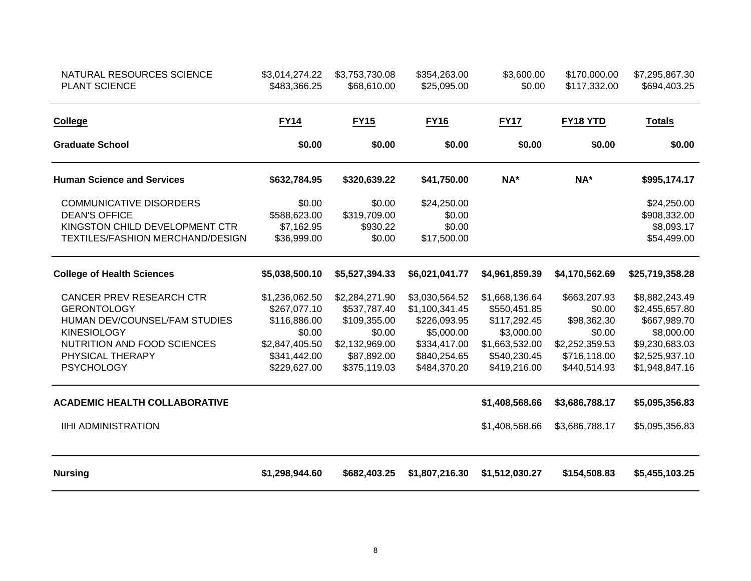| NATURAL RESOURCES SCIENCE<br><b>PLANT SCIENCE</b> | \$3,014,274.22<br>\$483,366.25 | \$3,753,730.08<br>\$68,610.00 | \$354,263.00<br>\$25,095.00 | \$3,600.00<br>\$0.00 | \$170,000.00<br>\$117,332.00 | \$7,295,867.30<br>\$694,403.25 |
|---------------------------------------------------|--------------------------------|-------------------------------|-----------------------------|----------------------|------------------------------|--------------------------------|
| College                                           | <b>FY14</b>                    | <b>FY15</b>                   | <b>FY16</b>                 | <b>FY17</b>          | FY18 YTD                     | <b>Totals</b>                  |
| <b>Graduate School</b>                            | \$0.00                         | \$0.00                        | \$0.00                      | \$0.00               | \$0.00                       | \$0.00                         |
| <b>Human Science and Services</b>                 | \$632,784.95                   | \$320,639.22                  | \$41,750.00                 | NA*                  | NA*                          | \$995,174.17                   |
| <b>COMMUNICATIVE DISORDERS</b>                    | \$0.00                         | \$0.00                        | \$24,250.00                 |                      |                              | \$24,250.00                    |
| <b>DEAN'S OFFICE</b>                              | \$588,623.00                   | \$319,709.00                  | \$0.00                      |                      |                              | \$908,332.00                   |
| KINGSTON CHILD DEVELOPMENT CTR                    | \$7,162.95                     | \$930.22                      | \$0.00                      |                      |                              | \$8,093.17                     |
| TEXTILES/FASHION MERCHAND/DESIGN                  | \$36,999.00                    | \$0.00                        | \$17,500.00                 |                      |                              | \$54,499.00                    |
| <b>College of Health Sciences</b>                 | \$5,038,500.10                 | \$5,527,394.33                | \$6,021,041.77              | \$4,961,859.39       | \$4,170,562.69               | \$25,719,358.28                |
| <b>CANCER PREV RESEARCH CTR</b>                   | \$1,236,062.50                 | \$2,284,271.90                | \$3,030,564.52              | \$1,668,136.64       | \$663,207.93                 | \$8,882,243.49                 |
| <b>GERONTOLOGY</b>                                | \$267,077.10                   | \$537,787.40                  | \$1,100,341.45              | \$550,451.85         | \$0.00                       | \$2,455,657.80                 |
| HUMAN DEV/COUNSEL/FAM STUDIES                     | \$116,886.00                   | \$109,355.00                  | \$226,093.95                | \$117,292.45         | \$98,362.30                  | \$667,989.70                   |
| <b>KINESIOLOGY</b>                                | \$0.00                         | \$0.00                        | \$5,000.00                  | \$3,000.00           | \$0.00                       | \$8,000.00                     |
| NUTRITION AND FOOD SCIENCES                       | \$2,847,405.50                 | \$2,132,969.00                | \$334,417.00                | \$1,663,532.00       | \$2,252,359.53               | \$9,230,683.03                 |
| PHYSICAL THERAPY                                  | \$341,442.00                   | \$87,892.00                   | \$840,254.65                | \$540,230.45         | \$716,118.00                 | \$2,525,937.10                 |
| <b>PSYCHOLOGY</b>                                 | \$229,627.00                   | \$375,119.03                  | \$484,370.20                | \$419,216.00         | \$440,514.93                 | \$1,948,847.16                 |
| <b>ACADEMIC HEALTH COLLABORATIVE</b>              |                                |                               |                             | \$1,408,568.66       | \$3,686,788.17               | \$5,095,356.83                 |
| <b>IIHI ADMINISTRATION</b>                        |                                |                               |                             | \$1,408,568.66       | \$3,686,788.17               | \$5,095,356.83                 |
| <b>Nursing</b>                                    | \$1,298,944.60                 | \$682,403.25                  | \$1,807,216.30              | \$1,512,030.27       | \$154,508.83                 | \$5,455,103.25                 |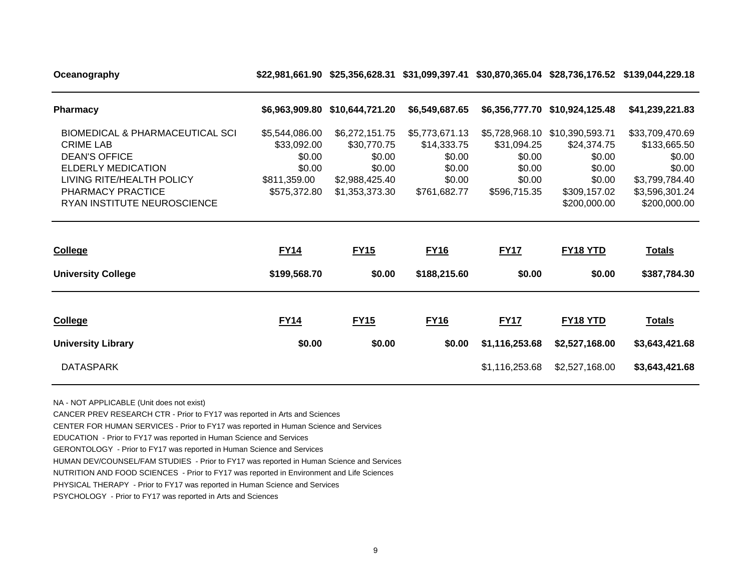**Oceanography \$22,981,661.90 \$25,356,628.31 \$31,099,397.41 \$30,870,365.04 \$28,736,176.52 \$139,044,229.18**

| <b>Pharmacy</b>                                                                                                                                                       | \$6,963,909.80                                                                    | \$10,644,721.20                                                                       | \$6,549,687.65                                                              |                                                           | \$6,356,777.70 \$10,924,125.48                                                              | \$41,239,221.83                                                                         |
|-----------------------------------------------------------------------------------------------------------------------------------------------------------------------|-----------------------------------------------------------------------------------|---------------------------------------------------------------------------------------|-----------------------------------------------------------------------------|-----------------------------------------------------------|---------------------------------------------------------------------------------------------|-----------------------------------------------------------------------------------------|
| <b>BIOMEDICAL &amp; PHARMACEUTICAL SCI</b><br><b>CRIME LAB</b><br><b>DEAN'S OFFICE</b><br><b>ELDERLY MEDICATION</b><br>LIVING RITE/HEALTH POLICY<br>PHARMACY PRACTICE | \$5,544,086.00<br>\$33,092.00<br>\$0.00<br>\$0.00<br>\$811,359.00<br>\$575,372.80 | \$6,272,151.75<br>\$30,770.75<br>\$0.00<br>\$0.00<br>\$2,988,425.40<br>\$1,353,373.30 | \$5,773,671.13<br>\$14,333.75<br>\$0.00<br>\$0.00<br>\$0.00<br>\$761,682.77 | \$31,094.25<br>\$0.00<br>\$0.00<br>\$0.00<br>\$596,715.35 | \$5,728,968.10 \$10,390,593.71<br>\$24,374.75<br>\$0.00<br>\$0.00<br>\$0.00<br>\$309,157.02 | \$33,709,470.69<br>\$133,665.50<br>\$0.00<br>\$0.00<br>\$3,799,784.40<br>\$3,596,301.24 |
| RYAN INSTITUTE NEUROSCIENCE                                                                                                                                           |                                                                                   |                                                                                       |                                                                             |                                                           | \$200,000.00                                                                                | \$200,000.00                                                                            |
|                                                                                                                                                                       |                                                                                   |                                                                                       |                                                                             |                                                           |                                                                                             |                                                                                         |
| <b>College</b>                                                                                                                                                        | <b>FY14</b>                                                                       | <b>FY15</b>                                                                           | <b>FY16</b>                                                                 | <b>FY17</b>                                               | FY18 YTD                                                                                    | <b>Totals</b>                                                                           |
| <b>University College</b>                                                                                                                                             | \$199,568.70                                                                      | \$0.00                                                                                | \$188,215.60                                                                | \$0.00                                                    | \$0.00                                                                                      | \$387,784.30                                                                            |
|                                                                                                                                                                       |                                                                                   |                                                                                       |                                                                             |                                                           |                                                                                             |                                                                                         |
| College                                                                                                                                                               | <b>FY14</b>                                                                       | <b>FY15</b>                                                                           | <b>FY16</b>                                                                 | <b>FY17</b>                                               | FY18 YTD                                                                                    | <b>Totals</b>                                                                           |
| <b>University Library</b>                                                                                                                                             | \$0.00                                                                            | \$0.00                                                                                | \$0.00                                                                      | \$1,116,253.68                                            | \$2,527,168.00                                                                              | \$3,643,421.68                                                                          |

NA - NOT APPLICABLE (Unit does not exist)

CANCER PREV RESEARCH CTR - Prior to FY17 was reported in Arts and Sciences

CENTER FOR HUMAN SERVICES - Prior to FY17 was reported in Human Science and Services

EDUCATION - Prior to FY17 was reported in Human Science and Services

GERONTOLOGY - Prior to FY17 was reported in Human Science and Services

HUMAN DEV/COUNSEL/FAM STUDIES - Prior to FY17 was reported in Human Science and Services

NUTRITION AND FOOD SCIENCES - Prior to FY17 was reported in Environment and Life Sciences

PHYSICAL THERAPY - Prior to FY17 was reported in Human Science and Services

PSYCHOLOGY - Prior to FY17 was reported in Arts and Sciences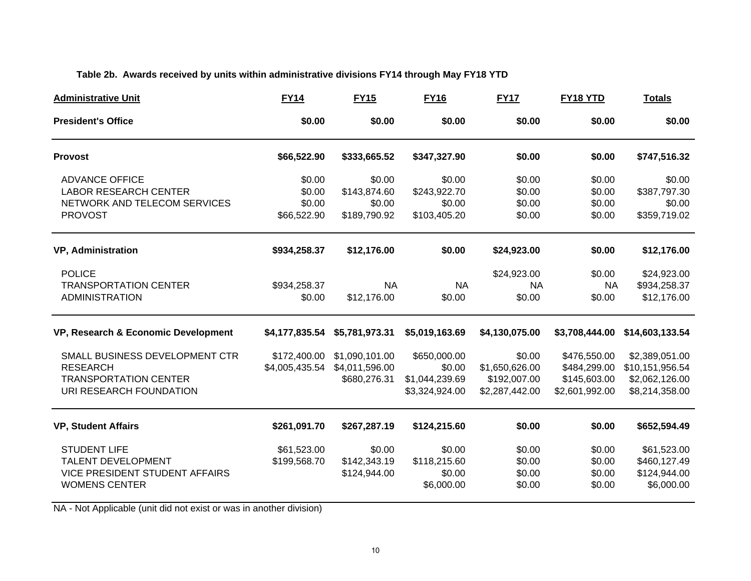#### **Table 2b. Awards received by units within administrative divisions FY14 through May FY18 YTD**

| <b>Administrative Unit</b>                                                                                   | <b>FY14</b>                               | <b>FY15</b>                                      | <b>FY16</b>                                                | <b>FY17</b>                                                | FY18 YTD                                                       | <b>Totals</b>                                                         |
|--------------------------------------------------------------------------------------------------------------|-------------------------------------------|--------------------------------------------------|------------------------------------------------------------|------------------------------------------------------------|----------------------------------------------------------------|-----------------------------------------------------------------------|
| <b>President's Office</b>                                                                                    | \$0.00                                    | \$0.00                                           | \$0.00                                                     | \$0.00                                                     | \$0.00                                                         | \$0.00                                                                |
| <b>Provost</b>                                                                                               | \$66,522.90                               | \$333,665.52                                     | \$347,327.90                                               | \$0.00                                                     | \$0.00                                                         | \$747,516.32                                                          |
| <b>ADVANCE OFFICE</b><br><b>LABOR RESEARCH CENTER</b><br>NETWORK AND TELECOM SERVICES<br><b>PROVOST</b>      | \$0.00<br>\$0.00<br>\$0.00<br>\$66,522.90 | \$0.00<br>\$143,874.60<br>\$0.00<br>\$189,790.92 | \$0.00<br>\$243,922.70<br>\$0.00<br>\$103,405.20           | \$0.00<br>\$0.00<br>\$0.00<br>\$0.00                       | \$0.00<br>\$0.00<br>\$0.00<br>\$0.00                           | \$0.00<br>\$387,797.30<br>\$0.00<br>\$359,719.02                      |
| <b>VP, Administration</b>                                                                                    | \$934,258.37                              | \$12,176.00                                      | \$0.00                                                     | \$24,923.00                                                | \$0.00                                                         | \$12,176.00                                                           |
| <b>POLICE</b><br><b>TRANSPORTATION CENTER</b><br><b>ADMINISTRATION</b>                                       | \$934,258.37<br>\$0.00                    | <b>NA</b><br>\$12,176.00                         | <b>NA</b><br>\$0.00                                        | \$24,923.00<br><b>NA</b><br>\$0.00                         | \$0.00<br><b>NA</b><br>\$0.00                                  | \$24,923.00<br>\$934,258.37<br>\$12,176.00                            |
| VP, Research & Economic Development                                                                          | \$4,177,835.54                            | \$5,781,973.31                                   | \$5,019,163.69                                             | \$4,130,075.00                                             | \$3,708,444.00                                                 | \$14,603,133.54                                                       |
| SMALL BUSINESS DEVELOPMENT CTR<br><b>RESEARCH</b><br><b>TRANSPORTATION CENTER</b><br>URI RESEARCH FOUNDATION | \$172,400.00<br>\$4,005,435.54            | \$1,090,101.00<br>\$4,011,596.00<br>\$680,276.31 | \$650,000.00<br>\$0.00<br>\$1,044,239.69<br>\$3,324,924.00 | \$0.00<br>\$1,650,626.00<br>\$192,007.00<br>\$2,287,442.00 | \$476,550.00<br>\$484,299.00<br>\$145,603.00<br>\$2,601,992.00 | \$2,389,051.00<br>\$10,151,956.54<br>\$2,062,126.00<br>\$8,214,358.00 |
| <b>VP, Student Affairs</b>                                                                                   | \$261,091.70                              | \$267,287.19                                     | \$124,215.60                                               | \$0.00                                                     | \$0.00                                                         | \$652,594.49                                                          |
| <b>STUDENT LIFE</b><br>TALENT DEVELOPMENT<br><b>VICE PRESIDENT STUDENT AFFAIRS</b><br><b>WOMENS CENTER</b>   | \$61,523.00<br>\$199,568.70               | \$0.00<br>\$142,343.19<br>\$124,944.00           | \$0.00<br>\$118,215.60<br>\$0.00<br>\$6,000.00             | \$0.00<br>\$0.00<br>\$0.00<br>\$0.00                       | \$0.00<br>\$0.00<br>\$0.00<br>\$0.00                           | \$61,523.00<br>\$460,127.49<br>\$124,944.00<br>\$6,000.00             |

NA - Not Applicable (unit did not exist or was in another division)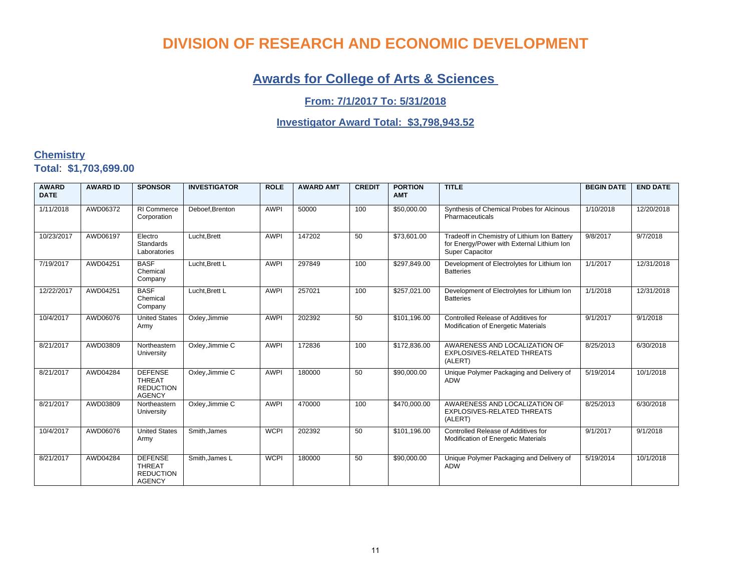### **Awards for College of Arts & Sciences**

#### **From: 7/1/2017 To: 5/31/2018**

#### **Investigator Award Total: \$3,798,943.52**

#### **Chemistry Total**: **\$1,703,699.00**

| <b>AWARD</b><br><b>DATE</b> | <b>AWARD ID</b> | <b>SPONSOR</b>                                                       | <b>INVESTIGATOR</b> | <b>ROLE</b> | <b>AWARD AMT</b> | <b>CREDIT</b> | <b>PORTION</b><br><b>AMT</b> | <b>TITLE</b>                                                                                                         | <b>BEGIN DATE</b> | <b>END DATE</b> |
|-----------------------------|-----------------|----------------------------------------------------------------------|---------------------|-------------|------------------|---------------|------------------------------|----------------------------------------------------------------------------------------------------------------------|-------------------|-----------------|
| 1/11/2018                   | AWD06372        | RI Commerce<br>Corporation                                           | Deboef.Brenton      | <b>AWPI</b> | 50000            | 100           | \$50,000.00                  | Synthesis of Chemical Probes for Alcinous<br>Pharmaceuticals                                                         | 1/10/2018         | 12/20/2018      |
| 10/23/2017                  | AWD06197        | Electro<br>Standards<br>Laboratories                                 | Lucht, Brett        | <b>AWPI</b> | 147202           | 50            | \$73,601.00                  | Tradeoff in Chemistry of Lithium Ion Battery<br>for Energy/Power with External Lithium Ion<br><b>Super Capacitor</b> | 9/8/2017          | 9/7/2018        |
| 7/19/2017                   | AWD04251        | <b>BASF</b><br>Chemical<br>Company                                   | Lucht.Brett L       | <b>AWPI</b> | 297849           | 100           | \$297,849.00                 | Development of Electrolytes for Lithium Ion<br><b>Batteries</b>                                                      | 1/1/2017          | 12/31/2018      |
| 12/22/2017                  | AWD04251        | <b>BASF</b><br>Chemical<br>Company                                   | Lucht.Brett L       | <b>AWPI</b> | 257021           | 100           | \$257,021.00                 | Development of Electrolytes for Lithium Ion<br><b>Batteries</b>                                                      | 1/1/2018          | 12/31/2018      |
| 10/4/2017                   | AWD06076        | <b>United States</b><br>Army                                         | Oxley, Jimmie       | <b>AWPI</b> | 202392           | 50            | \$101,196.00                 | Controlled Release of Additives for<br>Modification of Energetic Materials                                           | 9/1/2017          | 9/1/2018        |
| 8/21/2017                   | AWD03809        | Northeastern<br>University                                           | Oxley, Jimmie C     | <b>AWPI</b> | 172836           | 100           | \$172,836.00                 | AWARENESS AND LOCALIZATION OF<br>EXPLOSIVES-RELATED THREATS<br>(ALERT)                                               | 8/25/2013         | 6/30/2018       |
| 8/21/2017                   | AWD04284        | <b>DEFENSE</b><br><b>THREAT</b><br><b>REDUCTION</b><br><b>AGENCY</b> | Oxley, Jimmie C     | <b>AWPI</b> | 180000           | 50            | \$90,000.00                  | Unique Polymer Packaging and Delivery of<br><b>ADW</b>                                                               | 5/19/2014         | 10/1/2018       |
| 8/21/2017                   | AWD03809        | Northeastern<br>University                                           | Oxley, Jimmie C     | <b>AWPI</b> | 470000           | 100           | \$470,000.00                 | AWARENESS AND LOCALIZATION OF<br>EXPLOSIVES-RELATED THREATS<br>(ALERT)                                               | 8/25/2013         | 6/30/2018       |
| 10/4/2017                   | AWD06076        | <b>United States</b><br>Army                                         | Smith, James        | <b>WCPI</b> | 202392           | 50            | \$101,196.00                 | Controlled Release of Additives for<br>Modification of Energetic Materials                                           | 9/1/2017          | 9/1/2018        |
| 8/21/2017                   | AWD04284        | <b>DEFENSE</b><br><b>THREAT</b><br><b>REDUCTION</b><br><b>AGENCY</b> | Smith, James L      | <b>WCPI</b> | 180000           | 50            | \$90,000.00                  | Unique Polymer Packaging and Delivery of<br><b>ADW</b>                                                               | 5/19/2014         | 10/1/2018       |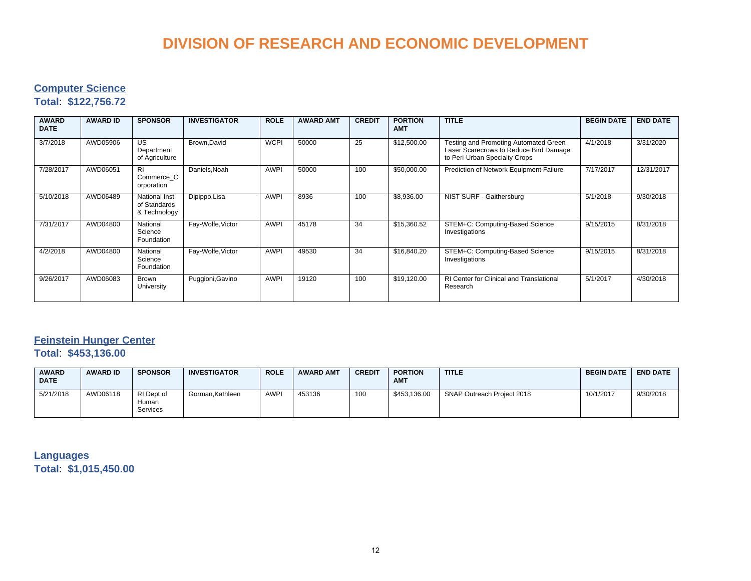#### **Computer Science**

#### **Total**: **\$122,756.72**

| <b>AWARD</b><br><b>DATE</b> | <b>AWARD ID</b> | <b>SPONSOR</b>                                | <b>INVESTIGATOR</b> | <b>ROLE</b> | <b>AWARD AMT</b> | <b>CREDIT</b> | <b>PORTION</b><br><b>AMT</b> | <b>TITLE</b>                                                                                                     | <b>BEGIN DATE</b> | <b>END DATE</b> |
|-----------------------------|-----------------|-----------------------------------------------|---------------------|-------------|------------------|---------------|------------------------------|------------------------------------------------------------------------------------------------------------------|-------------------|-----------------|
| 3/7/2018                    | AWD05906        | US<br>Department<br>of Agriculture            | Brown.David         | <b>WCPI</b> | 50000            | 25            | \$12,500.00                  | Testing and Promoting Automated Green<br>Laser Scarecrows to Reduce Bird Damage<br>to Peri-Urban Specialty Crops | 4/1/2018          | 3/31/2020       |
| 7/28/2017                   | AWD06051        | R <sub>1</sub><br>Commerce C<br>orporation    | Daniels, Noah       | <b>AWPI</b> | 50000            | 100           | \$50,000.00                  | Prediction of Network Equipment Failure                                                                          | 7/17/2017         | 12/31/2017      |
| 5/10/2018                   | AWD06489        | National Inst<br>of Standards<br>& Technology | Dipippo, Lisa       | <b>AWPI</b> | 8936             | 100           | \$8,936.00                   | NIST SURF - Gaithersburg                                                                                         | 5/1/2018          | 9/30/2018       |
| 7/31/2017                   | AWD04800        | National<br>Science<br>Foundation             | Fay-Wolfe, Victor   | <b>AWPI</b> | 45178            | 34            | \$15,360.52                  | STEM+C: Computing-Based Science<br>Investigations                                                                | 9/15/2015         | 8/31/2018       |
| 4/2/2018                    | AWD04800        | National<br>Science<br>Foundation             | Fay-Wolfe, Victor   | <b>AWPI</b> | 49530            | 34            | \$16,840.20                  | STEM+C: Computing-Based Science<br>Investigations                                                                | 9/15/2015         | 8/31/2018       |
| 9/26/2017                   | AWD06083        | Brown<br>University                           | Puggioni, Gavino    | <b>AWPI</b> | 19120            | 100           | \$19,120.00                  | <b>RI Center for Clinical and Translational</b><br>Research                                                      | 5/1/2017          | 4/30/2018       |

### **Feinstein Hunger Center**

**Total**: **\$453,136.00**

| <b>AWARD</b><br><b>DATE</b> | <b>AWARD ID</b> | <b>SPONSOR</b>                  | <b>INVESTIGATOR</b> | <b>ROLE</b> | <b>AWARD AMT</b> | <b>CREDIT</b> | <b>PORTION</b><br><b>AMT</b> | <b>TITLE</b>               | <b>BEGIN DATE</b> | <b>END DATE</b> |
|-----------------------------|-----------------|---------------------------------|---------------------|-------------|------------------|---------------|------------------------------|----------------------------|-------------------|-----------------|
| 5/21/2018                   | AWD06118        | RI Dept of<br>Human<br>Services | Gorman.Kathleen     | <b>AWPI</b> | 453136           | 100           | \$453.136.00                 | SNAP Outreach Project 2018 | 10/1/2017         | 9/30/2018       |

**Languages Total**: **\$1,015,450.00**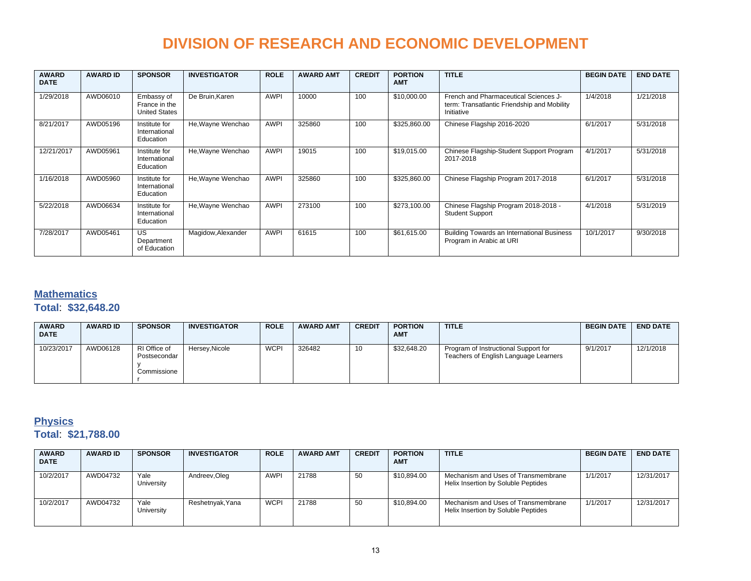| <b>AWARD</b><br><b>DATE</b> | <b>AWARD ID</b> | <b>SPONSOR</b>                                      | <b>INVESTIGATOR</b> | <b>ROLE</b> | <b>AWARD AMT</b> | <b>CREDIT</b> | <b>PORTION</b><br><b>AMT</b> | <b>TITLE</b>                                                                                       | <b>BEGIN DATE</b> | <b>END DATE</b> |
|-----------------------------|-----------------|-----------------------------------------------------|---------------------|-------------|------------------|---------------|------------------------------|----------------------------------------------------------------------------------------------------|-------------------|-----------------|
| 1/29/2018                   | AWD06010        | Embassy of<br>France in the<br><b>United States</b> | De Bruin, Karen     | <b>AWPI</b> | 10000            | 100           | \$10,000.00                  | French and Pharmaceutical Sciences J-<br>term: Transatlantic Friendship and Mobility<br>Initiative | 1/4/2018          | 1/21/2018       |
| 8/21/2017                   | AWD05196        | Institute for<br>International<br>Education         | He, Wayne Wenchao   | <b>AWPI</b> | 325860           | 100           | \$325,860.00                 | Chinese Flagship 2016-2020                                                                         | 6/1/2017          | 5/31/2018       |
| 12/21/2017                  | AWD05961        | Institute for<br>International<br>Education         | He, Wayne Wenchao   | <b>AWPI</b> | 19015            | 100           | \$19,015.00                  | Chinese Flagship-Student Support Program<br>2017-2018                                              | 4/1/2017          | 5/31/2018       |
| 1/16/2018                   | AWD05960        | Institute for<br>International<br>Education         | He, Wayne Wenchao   | <b>AWPI</b> | 325860           | 100           | \$325,860.00                 | Chinese Flagship Program 2017-2018                                                                 | 6/1/2017          | 5/31/2018       |
| 5/22/2018                   | AWD06634        | Institute for<br>International<br>Education         | He, Wayne Wenchao   | <b>AWPI</b> | 273100           | 100           | \$273,100.00                 | Chinese Flagship Program 2018-2018 -<br><b>Student Support</b>                                     | 4/1/2018          | 5/31/2019       |
| 7/28/2017                   | AWD05461        | US<br>Department<br>of Education                    | Magidow, Alexander  | <b>AWPI</b> | 61615            | 100           | \$61,615.00                  | Building Towards an International Business<br>Program in Arabic at URI                             | 10/1/2017         | 9/30/2018       |

#### **Mathematics Total**: **\$32,648.20**

| <b>AWARD</b><br><b>DATE</b> | <b>AWARD ID</b> | <b>SPONSOR</b>                              | <b>INVESTIGATOR</b> | <b>ROLE</b> | <b>AWARD AMT</b> | <b>CREDIT</b> | <b>PORTION</b><br><b>AMT</b> | <b>TITLE</b>                                                                  | <b>BEGIN DATE</b> | <b>END DATE</b> |
|-----------------------------|-----------------|---------------------------------------------|---------------------|-------------|------------------|---------------|------------------------------|-------------------------------------------------------------------------------|-------------------|-----------------|
| 10/23/2017                  | AWD06128        | RI Office of<br>Postsecondar<br>Commissione | Hersey, Nicole      | <b>WCPI</b> | 326482           | 10            | \$32,648.20                  | Program of Instructional Support for<br>Teachers of English Language Learners | 9/1/2017          | 12/1/2018       |

#### **Physics**

#### **Total**: **\$21,788.00**

| <b>AWARD</b><br><b>DATE</b> | <b>AWARD ID</b> | <b>SPONSOR</b>     | <b>INVESTIGATOR</b> | <b>ROLE</b> | <b>AWARD AMT</b> | <b>CREDIT</b> | <b>PORTION</b><br><b>AMT</b> | <b>TITLE</b>                                                               | <b>BEGIN DATE</b> | <b>END DATE</b> |
|-----------------------------|-----------------|--------------------|---------------------|-------------|------------------|---------------|------------------------------|----------------------------------------------------------------------------|-------------------|-----------------|
| 10/2/2017                   | AWD04732        | Yale<br>University | Andreev, Oleg       | <b>AWPI</b> | 21788            | 50            | \$10,894.00                  | Mechanism and Uses of Transmembrane<br>Helix Insertion by Soluble Peptides | 1/1/2017          | 12/31/2017      |
| 10/2/2017                   | AWD04732        | Yale<br>University | Reshetnyak, Yana    | <b>WCPI</b> | 21788            | 50            | \$10,894.00                  | Mechanism and Uses of Transmembrane<br>Helix Insertion by Soluble Peptides | 1/1/2017          | 12/31/2017      |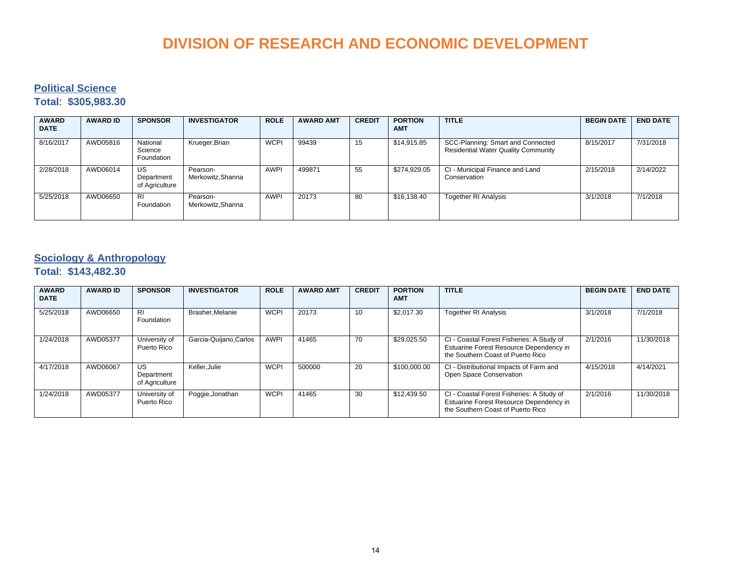#### **Political Science**

#### **Total**: **\$305,983.30**

| <b>AWARD</b><br><b>DATE</b> | <b>AWARD ID</b> | <b>SPONSOR</b>                     | <b>INVESTIGATOR</b>          | <b>ROLE</b> | <b>AWARD AMT</b> | <b>CREDIT</b> | <b>PORTION</b><br><b>AMT</b> | <b>TITLE</b>                                                                    | <b>BEGIN DATE</b> | <b>END DATE</b> |
|-----------------------------|-----------------|------------------------------------|------------------------------|-------------|------------------|---------------|------------------------------|---------------------------------------------------------------------------------|-------------------|-----------------|
| 8/16/2017                   | AWD05816        | National<br>Science<br>Foundation  | Krueger, Brian               | <b>WCPI</b> | 99439            | 15            | \$14,915.85                  | SCC-Planning: Smart and Connected<br><b>Residential Water Quality Community</b> | 8/15/2017         | 7/31/2018       |
| 2/28/2018                   | AWD06014        | US<br>Department<br>of Agriculture | Pearson-<br>Merkowitz.Shanna | <b>AWPI</b> | 499871           | 55            | \$274.929.05                 | CI - Municipal Finance and Land<br>Conservation                                 | 2/15/2018         | 2/14/2022       |
| 5/25/2018                   | AWD06650        | R <sub>l</sub><br>Foundation       | Pearson-<br>Merkowitz.Shanna | <b>AWPI</b> | 20173            | 80            | \$16.138.40                  | <b>Together RI Analysis</b>                                                     | 3/1/2018          | 7/1/2018        |

#### **Sociology & Anthropology**

#### **Total**: **\$143,482.30**

| <b>AWARD</b><br><b>DATE</b> | <b>AWARD ID</b> | <b>SPONSOR</b>                     | <b>INVESTIGATOR</b>    | <b>ROLE</b> | <b>AWARD AMT</b> | <b>CREDIT</b> | <b>PORTION</b><br><b>AMT</b> | <b>TITLE</b>                                                                                                              | <b>BEGIN DATE</b> | <b>END DATE</b> |
|-----------------------------|-----------------|------------------------------------|------------------------|-------------|------------------|---------------|------------------------------|---------------------------------------------------------------------------------------------------------------------------|-------------------|-----------------|
| 5/25/2018                   | AWD06650        | <b>RI</b><br>Foundation            | Brasher, Melanie       | <b>WCPI</b> | 20173            | 10            | \$2.017.30                   | <b>Together RI Analysis</b>                                                                                               | 3/1/2018          | 7/1/2018        |
| 1/24/2018                   | AWD05377        | University of<br>Puerto Rico       | Garcia-Quijano, Carlos | <b>AWPI</b> | 41465            | 70            | \$29,025.50                  | CI - Coastal Forest Fisheries: A Study of<br>Estuarine Forest Resource Dependency in<br>the Southern Coast of Puerto Rico | 2/1/2016          | 11/30/2018      |
| 4/17/2018                   | AWD06067        | US<br>Department<br>of Agriculture | Keller.Julie           | <b>WCPI</b> | 500000           | 20            | \$100,000.00                 | CI - Distributional Impacts of Farm and<br>Open Space Conservation                                                        | 4/15/2018         | 4/14/2021       |
| 1/24/2018                   | AWD05377        | University of<br>Puerto Rico       | Poggie, Jonathan       | <b>WCPI</b> | 41465            | 30            | \$12,439.50                  | CI - Coastal Forest Fisheries: A Study of<br>Estuarine Forest Resource Dependency in<br>the Southern Coast of Puerto Rico | 2/1/2016          | 11/30/2018      |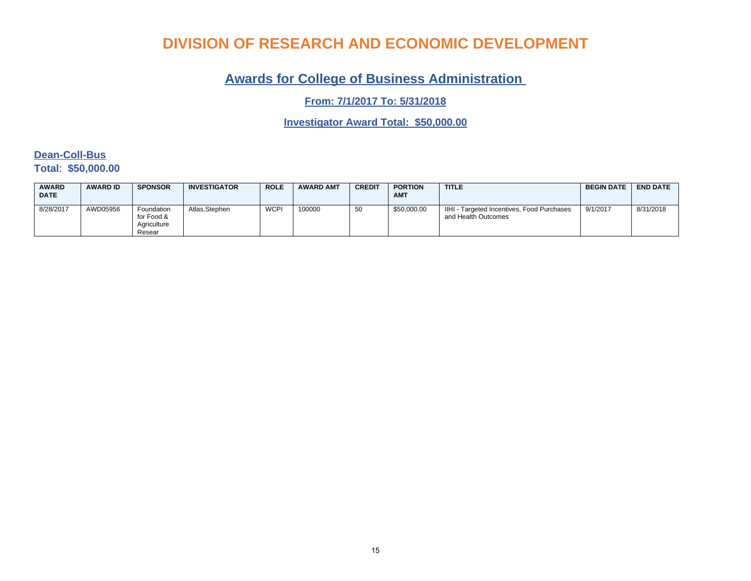### **Awards for College of Business Administration**

**From: 7/1/2017 To: 5/31/2018**

**Investigator Award Total: \$50,000.00**

#### **Dean-Coll-Bus Total**: **\$50,000.00**

| <b>AWARD</b><br><b>DATE</b> | <b>AWARD ID</b> | <b>SPONSOR</b>                                    | <b>INVESTIGATOR</b> | <b>ROLE</b> | <b>AWARD AMT</b> | <b>CREDIT</b> | <b>PORTION</b><br><b>AMT</b> | <b>TITLE</b>                                                      | <b>BEGIN DATE</b> | <b>END DATE</b> |
|-----------------------------|-----------------|---------------------------------------------------|---------------------|-------------|------------------|---------------|------------------------------|-------------------------------------------------------------------|-------------------|-----------------|
| 8/28/2017                   | AWD05956        | Foundation<br>for Food &<br>Aariculture<br>Resear | Atlas.Stephen       | <b>WCPI</b> | 100000           | -50           | \$50,000.00                  | IIHI - Targeted Incentives, Food Purchases<br>and Health Outcomes | 9/1/2017          | 8/31/2018       |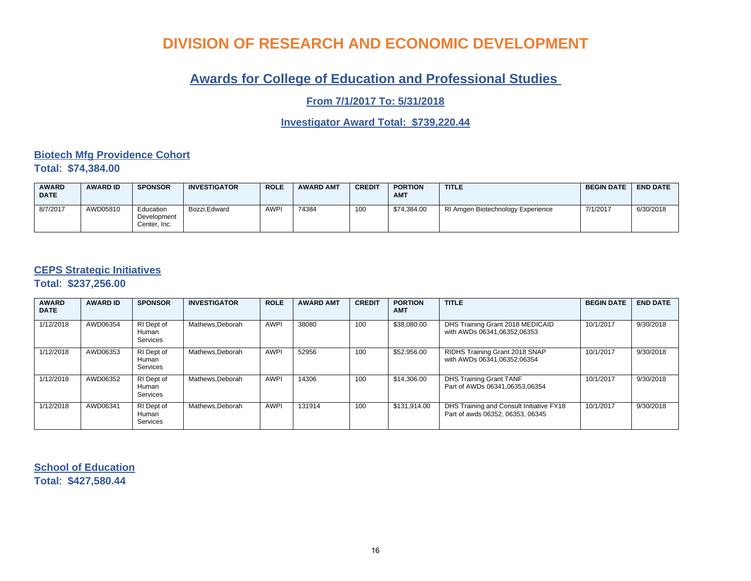### **Awards for College of Education and Professional Studies**

**From 7/1/2017 To: 5/31/2018**

**Investigator Award Total: \$739,220.44**

#### **Biotech Mfg Providence Cohort Total**: **\$74,384.00**

| <b>AWARD</b><br><b>DATE</b> | <b>AWARD ID</b> | <b>SPONSOR</b>                           | <b>INVESTIGATOR</b> | <b>ROLE</b> | <b>AWARD AMT</b> | <b>CREDIT</b> | <b>PORTION</b><br><b>AMT</b> | <b>TITLE</b>                      | <b>BEGIN DATE</b> | <b>END DATE</b> |
|-----------------------------|-----------------|------------------------------------------|---------------------|-------------|------------------|---------------|------------------------------|-----------------------------------|-------------------|-----------------|
| 8/7/2017                    | AWD05810        | Education<br>Development<br>Center, Inc. | Bozzi.Edward        | <b>AWPI</b> | 74384            | 100           | \$74.384.00                  | RI Amgen Biotechnology Experience | 7/1/2017          | 6/30/2018       |

#### **CEPS Strategic Initiatives**

**Total**: **\$237,256.00**

| <b>AWARD</b><br><b>DATE</b> | <b>AWARD ID</b> | <b>SPONSOR</b>                         | <b>INVESTIGATOR</b> | <b>ROLE</b> | <b>AWARD AMT</b> | <b>CREDIT</b> | <b>PORTION</b><br><b>AMT</b> | <b>TITLE</b>                                                                 | <b>BEGIN DATE</b> | <b>END DATE</b> |
|-----------------------------|-----------------|----------------------------------------|---------------------|-------------|------------------|---------------|------------------------------|------------------------------------------------------------------------------|-------------------|-----------------|
| 1/12/2018                   | AWD06354        | RI Dept of<br>Human<br>Services        | Mathews, Deborah    | <b>AWPI</b> | 38080            | 100           | \$38,080.00                  | DHS Training Grant 2018 MEDICAID<br>with AWDs 06341,06352,06353              | 10/1/2017         | 9/30/2018       |
| 1/12/2018                   | AWD06353        | RI Dept of<br>Human<br><b>Services</b> | Mathews.Deborah     | <b>AWPI</b> | 52956            | 100           | \$52,956.00                  | RIDHS Training Grant 2018 SNAP<br>with AWDs 06341.06352.06354                | 10/1/2017         | 9/30/2018       |
| 1/12/2018                   | AWD06352        | RI Dept of<br>Human<br><b>Services</b> | Mathews.Deborah     | <b>AWPI</b> | 14306            | 100           | \$14,306.00                  | DHS Training Grant TANF<br>Part of AWDs 06341.06353.06354                    | 10/1/2017         | 9/30/2018       |
| 1/12/2018                   | AWD06341        | RI Dept of<br>Human<br><b>Services</b> | Mathews.Deborah     | <b>AWPI</b> | 131914           | 100           | \$131,914.00                 | DHS Training and Consult Initiative FY18<br>Part of awds 06352, 06353, 06345 | 10/1/2017         | 9/30/2018       |

**School of Education Total**: **\$427,580.44**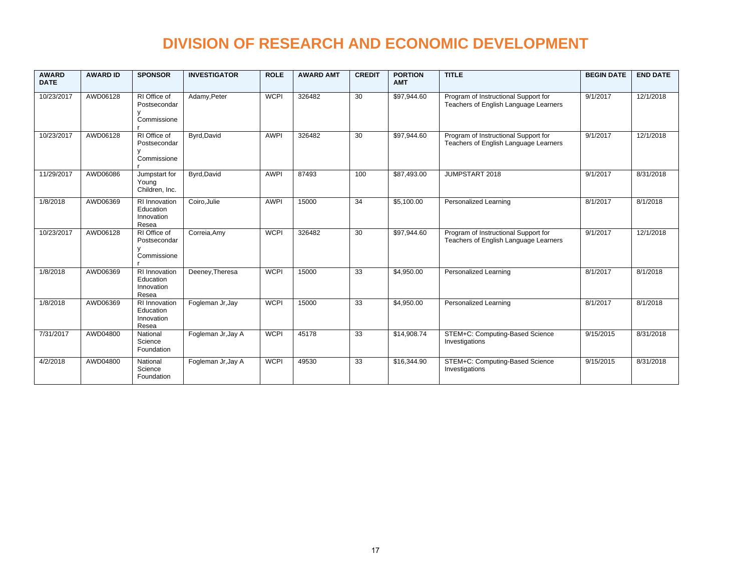| <b>AWARD</b><br><b>DATE</b> | <b>AWARD ID</b> | <b>SPONSOR</b>                                           | <b>INVESTIGATOR</b> | <b>ROLE</b> | <b>AWARD AMT</b> | <b>CREDIT</b>   | <b>PORTION</b><br><b>AMT</b> | <b>TITLE</b>                                                                  | <b>BEGIN DATE</b> | <b>END DATE</b> |
|-----------------------------|-----------------|----------------------------------------------------------|---------------------|-------------|------------------|-----------------|------------------------------|-------------------------------------------------------------------------------|-------------------|-----------------|
| 10/23/2017                  | AWD06128        | RI Office of<br>Postsecondar<br>Commissione              | Adamy, Peter        | <b>WCPI</b> | 326482           | $\overline{30}$ | \$97,944.60                  | Program of Instructional Support for<br>Teachers of English Language Learners | 9/1/2017          | 12/1/2018       |
| 10/23/2017                  | AWD06128        | $\overline{RI}$ Office of<br>Postsecondar<br>Commissione | Byrd, David         | <b>AWPI</b> | 326482           | 30              | \$97,944.60                  | Program of Instructional Support for<br>Teachers of English Language Learners | 9/1/2017          | 12/1/2018       |
| 11/29/2017                  | AWD06086        | Jumpstart for<br>Young<br>Children, Inc.                 | Byrd, David         | <b>AWPI</b> | 87493            | 100             | \$87,493.00                  | JUMPSTART 2018                                                                | 9/1/2017          | 8/31/2018       |
| 1/8/2018                    | AWD06369        | RI Innovation<br>Education<br>Innovation<br>Resea        | Coiro, Julie        | <b>AWPI</b> | 15000            | $\overline{34}$ | \$5,100.00                   | Personalized Learning                                                         | 8/1/2017          | 8/1/2018        |
| 10/23/2017                  | AWD06128        | RI Office of<br>Postsecondar<br>Commissione              | Correia, Amy        | <b>WCPI</b> | 326482           | $\overline{30}$ | \$97,944.60                  | Program of Instructional Support for<br>Teachers of English Language Learners | 9/1/2017          | 12/1/2018       |
| 1/8/2018                    | AWD06369        | <b>RI</b> Innovation<br>Education<br>Innovation<br>Resea | Deeney, Theresa     | <b>WCPI</b> | 15000            | 33              | \$4,950.00                   | Personalized Learning                                                         | 8/1/2017          | 8/1/2018        |
| 1/8/2018                    | AWD06369        | RI Innovation<br>Education<br>Innovation<br>Resea        | Fogleman Jr, Jay    | <b>WCPI</b> | 15000            | 33              | \$4,950.00                   | Personalized Learning                                                         | 8/1/2017          | 8/1/2018        |
| 7/31/2017                   | AWD04800        | National<br>Science<br>Foundation                        | Fogleman Jr, Jay A  | <b>WCPI</b> | 45178            | 33              | \$14,908.74                  | STEM+C: Computing-Based Science<br>Investigations                             | 9/15/2015         | 8/31/2018       |
| 4/2/2018                    | AWD04800        | National<br>Science<br>Foundation                        | Fogleman Jr, Jay A  | <b>WCPI</b> | 49530            | 33              | \$16,344.90                  | STEM+C: Computing-Based Science<br>Investigations                             | 9/15/2015         | 8/31/2018       |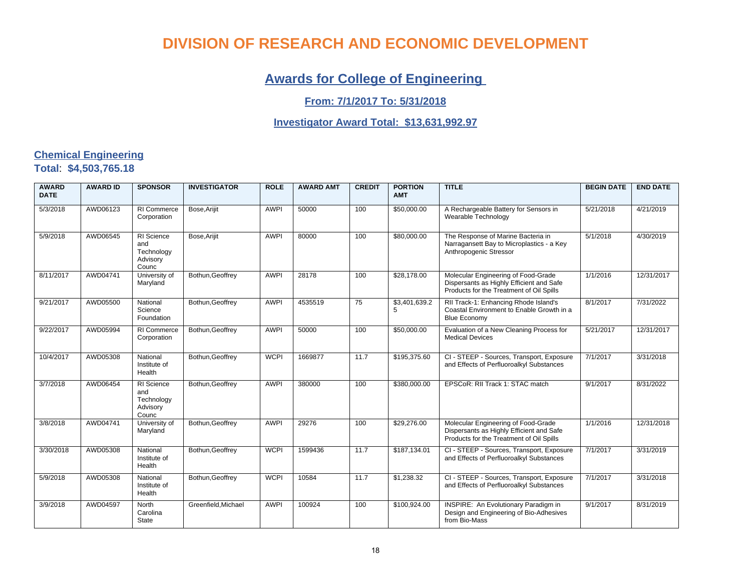### **Awards for College of Engineering**

#### **From: 7/1/2017 To: 5/31/2018**

#### **Investigator Award Total: \$13,631,992.97**

#### **Chemical Engineering Total**: **\$4,503,765.18**

| <b>AWARD</b><br><b>DATE</b> | <b>AWARD ID</b> | <b>SPONSOR</b>                                              | <b>INVESTIGATOR</b> | <b>ROLE</b> | <b>AWARD AMT</b> | <b>CREDIT</b>   | <b>PORTION</b><br><b>AMT</b> | <b>TITLE</b>                                                                                                                | <b>BEGIN DATE</b> | <b>END DATE</b> |
|-----------------------------|-----------------|-------------------------------------------------------------|---------------------|-------------|------------------|-----------------|------------------------------|-----------------------------------------------------------------------------------------------------------------------------|-------------------|-----------------|
| 5/3/2018                    | AWD06123        | <b>RI</b> Commerce<br>Corporation                           | Bose, Arijit        | <b>AWPI</b> | 50000            | 100             | \$50,000.00                  | A Rechargeable Battery for Sensors in<br>Wearable Technology                                                                | 5/21/2018         | 4/21/2019       |
| 5/9/2018                    | AWD06545        | <b>RI</b> Science<br>and<br>Technology<br>Advisory<br>Counc | Bose, Arijit        | <b>AWPI</b> | 80000            | 100             | \$80,000.00                  | The Response of Marine Bacteria in<br>Narragansett Bay to Microplastics - a Key<br>Anthropogenic Stressor                   | 5/1/2018          | 4/30/2019       |
| 8/11/2017                   | AWD04741        | University of<br>Maryland                                   | Bothun, Geoffrey    | <b>AWPI</b> | 28178            | 100             | \$28,178.00                  | Molecular Engineering of Food-Grade<br>Dispersants as Highly Efficient and Safe<br>Products for the Treatment of Oil Spills | 1/1/2016          | 12/31/2017      |
| 9/21/2017                   | AWD05500        | National<br>Science<br>Foundation                           | Bothun, Geoffrey    | <b>AWPI</b> | 4535519          | $\overline{75}$ | \$3,401,639.2                | RII Track-1: Enhancing Rhode Island's<br>Coastal Environment to Enable Growth in a<br><b>Blue Economy</b>                   | 8/1/2017          | 7/31/2022       |
| 9/22/2017                   | AWD05994        | RI Commerce<br>Corporation                                  | Bothun, Geoffrey    | <b>AWPI</b> | 50000            | 100             | \$50,000.00                  | Evaluation of a New Cleaning Process for<br><b>Medical Devices</b>                                                          | 5/21/2017         | 12/31/2017      |
| 10/4/2017                   | AWD05308        | National<br>Institute of<br>Health                          | Bothun, Geoffrey    | <b>WCPI</b> | 1669877          | 11.7            | \$195,375.60                 | CI - STEEP - Sources, Transport, Exposure<br>and Effects of Perfluoroalkyl Substances                                       | 7/1/2017          | 3/31/2018       |
| 3/7/2018                    | AWD06454        | RI Science<br>and<br>Technology<br>Advisory<br>Counc        | Bothun, Geoffrey    | <b>AWPI</b> | 380000           | 100             | \$380,000.00                 | EPSCoR: RII Track 1: STAC match                                                                                             | 9/1/2017          | 8/31/2022       |
| 3/8/2018                    | AWD04741        | University of<br>Maryland                                   | Bothun.Geoffrev     | <b>AWPI</b> | 29276            | 100             | \$29,276.00                  | Molecular Engineering of Food-Grade<br>Dispersants as Highly Efficient and Safe<br>Products for the Treatment of Oil Spills | 1/1/2016          | 12/31/2018      |
| 3/30/2018                   | AWD05308        | National<br>Institute of<br>Health                          | Bothun, Geoffrey    | <b>WCPI</b> | 1599436          | 11.7            | \$187,134.01                 | CI - STEEP - Sources, Transport, Exposure<br>and Effects of Perfluoroalkyl Substances                                       | 7/1/2017          | 3/31/2019       |
| 5/9/2018                    | AWD05308        | National<br>Institute of<br>Health                          | Bothun, Geoffrey    | <b>WCPI</b> | 10584            | 11.7            | \$1,238.32                   | CI - STEEP - Sources, Transport, Exposure<br>and Effects of Perfluoroalkyl Substances                                       | 7/1/2017          | 3/31/2018       |
| 3/9/2018                    | AWD04597        | North<br>Carolina<br>State                                  | Greenfield.Michael  | <b>AWPI</b> | 100924           | 100             | \$100,924.00                 | INSPIRE: An Evolutionary Paradigm in<br>Design and Engineering of Bio-Adhesives<br>from Bio-Mass                            | 9/1/2017          | 8/31/2019       |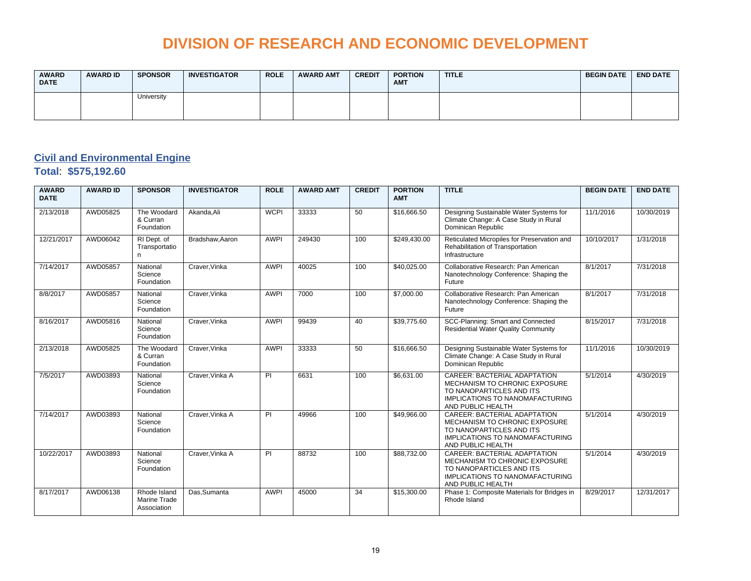| <b>AWARD</b><br><b>DATE</b> | <b>AWARD ID</b> | <b>SPONSOR</b> | <b>INVESTIGATOR</b> | <b>ROLE</b> | <b>AWARD AMT</b> | <b>CREDIT</b> | <b>PORTION</b><br><b>AMT</b> | <b>TITLE</b> | <b>BEGIN DATE</b> | <b>END DATE</b> |
|-----------------------------|-----------------|----------------|---------------------|-------------|------------------|---------------|------------------------------|--------------|-------------------|-----------------|
|                             |                 | University     |                     |             |                  |               |                              |              |                   |                 |

### **Civil and Environmental Engine**

**Total**: **\$575,192.60**

| <b>AWARD</b><br><b>DATE</b> | <b>AWARD ID</b> | <b>SPONSOR</b>                                     | <b>INVESTIGATOR</b> | <b>ROLE</b>    | <b>AWARD AMT</b> | <b>CREDIT</b> | <b>PORTION</b><br><b>AMT</b> | <b>TITLE</b>                                                                                                                                             | <b>BEGIN DATE</b> | <b>END DATE</b> |
|-----------------------------|-----------------|----------------------------------------------------|---------------------|----------------|------------------|---------------|------------------------------|----------------------------------------------------------------------------------------------------------------------------------------------------------|-------------------|-----------------|
| 2/13/2018                   | AWD05825        | The Woodard<br>& Curran<br>Foundation              | Akanda, Ali         | <b>WCPI</b>    | 33333            | 50            | \$16,666.50                  | Designing Sustainable Water Systems for<br>Climate Change: A Case Study in Rural<br>Dominican Republic                                                   | 11/1/2016         | 10/30/2019      |
| 12/21/2017                  | AWD06042        | RI Dept. of<br>Transportatio<br>n                  | Bradshaw, Aaron     | <b>AWPI</b>    | 249430           | 100           | \$249,430.00                 | Reticulated Micropiles for Preservation and<br>Rehabilitation of Transportation<br>Infrastructure                                                        | 10/10/2017        | 1/31/2018       |
| 7/14/2017                   | AWD05857        | National<br>Science<br>Foundation                  | Craver. Vinka       | <b>AWPI</b>    | 40025            | 100           | \$40,025.00                  | Collaborative Research: Pan American<br>Nanotechnology Conference: Shaping the<br>Future                                                                 | 8/1/2017          | 7/31/2018       |
| 8/8/2017                    | AWD05857        | National<br>Science<br>Foundation                  | Craver, Vinka       | <b>AWPI</b>    | 7000             | 100           | \$7,000.00                   | Collaborative Research: Pan American<br>Nanotechnology Conference: Shaping the<br>Future                                                                 | 8/1/2017          | 7/31/2018       |
| 8/16/2017                   | AWD05816        | National<br>Science<br>Foundation                  | Craver.Vinka        | <b>AWPI</b>    | 99439            | 40            | \$39,775.60                  | SCC-Planning: Smart and Connected<br><b>Residential Water Quality Community</b>                                                                          | 8/15/2017         | 7/31/2018       |
| 2/13/2018                   | AWD05825        | The Woodard<br>& Curran<br>Foundation              | Craver, Vinka       | <b>AWPI</b>    | 33333            | 50            | \$16,666.50                  | Designing Sustainable Water Systems for<br>Climate Change: A Case Study in Rural<br>Dominican Republic                                                   | 11/1/2016         | 10/30/2019      |
| 7/5/2017                    | AWD03893        | National<br>Science<br>Foundation                  | Craver, Vinka A     | $\overline{P}$ | 6631             | 100           | \$6,631.00                   | CAREER: BACTERIAL ADAPTATION<br>MECHANISM TO CHRONIC EXPOSURE<br>TO NANOPARTICLES AND ITS<br><b>IMPLICATIONS TO NANOMAFACTURING</b><br>AND PUBLIC HEALTH | 5/1/2014          | 4/30/2019       |
| 7/14/2017                   | AWD03893        | National<br>Science<br>Foundation                  | Craver. Vinka A     | PI             | 49966            | 100           | \$49,966.00                  | CAREER: BACTERIAL ADAPTATION<br>MECHANISM TO CHRONIC EXPOSURE<br>TO NANOPARTICLES AND ITS<br><b>IMPLICATIONS TO NANOMAFACTURING</b><br>AND PUBLIC HEALTH | 5/1/2014          | 4/30/2019       |
| 10/22/2017                  | AWD03893        | National<br>Science<br>Foundation                  | Craver. Vinka A     | PI             | 88732            | 100           | \$88,732.00                  | CAREER: BACTERIAL ADAPTATION<br>MECHANISM TO CHRONIC EXPOSURE<br>TO NANOPARTICLES AND ITS<br><b>IMPLICATIONS TO NANOMAFACTURING</b><br>AND PUBLIC HEALTH | 5/1/2014          | 4/30/2019       |
| 8/17/2017                   | AWD06138        | Rhode Island<br><b>Marine Trade</b><br>Association | Das.Sumanta         | <b>AWPI</b>    | 45000            | 34            | \$15,300.00                  | Phase 1: Composite Materials for Bridges in<br>Rhode Island                                                                                              | 8/29/2017         | 12/31/2017      |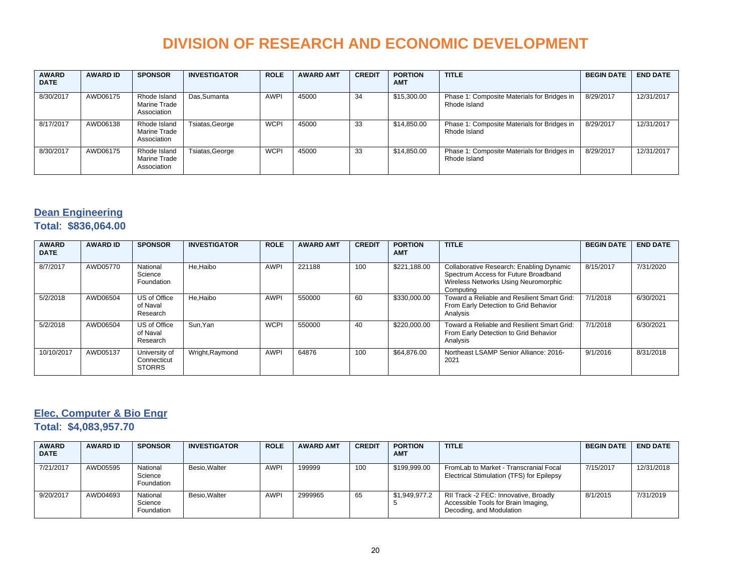| <b>AWARD</b><br><b>DATE</b> | <b>AWARD ID</b> | <b>SPONSOR</b>                              | <b>INVESTIGATOR</b> | <b>ROLE</b> | <b>AWARD AMT</b> | <b>CREDIT</b> | <b>PORTION</b><br><b>AMT</b> | <b>TITLE</b>                                                | <b>BEGIN DATE</b> | <b>END DATE</b> |
|-----------------------------|-----------------|---------------------------------------------|---------------------|-------------|------------------|---------------|------------------------------|-------------------------------------------------------------|-------------------|-----------------|
| 8/30/2017                   | AWD06175        | Rhode Island<br>Marine Trade<br>Association | Das, Sumanta        | <b>AWPI</b> | 45000            | 34            | \$15,300.00                  | Phase 1: Composite Materials for Bridges in<br>Rhode Island | 8/29/2017         | 12/31/2017      |
| 8/17/2017                   | AWD06138        | Rhode Island<br>Marine Trade<br>Association | Tsiatas, George     | <b>WCPI</b> | 45000            | 33            | \$14,850.00                  | Phase 1: Composite Materials for Bridges in<br>Rhode Island | 8/29/2017         | 12/31/2017      |
| 8/30/2017                   | AWD06175        | Rhode Island<br>Marine Trade<br>Association | Tsiatas, George     | <b>WCPI</b> | 45000            | 33            | \$14,850.00                  | Phase 1: Composite Materials for Bridges in<br>Rhode Island | 8/29/2017         | 12/31/2017      |

#### **Dean Engineering Total**: **\$836,064.00**

| <b>AWARD</b><br><b>DATE</b> | <b>AWARD ID</b> | <b>SPONSOR</b>                                | <b>INVESTIGATOR</b> | <b>ROLE</b> | <b>AWARD AMT</b> | <b>CREDIT</b> | <b>PORTION</b><br><b>AMT</b> | <b>TITLE</b>                                                                                                                          | <b>BEGIN DATE</b> | <b>END DATE</b> |
|-----------------------------|-----------------|-----------------------------------------------|---------------------|-------------|------------------|---------------|------------------------------|---------------------------------------------------------------------------------------------------------------------------------------|-------------------|-----------------|
| 8/7/2017                    | AWD05770        | National<br>Science<br>Foundation             | He.Haibo            | <b>AWPI</b> | 221188           | 100           | \$221,188.00                 | Collaborative Research: Enabling Dynamic<br>Spectrum Access for Future Broadband<br>Wireless Networks Using Neuromorphic<br>Computing | 8/15/2017         | 7/31/2020       |
| 5/2/2018                    | AWD06504        | US of Office<br>of Naval<br>Research          | He.Haibo            | <b>AWPI</b> | 550000           | 60            | \$330,000.00                 | Toward a Reliable and Resilient Smart Grid:<br>From Early Detection to Grid Behavior<br>Analysis                                      | 7/1/2018          | 6/30/2021       |
| 5/2/2018                    | AWD06504        | US of Office<br>of Naval<br>Research          | Sun.Yan             | <b>WCPI</b> | 550000           | 40            | \$220,000.00                 | Toward a Reliable and Resilient Smart Grid:<br>From Early Detection to Grid Behavior<br>Analysis                                      | 7/1/2018          | 6/30/2021       |
| 10/10/2017                  | AWD05137        | University of<br>Connecticut<br><b>STORRS</b> | Wright, Raymond     | <b>AWPI</b> | 64876            | 100           | \$64.876.00                  | Northeast LSAMP Senior Alliance: 2016-<br>2021                                                                                        | 9/1/2016          | 8/31/2018       |

### **Elec, Computer & Bio Engr**

**Total**: **\$4,083,957.70**

| <b>AWARD</b><br><b>DATE</b> | <b>AWARD ID</b> | <b>SPONSOR</b>                    | <b>INVESTIGATOR</b> | <b>ROLE</b> | <b>AWARD AMT</b> | <b>CREDIT</b> | <b>PORTION</b><br><b>AMT</b> | <b>TITLE</b>                                                                                             | <b>BEGIN DATE</b> | <b>END DATE</b> |
|-----------------------------|-----------------|-----------------------------------|---------------------|-------------|------------------|---------------|------------------------------|----------------------------------------------------------------------------------------------------------|-------------------|-----------------|
| 7/21/2017                   | AWD05595        | National<br>Science<br>Foundation | Besio.Walter        | <b>AWPI</b> | 199999           | 100           | \$199.999.00                 | FromLab to Market - Transcranial Focal<br>Electrical Stimulation (TFS) for Epilepsy                      | 7/15/2017         | 12/31/2018      |
| 9/20/2017                   | AWD04693        | National<br>Science<br>Foundation | Besio.Walter        | <b>AWPI</b> | 2999965          | 65            | \$1,949,977.2                | RII Track -2 FEC: Innovative, Broadly<br>Accessible Tools for Brain Imaging,<br>Decoding, and Modulation | 8/1/2015          | 7/31/2019       |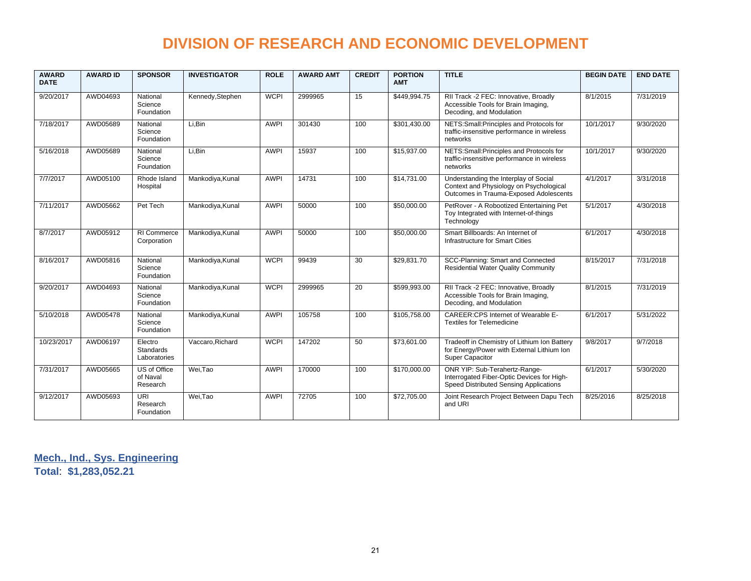| <b>AWARD</b><br><b>DATE</b> | <b>AWARD ID</b> | <b>SPONSOR</b>                       | <b>INVESTIGATOR</b> | <b>ROLE</b> | <b>AWARD AMT</b> | <b>CREDIT</b>   | <b>PORTION</b><br><b>AMT</b> | <b>TITLE</b>                                                                                                               | <b>BEGIN DATE</b> | <b>END DATE</b> |
|-----------------------------|-----------------|--------------------------------------|---------------------|-------------|------------------|-----------------|------------------------------|----------------------------------------------------------------------------------------------------------------------------|-------------------|-----------------|
| 9/20/2017                   | AWD04693        | National<br>Science<br>Foundation    | Kennedy, Stephen    | <b>WCPI</b> | 2999965          | 15              | \$449,994.75                 | RII Track -2 FEC: Innovative, Broadly<br>Accessible Tools for Brain Imaging,<br>Decoding, and Modulation                   | 8/1/2015          | 7/31/2019       |
| 7/18/2017                   | AWD05689        | National<br>Science<br>Foundation    | Li.Bin              | <b>AWPI</b> | 301430           | 100             | \$301,430.00                 | NETS: Small: Principles and Protocols for<br>traffic-insensitive performance in wireless<br>networks                       | 10/1/2017         | 9/30/2020       |
| 5/16/2018                   | AWD05689        | National<br>Science<br>Foundation    | Li.Bin              | <b>AWPI</b> | 15937            | 100             | \$15,937.00                  | NETS: Small: Principles and Protocols for<br>traffic-insensitive performance in wireless<br>networks                       | 10/1/2017         | 9/30/2020       |
| 7/7/2017                    | AWD05100        | Rhode Island<br>Hospital             | Mankodiya, Kunal    | <b>AWPI</b> | 14731            | 100             | \$14,731.00                  | Understanding the Interplay of Social<br>Context and Physiology on Psychological<br>Outcomes in Trauma-Exposed Adolescents | 4/1/2017          | 3/31/2018       |
| 7/11/2017                   | AWD05662        | Pet Tech                             | Mankodiya, Kunal    | <b>AWPI</b> | 50000            | 100             | \$50,000.00                  | PetRover - A Robootized Entertaining Pet<br>Toy Integrated with Internet-of-things<br>Technology                           | 5/1/2017          | 4/30/2018       |
| 8/7/2017                    | AWD05912        | RI Commerce<br>Corporation           | Mankodiya, Kunal    | <b>AWPI</b> | 50000            | 100             | \$50,000.00                  | Smart Billboards: An Internet of<br>Infrastructure for Smart Cities                                                        | 6/1/2017          | 4/30/2018       |
| 8/16/2017                   | AWD05816        | National<br>Science<br>Foundation    | Mankodiya, Kunal    | <b>WCPI</b> | 99439            | $\overline{30}$ | \$29,831.70                  | SCC-Planning: Smart and Connected<br><b>Residential Water Quality Community</b>                                            | 8/15/2017         | 7/31/2018       |
| 9/20/2017                   | AWD04693        | National<br>Science<br>Foundation    | Mankodiya, Kunal    | <b>WCPI</b> | 2999965          | $\overline{20}$ | \$599,993.00                 | RII Track -2 FEC: Innovative, Broadly<br>Accessible Tools for Brain Imaging,<br>Decoding, and Modulation                   | 8/1/2015          | 7/31/2019       |
| 5/10/2018                   | AWD05478        | National<br>Science<br>Foundation    | Mankodiya, Kunal    | <b>AWPI</b> | 105758           | 100             | \$105.758.00                 | CAREER: CPS Internet of Wearable E-<br><b>Textiles for Telemedicine</b>                                                    | 6/1/2017          | 5/31/2022       |
| 10/23/2017                  | AWD06197        | Electro<br>Standards<br>Laboratories | Vaccaro, Richard    | <b>WCPI</b> | 147202           | 50              | \$73,601.00                  | Tradeoff in Chemistry of Lithium Ion Battery<br>for Energy/Power with External Lithium Ion<br>Super Capacitor              | 9/8/2017          | 9/7/2018        |
| 7/31/2017                   | AWD05665        | US of Office<br>of Naval<br>Research | Wei, Tao            | <b>AWPI</b> | 170000           | 100             | \$170,000.00                 | ONR YIP: Sub-Terahertz-Range-<br>Interrogated Fiber-Optic Devices for High-<br>Speed Distributed Sensing Applications      | 6/1/2017          | 5/30/2020       |
| 9/12/2017                   | AWD05693        | <b>URI</b><br>Research<br>Foundation | Wei, Tao            | <b>AWPI</b> | 72705            | 100             | \$72,705.00                  | Joint Research Project Between Dapu Tech<br>and URI                                                                        | 8/25/2016         | 8/25/2018       |

**Mech., Ind., Sys. Engineering Total**: **\$1,283,052.21**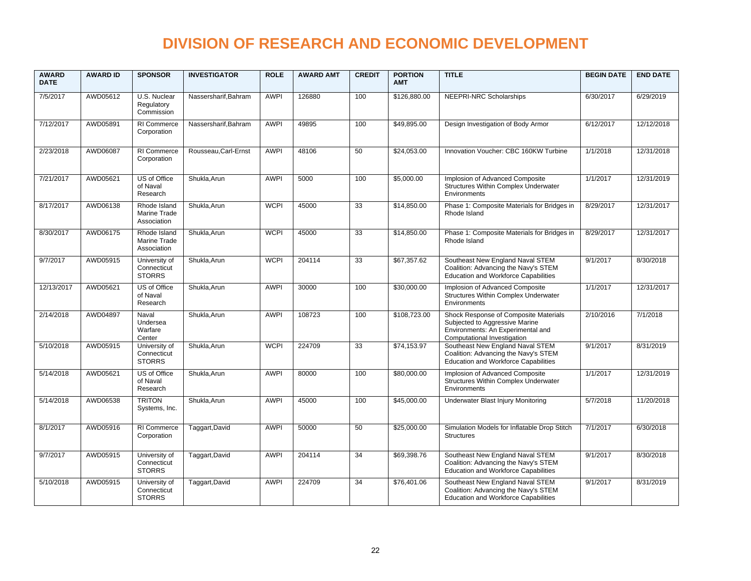| <b>AWARD</b><br><b>DATE</b> | <b>AWARD ID</b> | <b>SPONSOR</b>                                | <b>INVESTIGATOR</b>  | <b>ROLE</b> | <b>AWARD AMT</b> | <b>CREDIT</b>   | <b>PORTION</b><br><b>AMT</b> | <b>TITLE</b>                                                                                                                                | <b>BEGIN DATE</b> | <b>END DATE</b> |
|-----------------------------|-----------------|-----------------------------------------------|----------------------|-------------|------------------|-----------------|------------------------------|---------------------------------------------------------------------------------------------------------------------------------------------|-------------------|-----------------|
| 7/5/2017                    | AWD05612        | U.S. Nuclear<br>Regulatory<br>Commission      | Nassersharif, Bahram | <b>AWPI</b> | 126880           | 100             | \$126,880.00                 | NEEPRI-NRC Scholarships                                                                                                                     | 6/30/2017         | 6/29/2019       |
| 7/12/2017                   | AWD05891        | RI Commerce<br>Corporation                    | Nassersharif, Bahram | <b>AWPI</b> | 49895            | 100             | \$49,895.00                  | Design Investigation of Body Armor                                                                                                          | 6/12/2017         | 12/12/2018      |
| 2/23/2018                   | AWD06087        | RI Commerce<br>Corporation                    | Rousseau, Carl-Ernst | <b>AWPI</b> | 48106            | 50              | \$24,053.00                  | Innovation Voucher: CBC 160KW Turbine                                                                                                       | 1/1/2018          | 12/31/2018      |
| 7/21/2017                   | AWD05621        | US of Office<br>of Naval<br>Research          | Shukla, Arun         | <b>AWPI</b> | 5000             | 100             | \$5,000.00                   | Implosion of Advanced Composite<br>Structures Within Complex Underwater<br>Environments                                                     | 1/1/2017          | 12/31/2019      |
| 8/17/2017                   | AWD06138        | Rhode Island<br>Marine Trade<br>Association   | Shukla, Arun         | <b>WCPI</b> | 45000            | 33              | \$14,850.00                  | Phase 1: Composite Materials for Bridges in<br>Rhode Island                                                                                 | 8/29/2017         | 12/31/2017      |
| 8/30/2017                   | AWD06175        | Rhode Island<br>Marine Trade<br>Association   | Shukla, Arun         | <b>WCPI</b> | 45000            | 33              | \$14,850.00                  | Phase 1: Composite Materials for Bridges in<br>Rhode Island                                                                                 | 8/29/2017         | 12/31/2017      |
| 9/7/2017                    | AWD05915        | University of<br>Connecticut<br><b>STORRS</b> | Shukla.Arun          | <b>WCPI</b> | 204114           | 33              | \$67,357.62                  | Southeast New England Naval STEM<br>Coalition: Advancing the Navy's STEM<br><b>Education and Workforce Capabilities</b>                     | 9/1/2017          | 8/30/2018       |
| 12/13/2017                  | AWD05621        | US of Office<br>of Naval<br>Research          | Shukla, Arun         | <b>AWPI</b> | 30000            | 100             | \$30,000.00                  | Implosion of Advanced Composite<br><b>Structures Within Complex Underwater</b><br>Environments                                              | 1/1/2017          | 12/31/2017      |
| 2/14/2018                   | AWD04897        | Naval<br>Undersea<br>Warfare<br>Center        | Shukla, Arun         | <b>AWPI</b> | 108723           | 100             | \$108,723.00                 | Shock Response of Composite Materials<br>Subjected to Aggressive Marine<br>Environments: An Experimental and<br>Computational Investigation | 2/10/2016         | 7/1/2018        |
| 5/10/2018                   | AWD05915        | University of<br>Connecticut<br><b>STORRS</b> | Shukla, Arun         | <b>WCPI</b> | 224709           | 33              | \$74,153.97                  | Southeast New England Naval STEM<br>Coalition: Advancing the Navy's STEM<br><b>Education and Workforce Capabilities</b>                     | 9/1/2017          | 8/31/2019       |
| 5/14/2018                   | AWD05621        | US of Office<br>of Naval<br>Research          | Shukla, Arun         | <b>AWPI</b> | 80000            | 100             | \$80,000.00                  | Implosion of Advanced Composite<br>Structures Within Complex Underwater<br>Environments                                                     | 1/1/2017          | 12/31/2019      |
| 5/14/2018                   | AWD06538        | <b>TRITON</b><br>Systems, Inc.                | Shukla, Arun         | <b>AWPI</b> | 45000            | 100             | \$45,000.00                  | Underwater Blast Injury Monitoring                                                                                                          | 5/7/2018          | 11/20/2018      |
| 8/1/2017                    | AWD05916        | RI Commerce<br>Corporation                    | Taggart, David       | <b>AWPI</b> | 50000            | 50              | \$25,000.00                  | Simulation Models for Inflatable Drop Stitch<br><b>Structures</b>                                                                           | 7/1/2017          | 6/30/2018       |
| 9/7/2017                    | AWD05915        | University of<br>Connecticut<br><b>STORRS</b> | Taggart, David       | <b>AWPI</b> | 204114           | 34              | \$69,398.76                  | Southeast New England Naval STEM<br>Coalition: Advancing the Navy's STEM<br><b>Education and Workforce Capabilities</b>                     | 9/1/2017          | 8/30/2018       |
| 5/10/2018                   | AWD05915        | University of<br>Connecticut<br><b>STORRS</b> | Taggart, David       | <b>AWPI</b> | 224709           | $\overline{34}$ | \$76,401.06                  | Southeast New England Naval STEM<br>Coalition: Advancing the Navy's STEM<br><b>Education and Workforce Capabilities</b>                     | 9/1/2017          | 8/31/2019       |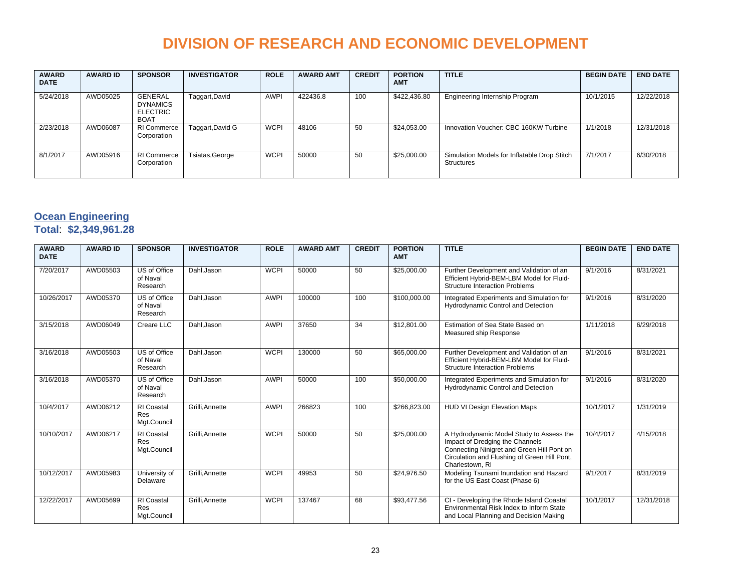| <b>AWARD</b><br><b>DATE</b> | <b>AWARD ID</b> | <b>SPONSOR</b>                                               | <b>INVESTIGATOR</b> | <b>ROLE</b> | <b>AWARD AMT</b> | <b>CREDIT</b> | <b>PORTION</b><br><b>AMT</b> | <b>TITLE</b>                                                      | <b>BEGIN DATE</b> | <b>END DATE</b> |
|-----------------------------|-----------------|--------------------------------------------------------------|---------------------|-------------|------------------|---------------|------------------------------|-------------------------------------------------------------------|-------------------|-----------------|
| 5/24/2018                   | AWD05025        | GENERAL<br><b>DYNAMICS</b><br><b>ELECTRIC</b><br><b>BOAT</b> | Taggart, David      | <b>AWPI</b> | 422436.8         | 100           | \$422,436.80                 | Engineering Internship Program                                    | 10/1/2015         | 12/22/2018      |
| 2/23/2018                   | AWD06087        | <b>RI Commerce</b><br>Corporation                            | Taggart, David G    | <b>WCPI</b> | 48106            | 50            | \$24,053.00                  | Innovation Voucher: CBC 160KW Turbine                             | 1/1/2018          | 12/31/2018      |
| 8/1/2017                    | AWD05916        | RI Commerce<br>Corporation                                   | Tsiatas, George     | <b>WCPI</b> | 50000            | 50            | \$25,000.00                  | Simulation Models for Inflatable Drop Stitch<br><b>Structures</b> | 7/1/2017          | 6/30/2018       |

### **Ocean Engineering**

#### **Total**: **\$2,349,961.28**

| <b>AWARD</b><br><b>DATE</b> | <b>AWARD ID</b> | <b>SPONSOR</b>                                 | <b>INVESTIGATOR</b> | <b>ROLE</b> | <b>AWARD AMT</b> | <b>CREDIT</b> | <b>PORTION</b><br><b>AMT</b> | <b>TITLE</b>                                                                                                                                                                                 | <b>BEGIN DATE</b> | <b>END DATE</b> |
|-----------------------------|-----------------|------------------------------------------------|---------------------|-------------|------------------|---------------|------------------------------|----------------------------------------------------------------------------------------------------------------------------------------------------------------------------------------------|-------------------|-----------------|
| 7/20/2017                   | AWD05503        | US of Office<br>of Naval<br>Research           | Dahl, Jason         | <b>WCPI</b> | 50000            | 50            | \$25,000.00                  | Further Development and Validation of an<br>Efficient Hybrid-BEM-LBM Model for Fluid-<br><b>Structure Interaction Problems</b>                                                               | 9/1/2016          | 8/31/2021       |
| 10/26/2017                  | AWD05370        | US of Office<br>of Naval<br>Research           | Dahl, Jason         | <b>AWPI</b> | 100000           | 100           | \$100,000.00                 | Integrated Experiments and Simulation for<br>Hydrodynamic Control and Detection                                                                                                              | 9/1/2016          | 8/31/2020       |
| 3/15/2018                   | AWD06049        | Creare LLC                                     | Dahl.Jason          | <b>AWPI</b> | 37650            | 34            | \$12,801.00                  | Estimation of Sea State Based on<br>Measured ship Response                                                                                                                                   | 1/11/2018         | 6/29/2018       |
| 3/16/2018                   | AWD05503        | US of Office<br>of Naval<br>Research           | Dahl, Jason         | <b>WCPI</b> | 130000           | 50            | \$65,000.00                  | Further Development and Validation of an<br>Efficient Hybrid-BEM-LBM Model for Fluid-<br><b>Structure Interaction Problems</b>                                                               | 9/1/2016          | 8/31/2021       |
| 3/16/2018                   | AWD05370        | US of Office<br>of Naval<br>Research           | Dahl, Jason         | <b>AWPI</b> | 50000            | 100           | \$50,000.00                  | Integrated Experiments and Simulation for<br>Hydrodynamic Control and Detection                                                                                                              | 9/1/2016          | 8/31/2020       |
| 10/4/2017                   | AWD06212        | <b>RI</b> Coastal<br><b>Res</b><br>Mgt.Council | Grilli, Annette     | <b>AWPI</b> | 266823           | 100           | \$266,823.00                 | HUD VI Design Elevation Maps                                                                                                                                                                 | 10/1/2017         | 1/31/2019       |
| 10/10/2017                  | AWD06217        | <b>RI</b> Coastal<br><b>Res</b><br>Mgt.Council | Grilli, Annette     | <b>WCPI</b> | 50000            | 50            | \$25,000.00                  | A Hydrodynamic Model Study to Assess the<br>Impact of Dredging the Channels<br>Connecting Ninigret and Green Hill Pont on<br>Circulation and Flushing of Green Hill Pont,<br>Charlestown, RI | 10/4/2017         | 4/15/2018       |
| 10/12/2017                  | AWD05983        | University of<br>Delaware                      | Grilli, Annette     | <b>WCPI</b> | 49953            | 50            | \$24,976.50                  | Modeling Tsunami Inundation and Hazard<br>for the US East Coast (Phase 6)                                                                                                                    | 9/1/2017          | 8/31/2019       |
| 12/22/2017                  | AWD05699        | <b>RI</b> Coastal<br>Res<br>Mgt.Council        | Grilli.Annette      | <b>WCPI</b> | 137467           | 68            | \$93,477.56                  | CI - Developing the Rhode Island Coastal<br>Environmental Risk Index to Inform State<br>and Local Planning and Decision Making                                                               | 10/1/2017         | 12/31/2018      |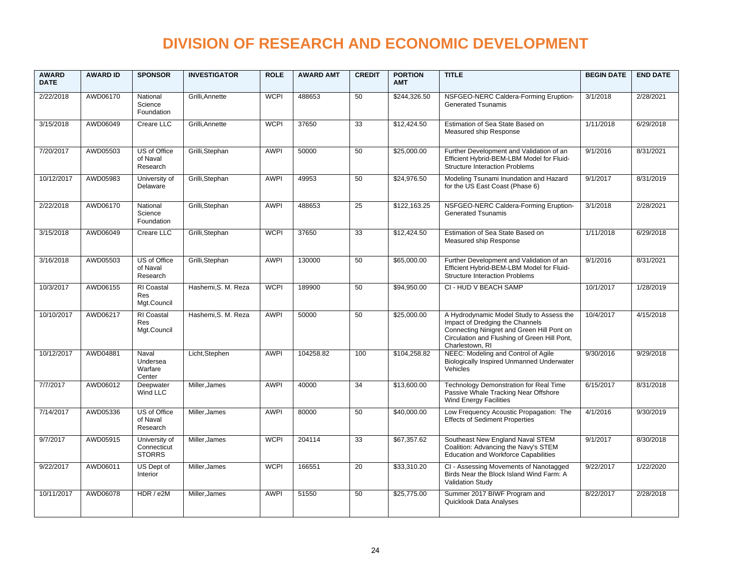| <b>AWARD</b><br><b>DATE</b> | <b>AWARD ID</b> | <b>SPONSOR</b>                                 | <b>INVESTIGATOR</b> | <b>ROLE</b> | <b>AWARD AMT</b> | <b>CREDIT</b>   | <b>PORTION</b><br><b>AMT</b> | <b>TITLE</b>                                                                                                                                                                                 | <b>BEGIN DATE</b> | <b>END DATE</b> |
|-----------------------------|-----------------|------------------------------------------------|---------------------|-------------|------------------|-----------------|------------------------------|----------------------------------------------------------------------------------------------------------------------------------------------------------------------------------------------|-------------------|-----------------|
| 2/22/2018                   | AWD06170        | National<br>Science<br>Foundation              | Grilli, Annette     | <b>WCPI</b> | 488653           | 50              | \$244,326.50                 | NSFGEO-NERC Caldera-Forming Eruption-<br><b>Generated Tsunamis</b>                                                                                                                           | 3/1/2018          | 2/28/2021       |
| 3/15/2018                   | AWD06049        | Creare LLC                                     | Grilli, Annette     | <b>WCPI</b> | 37650            | $\overline{33}$ | \$12,424.50                  | Estimation of Sea State Based on<br>Measured ship Response                                                                                                                                   | 1/11/2018         | 6/29/2018       |
| 7/20/2017                   | AWD05503        | US of Office<br>of Naval<br>Research           | Grilli, Stephan     | <b>AWPI</b> | 50000            | 50              | \$25,000.00                  | Further Development and Validation of an<br>Efficient Hybrid-BEM-LBM Model for Fluid-<br><b>Structure Interaction Problems</b>                                                               | 9/1/2016          | 8/31/2021       |
| 10/12/2017                  | AWD05983        | University of<br>Delaware                      | Grilli, Stephan     | <b>AWPI</b> | 49953            | 50              | \$24,976.50                  | Modeling Tsunami Inundation and Hazard<br>for the US East Coast (Phase 6)                                                                                                                    | 9/1/2017          | 8/31/2019       |
| 2/22/2018                   | AWD06170        | National<br>Science<br>Foundation              | Grilli, Stephan     | <b>AWPI</b> | 488653           | 25              | \$122,163.25                 | NSFGEO-NERC Caldera-Forming Eruption-<br><b>Generated Tsunamis</b>                                                                                                                           | 3/1/2018          | 2/28/2021       |
| 3/15/2018                   | AWD06049        | Creare LLC                                     | Grilli, Stephan     | <b>WCPI</b> | 37650            | $\overline{33}$ | \$12,424.50                  | Estimation of Sea State Based on<br>Measured ship Response                                                                                                                                   | 1/11/2018         | 6/29/2018       |
| 3/16/2018                   | AWD05503        | US of Office<br>of Naval<br>Research           | Grilli, Stephan     | <b>AWPI</b> | 130000           | 50              | \$65,000.00                  | Further Development and Validation of an<br>Efficient Hybrid-BEM-LBM Model for Fluid-<br><b>Structure Interaction Problems</b>                                                               | 9/1/2016          | 8/31/2021       |
| 10/3/2017                   | AWD06155        | RI Coastal<br><b>Res</b><br>Mgt.Council        | Hashemi, S. M. Reza | <b>WCPI</b> | 189900           | 50              | \$94,950.00                  | CI - HUD V BEACH SAMP                                                                                                                                                                        | 10/1/2017         | 1/28/2019       |
| 10/10/2017                  | AWD06217        | <b>RI</b> Coastal<br><b>Res</b><br>Mgt.Council | Hashemi.S. M. Reza  | <b>AWPI</b> | 50000            | 50              | \$25,000.00                  | A Hydrodynamic Model Study to Assess the<br>Impact of Dredging the Channels<br>Connecting Ninigret and Green Hill Pont on<br>Circulation and Flushing of Green Hill Pont,<br>Charlestown, RI | 10/4/2017         | 4/15/2018       |
| 10/12/2017                  | AWD04881        | Naval<br>Undersea<br>Warfare<br>Center         | Licht, Stephen      | <b>AWPI</b> | 104258.82        | 100             | \$104,258.82                 | NEEC: Modeling and Control of Agile<br><b>Biologically Inspired Unmanned Underwater</b><br>Vehicles                                                                                          | 9/30/2016         | 9/29/2018       |
| 7/7/2017                    | AWD06012        | Deepwater<br>Wind LLC                          | Miller, James       | <b>AWPI</b> | 40000            | 34              | \$13,600.00                  | Technology Demonstration for Real Time<br>Passive Whale Tracking Near Offshore<br><b>Wind Energy Facilities</b>                                                                              | 6/15/2017         | 8/31/2018       |
| 7/14/2017                   | AWD05336        | US of Office<br>of Naval<br>Research           | Miller, James       | <b>AWPI</b> | 80000            | 50              | \$40,000.00                  | Low Frequency Acoustic Propagation: The<br><b>Effects of Sediment Properties</b>                                                                                                             | 4/1/2016          | 9/30/2019       |
| 9/7/2017                    | AWD05915        | University of<br>Connecticut<br><b>STORRS</b>  | Miller, James       | <b>WCPI</b> | 204114           | 33              | \$67,357.62                  | Southeast New England Naval STEM<br>Coalition: Advancing the Navy's STEM<br><b>Education and Workforce Capabilities</b>                                                                      | 9/1/2017          | 8/30/2018       |
| 9/22/2017                   | AWD06011        | US Dept of<br>Interior                         | Miller, James       | <b>WCPI</b> | 166551           | 20              | \$33,310.20                  | CI - Assessing Movements of Nanotagged<br>Birds Near the Block Island Wind Farm: A<br>Validation Study                                                                                       | 9/22/2017         | 1/22/2020       |
| 10/11/2017                  | AWD06078        | HDR / e2M                                      | Miller, James       | <b>AWPI</b> | 51550            | 50              | \$25,775.00                  | Summer 2017 BIWF Program and<br>Quicklook Data Analyses                                                                                                                                      | 8/22/2017         | 2/28/2018       |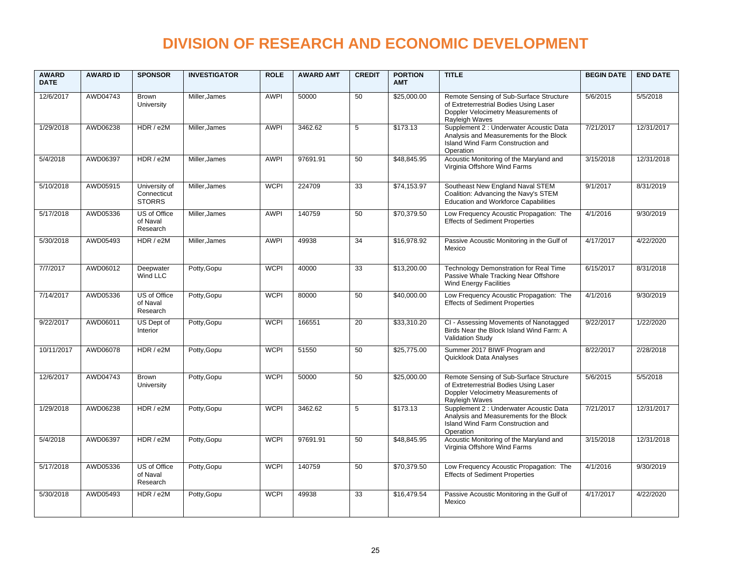| <b>AWARD</b><br><b>DATE</b> | <b>AWARD ID</b> | <b>SPONSOR</b>                                | <b>INVESTIGATOR</b> | <b>ROLE</b> | <b>AWARD AMT</b> | <b>CREDIT</b>   | <b>PORTION</b><br><b>AMT</b> | <b>TITLE</b>                                                                                                                               | <b>BEGIN DATE</b> | <b>END DATE</b> |
|-----------------------------|-----------------|-----------------------------------------------|---------------------|-------------|------------------|-----------------|------------------------------|--------------------------------------------------------------------------------------------------------------------------------------------|-------------------|-----------------|
| 12/6/2017                   | AWD04743        | <b>Brown</b><br>University                    | Miller, James       | <b>AWPI</b> | 50000            | 50              | \$25,000.00                  | Remote Sensing of Sub-Surface Structure<br>of Extreterrestrial Bodies Using Laser<br>Doppler Velocimetry Measurements of<br>Rayleigh Waves | 5/6/2015          | 5/5/2018        |
| 1/29/2018                   | AWD06238        | HDR / e2M                                     | Miller, James       | <b>AWPI</b> | 3462.62          | 5               | \$173.13                     | Supplement 2 : Underwater Acoustic Data<br>Analysis and Measurements for the Block<br>Island Wind Farm Construction and<br>Operation       | 7/21/2017         | 12/31/2017      |
| 5/4/2018                    | AWD06397        | HDR / e2M                                     | Miller, James       | <b>AWPI</b> | 97691.91         | 50              | \$48.845.95                  | Acoustic Monitoring of the Maryland and<br>Virginia Offshore Wind Farms                                                                    | 3/15/2018         | 12/31/2018      |
| 5/10/2018                   | AWD05915        | University of<br>Connecticut<br><b>STORRS</b> | Miller, James       | <b>WCPI</b> | 224709           | 33              | \$74,153.97                  | Southeast New England Naval STEM<br>Coalition: Advancing the Navy's STEM<br><b>Education and Workforce Capabilities</b>                    | 9/1/2017          | 8/31/2019       |
| 5/17/2018                   | AWD05336        | US of Office<br>of Naval<br>Research          | Miller, James       | <b>AWPI</b> | 140759           | 50              | \$70,379.50                  | Low Frequency Acoustic Propagation: The<br><b>Effects of Sediment Properties</b>                                                           | 4/1/2016          | 9/30/2019       |
| 5/30/2018                   | AWD05493        | HDR / e2M                                     | Miller, James       | <b>AWPI</b> | 49938            | 34              | \$16,978.92                  | Passive Acoustic Monitoring in the Gulf of<br>Mexico                                                                                       | 4/17/2017         | 4/22/2020       |
| 7/7/2017                    | AWD06012        | Deepwater<br>Wind LLC                         | Potty, Gopu         | <b>WCPI</b> | 40000            | $\overline{33}$ | \$13,200.00                  | Technology Demonstration for Real Time<br>Passive Whale Tracking Near Offshore<br>Wind Energy Facilities                                   | 6/15/2017         | 8/31/2018       |
| 7/14/2017                   | AWD05336        | US of Office<br>of Naval<br>Research          | Potty, Gopu         | <b>WCPI</b> | 80000            | 50              | \$40,000.00                  | Low Frequency Acoustic Propagation: The<br><b>Effects of Sediment Properties</b>                                                           | 4/1/2016          | 9/30/2019       |
| 9/22/2017                   | AWD06011        | US Dept of<br>Interior                        | Potty, Gopu         | <b>WCPI</b> | 166551           | 20              | \$33,310.20                  | CI - Assessing Movements of Nanotagged<br>Birds Near the Block Island Wind Farm: A<br><b>Validation Study</b>                              | 9/22/2017         | 1/22/2020       |
| 10/11/2017                  | AWD06078        | HDR / e2M                                     | Potty, Gopu         | <b>WCPI</b> | 51550            | 50              | \$25,775.00                  | Summer 2017 BIWF Program and<br>Quicklook Data Analyses                                                                                    | 8/22/2017         | 2/28/2018       |
| 12/6/2017                   | AWD04743        | <b>Brown</b><br>University                    | Potty, Gopu         | <b>WCPI</b> | 50000            | 50              | \$25,000.00                  | Remote Sensing of Sub-Surface Structure<br>of Extreterrestrial Bodies Using Laser<br>Doppler Velocimetry Measurements of<br>Rayleigh Waves | 5/6/2015          | 5/5/2018        |
| 1/29/2018                   | AWD06238        | HDR / e2M                                     | Potty, Gopu         | <b>WCPI</b> | 3462.62          | 5               | \$173.13                     | Supplement 2 : Underwater Acoustic Data<br>Analysis and Measurements for the Block<br>Island Wind Farm Construction and<br>Operation       | 7/21/2017         | 12/31/2017      |
| 5/4/2018                    | AWD06397        | HDR / e2M                                     | Potty, Gopu         | <b>WCPI</b> | 97691.91         | 50              | \$48,845.95                  | Acoustic Monitoring of the Maryland and<br>Virginia Offshore Wind Farms                                                                    | 3/15/2018         | 12/31/2018      |
| 5/17/2018                   | AWD05336        | US of Office<br>of Naval<br>Research          | Potty, Gopu         | <b>WCPI</b> | 140759           | 50              | \$70,379.50                  | Low Frequency Acoustic Propagation: The<br><b>Effects of Sediment Properties</b>                                                           | 4/1/2016          | 9/30/2019       |
| 5/30/2018                   | AWD05493        | HDR / e2M                                     | Potty, Gopu         | <b>WCPI</b> | 49938            | 33              | \$16,479.54                  | Passive Acoustic Monitoring in the Gulf of<br>Mexico                                                                                       | 4/17/2017         | 4/22/2020       |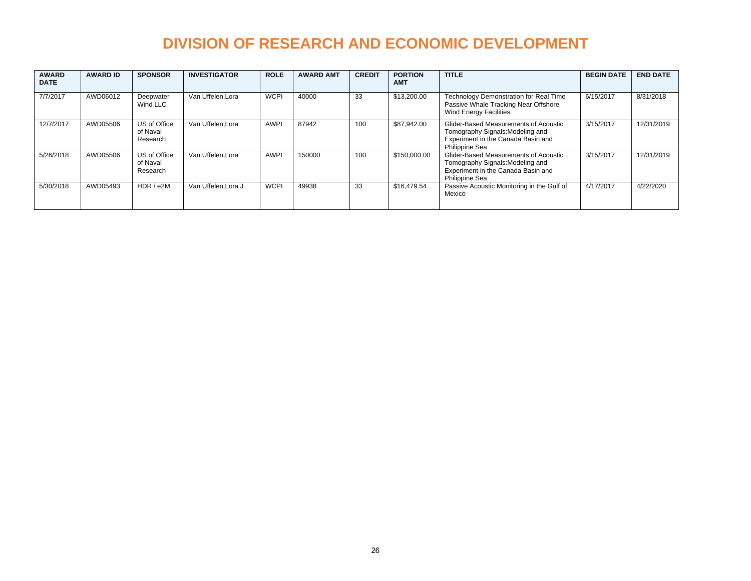| <b>AWARD</b><br><b>DATE</b> | <b>AWARD ID</b> | <b>SPONSOR</b>                       | <b>INVESTIGATOR</b> | <b>ROLE</b> | <b>AWARD AMT</b> | <b>CREDIT</b> | <b>PORTION</b><br><b>AMT</b> | <b>TITLE</b>                                                                                                                             | <b>BEGIN DATE</b> | <b>END DATE</b> |
|-----------------------------|-----------------|--------------------------------------|---------------------|-------------|------------------|---------------|------------------------------|------------------------------------------------------------------------------------------------------------------------------------------|-------------------|-----------------|
| 7/7/2017                    | AWD06012        | Deepwater<br>Wind LLC                | Van Uffelen.Lora    | <b>WCPI</b> | 40000            | 33            | \$13,200.00                  | Technology Demonstration for Real Time<br>Passive Whale Tracking Near Offshore<br><b>Wind Energy Facilities</b>                          | 6/15/2017         | 8/31/2018       |
| 12/7/2017                   | AWD05506        | US of Office<br>of Naval<br>Research | Van Uffelen.Lora    | <b>AWPI</b> | 87942            | 100           | \$87.942.00                  | Glider-Based Measurements of Acoustic<br>Tomography Signals: Modeling and<br>Experiment in the Canada Basin and<br><b>Philippine Sea</b> | 3/15/2017         | 12/31/2019      |
| 5/26/2018                   | AWD05506        | US of Office<br>of Naval<br>Research | Van Uffelen.Lora    | <b>AWPI</b> | 150000           | 100           | \$150,000.00                 | Glider-Based Measurements of Acoustic<br>Tomography Signals: Modeling and<br>Experiment in the Canada Basin and<br>Philippine Sea        | 3/15/2017         | 12/31/2019      |
| 5/30/2018                   | AWD05493        | HDR / e2M                            | Van Uffelen.Lora J  | <b>WCPI</b> | 49938            | 33            | \$16,479.54                  | Passive Acoustic Monitoring in the Gulf of<br>Mexico                                                                                     | 4/17/2017         | 4/22/2020       |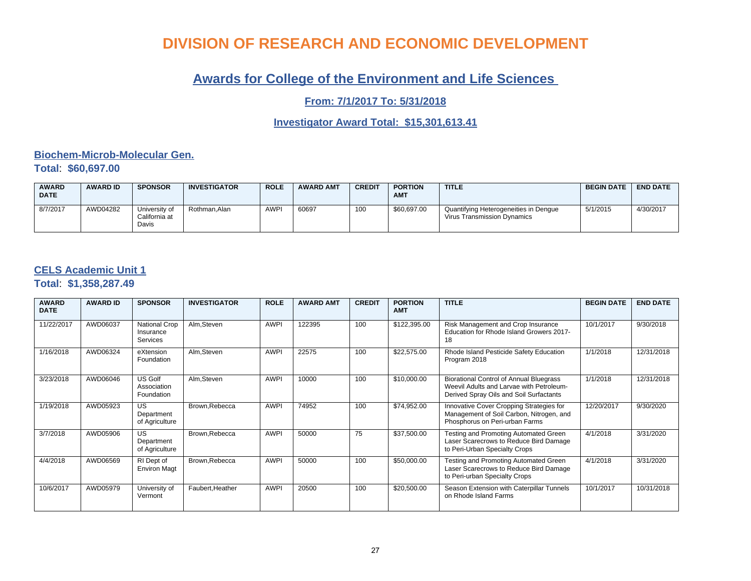### **Awards for College of the Environment and Life Sciences**

**From: 7/1/2017 To: 5/31/2018**

**Investigator Award Total: \$15,301,613.41**

#### **Biochem-Microb-Molecular Gen. Total**: **\$60,697.00**

| <b>AWARD</b><br><b>DATE</b> | <b>AWARD ID</b> | <b>SPONSOR</b>                          | <b>INVESTIGATOR</b> | <b>ROLE</b> | <b>AWARD AMT</b> | <b>CREDIT</b> | <b>PORTION</b><br><b>AM1</b> | <b>TITLE</b>                                                         | <b>BEGIN DATE</b> | <b>END DATE</b> |
|-----------------------------|-----------------|-----------------------------------------|---------------------|-------------|------------------|---------------|------------------------------|----------------------------------------------------------------------|-------------------|-----------------|
| 8/7/2017                    | AWD04282        | University of<br>California at<br>Davis | Rothman.Alan        | <b>AWPI</b> | 60697            | 100           | \$60,697.00                  | Quantifying Heterogeneities in Dengue<br>Virus Transmission Dynamics | 5/1/2015          | 4/30/2017       |

#### **CELS Academic Unit 1**

**Total**: **\$1,358,287.49**

| <b>AWARD</b><br><b>DATE</b> | <b>AWARD ID</b> | <b>SPONSOR</b>                                       | <b>INVESTIGATOR</b> | <b>ROLE</b> | <b>AWARD AMT</b> | <b>CREDIT</b> | <b>PORTION</b><br><b>AMT</b> | <b>TITLE</b>                                                                                                                   | <b>BEGIN DATE</b> | <b>END DATE</b> |
|-----------------------------|-----------------|------------------------------------------------------|---------------------|-------------|------------------|---------------|------------------------------|--------------------------------------------------------------------------------------------------------------------------------|-------------------|-----------------|
| 11/22/2017                  | AWD06037        | <b>National Crop</b><br>Insurance<br><b>Services</b> | Alm, Steven         | <b>AWPI</b> | 122395           | 100           | \$122,395.00                 | Risk Management and Crop Insurance<br>Education for Rhode Island Growers 2017-<br>18                                           | 10/1/2017         | 9/30/2018       |
| 1/16/2018                   | AWD06324        | eXtension<br>Foundation                              | Alm, Steven         | <b>AWPI</b> | 22575            | 100           | \$22,575.00                  | Rhode Island Pesticide Safety Education<br>Program 2018                                                                        | 1/1/2018          | 12/31/2018      |
| 3/23/2018                   | AWD06046        | US Golf<br>Association<br>Foundation                 | Alm, Steven         | <b>AWPI</b> | 10000            | 100           | \$10,000.00                  | Biorational Control of Annual Bluegrass<br>Weevil Adults and Larvae with Petroleum-<br>Derived Spray Oils and Soil Surfactants | 1/1/2018          | 12/31/2018      |
| 1/19/2018                   | AWD05923        | <b>US</b><br>Department<br>of Agriculture            | Brown, Rebecca      | <b>AWPI</b> | 74952            | 100           | \$74,952.00                  | Innovative Cover Cropping Strategies for<br>Management of Soil Carbon, Nitrogen, and<br>Phosphorus on Peri-urban Farms         | 12/20/2017        | 9/30/2020       |
| 3/7/2018                    | AWD05906        | <b>US</b><br>Department<br>of Agriculture            | Brown, Rebecca      | <b>AWPI</b> | 50000            | 75            | \$37,500.00                  | Testing and Promoting Automated Green<br>Laser Scarecrows to Reduce Bird Damage<br>to Peri-Urban Specialty Crops               | 4/1/2018          | 3/31/2020       |
| 4/4/2018                    | AWD06569        | RI Dept of<br><b>Environ Magt</b>                    | Brown, Rebecca      | <b>AWPI</b> | 50000            | 100           | \$50,000.00                  | Testing and Promoting Automated Green<br>Laser Scarecrows to Reduce Bird Damage<br>to Peri-urban Specialty Crops               | 4/1/2018          | 3/31/2020       |
| 10/6/2017                   | AWD05979        | University of<br>Vermont                             | Faubert, Heather    | <b>AWPI</b> | 20500            | 100           | \$20,500.00                  | Season Extension with Caterpillar Tunnels<br>on Rhode Island Farms                                                             | 10/1/2017         | 10/31/2018      |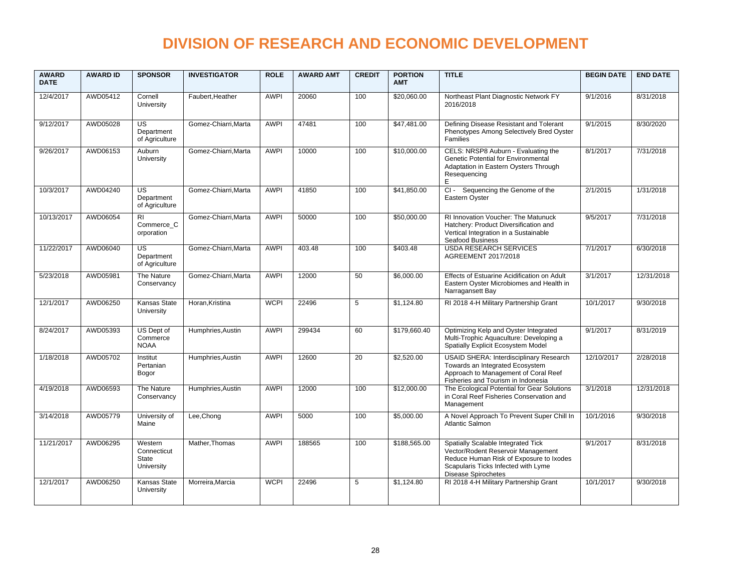| <b>AWARD</b><br><b>DATE</b> | <b>AWARD ID</b> | <b>SPONSOR</b>                                  | <b>INVESTIGATOR</b>  | <b>ROLE</b> | <b>AWARD AMT</b> | <b>CREDIT</b> | <b>PORTION</b><br><b>AMT</b> | <b>TITLE</b>                                                                                                                                                                      | <b>BEGIN DATE</b> | <b>END DATE</b> |
|-----------------------------|-----------------|-------------------------------------------------|----------------------|-------------|------------------|---------------|------------------------------|-----------------------------------------------------------------------------------------------------------------------------------------------------------------------------------|-------------------|-----------------|
| 12/4/2017                   | AWD05412        | Cornell<br>University                           | Faubert, Heather     | <b>AWPI</b> | 20060            | 100           | \$20,060.00                  | Northeast Plant Diagnostic Network FY<br>2016/2018                                                                                                                                | 9/1/2016          | 8/31/2018       |
| 9/12/2017                   | AWD05028        | US<br>Department<br>of Agriculture              | Gomez-Chiarri, Marta | <b>AWPI</b> | 47481            | 100           | \$47,481.00                  | Defining Disease Resistant and Tolerant<br>Phenotypes Among Selectively Bred Oyster<br>Families                                                                                   | 9/1/2015          | 8/30/2020       |
| 9/26/2017                   | AWD06153        | Auburn<br>University                            | Gomez-Chiarri, Marta | <b>AWPI</b> | 10000            | 100           | \$10,000.00                  | CELS: NRSP8 Auburn - Evaluating the<br>Genetic Potential for Environmental<br>Adaptation in Eastern Oysters Through<br>Resequencing<br>E                                          | 8/1/2017          | 7/31/2018       |
| 10/3/2017                   | AWD04240        | $\overline{US}$<br>Department<br>of Agriculture | Gomez-Chiarri, Marta | <b>AWPI</b> | 41850            | 100           | \$41,850.00                  | CI - Sequencing the Genome of the<br>Eastern Oyster                                                                                                                               | 2/1/2015          | 1/31/2018       |
| 10/13/2017                  | AWD06054        | <b>RI</b><br>Commerce C<br>orporation           | Gomez-Chiarri, Marta | <b>AWPI</b> | 50000            | 100           | \$50,000.00                  | <b>RI Innovation Voucher: The Matunuck</b><br>Hatchery: Product Diversification and<br>Vertical Integration in a Sustainable<br>Seafood Business                                  | 9/5/2017          | 7/31/2018       |
| 11/22/2017                  | AWD06040        | <b>US</b><br>Department<br>of Agriculture       | Gomez-Chiarri.Marta  | <b>AWPI</b> | 403.48           | 100           | \$403.48                     | <b>USDA RESEARCH SERVICES</b><br>AGREEMENT 2017/2018                                                                                                                              | 7/1/2017          | 6/30/2018       |
| 5/23/2018                   | AWD05981        | The Nature<br>Conservancy                       | Gomez-Chiarri.Marta  | <b>AWPI</b> | 12000            | 50            | \$6,000.00                   | Effects of Estuarine Acidification on Adult<br>Eastern Oyster Microbiomes and Health in<br>Narragansett Bay                                                                       | 3/1/2017          | 12/31/2018      |
| 12/1/2017                   | AWD06250        | Kansas State<br>University                      | Horan, Kristina      | <b>WCPI</b> | 22496            | 5             | \$1.124.80                   | RI 2018 4-H Military Partnership Grant                                                                                                                                            | 10/1/2017         | 9/30/2018       |
| 8/24/2017                   | AWD05393        | US Dept of<br>Commerce<br><b>NOAA</b>           | Humphries, Austin    | <b>AWPI</b> | 299434           | 60            | \$179,660.40                 | Optimizing Kelp and Oyster Integrated<br>Multi-Trophic Aquaculture: Developing a<br>Spatially Explicit Ecosystem Model                                                            | 9/1/2017          | 8/31/2019       |
| 1/18/2018                   | AWD05702        | Institut<br>Pertanian<br>Bogor                  | Humphries, Austin    | <b>AWPI</b> | 12600            | 20            | \$2,520.00                   | <b>USAID SHERA: Interdisciplinary Research</b><br>Towards an Integrated Ecosystem<br>Approach to Management of Coral Reef<br>Fisheries and Tourism in Indonesia                   | 12/10/2017        | 2/28/2018       |
| 4/19/2018                   | AWD06593        | The Nature<br>Conservancv                       | Humphries, Austin    | <b>AWPI</b> | 12000            | 100           | \$12,000.00                  | The Ecological Potential for Gear Solutions<br>in Coral Reef Fisheries Conservation and<br>Management                                                                             | 3/1/2018          | 12/31/2018      |
| 3/14/2018                   | AWD05779        | University of<br>Maine                          | Lee, Chong           | <b>AWPI</b> | 5000             | 100           | \$5,000.00                   | A Novel Approach To Prevent Super Chill In<br><b>Atlantic Salmon</b>                                                                                                              | 10/1/2016         | 9/30/2018       |
| 11/21/2017                  | AWD06295        | Western<br>Connecticut<br>State<br>University   | Mather, Thomas       | <b>AWPI</b> | 188565           | 100           | \$188,565.00                 | Spatially Scalable Integrated Tick<br>Vector/Rodent Reservoir Management<br>Reduce Human Risk of Exposure to Ixodes<br>Scapularis Ticks Infected with Lyme<br>Disease Spirochetes | 9/1/2017          | 8/31/2018       |
| 12/1/2017                   | AWD06250        | Kansas State<br>University                      | Morreira.Marcia      | <b>WCPI</b> | 22496            | 5             | \$1.124.80                   | RI 2018 4-H Military Partnership Grant                                                                                                                                            | 10/1/2017         | 9/30/2018       |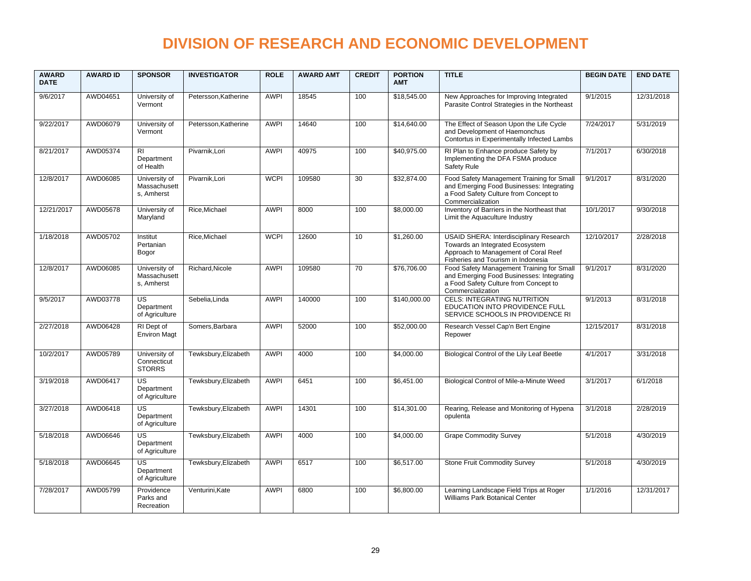| <b>AWARD</b><br><b>DATE</b> | <b>AWARD ID</b> | <b>SPONSOR</b>                                  | <b>INVESTIGATOR</b>  | <b>ROLE</b> | <b>AWARD AMT</b> | <b>CREDIT</b> | <b>PORTION</b><br><b>AMT</b> | <b>TITLE</b>                                                                                                                                                    | <b>BEGIN DATE</b> | <b>END DATE</b> |
|-----------------------------|-----------------|-------------------------------------------------|----------------------|-------------|------------------|---------------|------------------------------|-----------------------------------------------------------------------------------------------------------------------------------------------------------------|-------------------|-----------------|
| 9/6/2017                    | AWD04651        | University of<br>Vermont                        | Petersson, Katherine | <b>AWPI</b> | 18545            | 100           | \$18,545.00                  | New Approaches for Improving Integrated<br>Parasite Control Strategies in the Northeast                                                                         | 9/1/2015          | 12/31/2018      |
| 9/22/2017                   | AWD06079        | University of<br>Vermont                        | Petersson, Katherine | <b>AWPI</b> | 14640            | 100           | \$14,640.00                  | The Effect of Season Upon the Life Cycle<br>and Development of Haemonchus<br>Contortus in Experimentally Infected Lambs                                         | 7/24/2017         | 5/31/2019       |
| 8/21/2017                   | AWD05374        | R <sub>l</sub><br>Department<br>of Health       | Pivarnik, Lori       | <b>AWPI</b> | 40975            | 100           | \$40,975.00                  | RI Plan to Enhance produce Safety by<br>Implementing the DFA FSMA produce<br>Safety Rule                                                                        | 7/1/2017          | 6/30/2018       |
| 12/8/2017                   | AWD06085        | University of<br>Massachusett<br>s. Amherst     | Pivarnik, Lori       | <b>WCPI</b> | 109580           | 30            | \$32,874.00                  | Food Safety Management Training for Small<br>and Emerging Food Businesses: Integrating<br>a Food Safety Culture from Concept to<br>Commercialization            | 9/1/2017          | 8/31/2020       |
| 12/21/2017                  | AWD05678        | University of<br>Maryland                       | Rice, Michael        | <b>AWPI</b> | 8000             | 100           | \$8,000.00                   | Inventory of Barriers in the Northeast that<br>Limit the Aquaculture Industry                                                                                   | 10/1/2017         | 9/30/2018       |
| 1/18/2018                   | AWD05702        | Institut<br>Pertanian<br>Bogor                  | Rice, Michael        | <b>WCPI</b> | 12600            | 10            | \$1,260.00                   | <b>USAID SHERA: Interdisciplinary Research</b><br>Towards an Integrated Ecosystem<br>Approach to Management of Coral Reef<br>Fisheries and Tourism in Indonesia | 12/10/2017        | 2/28/2018       |
| 12/8/2017                   | AWD06085        | University of<br>Massachusett<br>s, Amherst     | Richard.Nicole       | <b>AWPI</b> | 109580           | 70            | \$76,706.00                  | Food Safety Management Training for Small<br>and Emerging Food Businesses: Integrating<br>a Food Safety Culture from Concept to<br>Commercialization            | 9/1/2017          | 8/31/2020       |
| 9/5/2017                    | AWD03778        | <b>US</b><br>Department<br>of Agriculture       | Sebelia, Linda       | <b>AWPI</b> | 140000           | 100           | \$140,000.00                 | <b>CELS: INTEGRATING NUTRITION</b><br>EDUCATION INTO PROVIDENCE FULL<br>SERVICE SCHOOLS IN PROVIDENCE RI                                                        | 9/1/2013          | 8/31/2018       |
| 2/27/2018                   | AWD06428        | RI Dept of<br><b>Environ Magt</b>               | Somers, Barbara      | <b>AWPI</b> | 52000            | 100           | \$52,000.00                  | Research Vessel Cap'n Bert Engine<br>Repower                                                                                                                    | 12/15/2017        | 8/31/2018       |
| 10/2/2017                   | AWD05789        | University of<br>Connecticut<br><b>STORRS</b>   | Tewksbury, Elizabeth | <b>AWPI</b> | 4000             | 100           | \$4.000.00                   | Biological Control of the Lily Leaf Beetle                                                                                                                      | 4/1/2017          | 3/31/2018       |
| 3/19/2018                   | AWD06417        | $\overline{US}$<br>Department<br>of Agriculture | Tewksbury, Elizabeth | <b>AWPI</b> | 6451             | 100           | \$6.451.00                   | Biological Control of Mile-a-Minute Weed                                                                                                                        | 3/1/2017          | 6/1/2018        |
| 3/27/2018                   | AWD06418        | <b>US</b><br>Department<br>of Agriculture       | Tewksbury, Elizabeth | <b>AWPI</b> | 14301            | 100           | \$14,301.00                  | Rearing, Release and Monitoring of Hypena<br>opulenta                                                                                                           | 3/1/2018          | 2/28/2019       |
| 5/18/2018                   | AWD06646        | <b>US</b><br>Department<br>of Agriculture       | Tewksbury, Elizabeth | <b>AWPI</b> | 4000             | 100           | \$4,000.00                   | <b>Grape Commodity Survey</b>                                                                                                                                   | 5/1/2018          | 4/30/2019       |
| 5/18/2018                   | AWD06645        | <b>US</b><br>Department<br>of Agriculture       | Tewksbury, Elizabeth | <b>AWPI</b> | 6517             | 100           | \$6,517.00                   | <b>Stone Fruit Commodity Survey</b>                                                                                                                             | 5/1/2018          | 4/30/2019       |
| 7/28/2017                   | AWD05799        | Providence<br>Parks and<br>Recreation           | Venturini.Kate       | <b>AWPI</b> | 6800             | 100           | \$6,800.00                   | Learning Landscape Field Trips at Roger<br><b>Williams Park Botanical Center</b>                                                                                | 1/1/2016          | 12/31/2017      |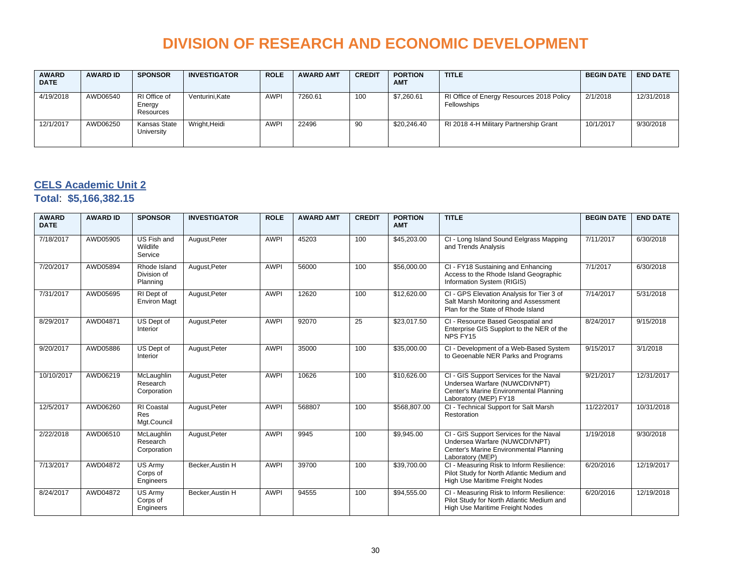| <b>AWARD</b><br><b>DATE</b> | <b>AWARD ID</b> | <b>SPONSOR</b>                      | <b>INVESTIGATOR</b> | <b>ROLE</b> | <b>AWARD AMT</b> | <b>CREDIT</b> | <b>PORTION</b><br><b>AMT</b> | <b>TITLE</b>                                             | <b>BEGIN DATE</b> | <b>END DATE</b> |
|-----------------------------|-----------------|-------------------------------------|---------------------|-------------|------------------|---------------|------------------------------|----------------------------------------------------------|-------------------|-----------------|
| 4/19/2018                   | AWD06540        | RI Office of<br>Energy<br>Resources | Venturini.Kate      | <b>AWPI</b> | 7260.61          | 100           | \$7,260.61                   | RI Office of Energy Resources 2018 Policy<br>Fellowships | 2/1/2018          | 12/31/2018      |
| 12/1/2017                   | AWD06250        | Kansas State<br>University          | Wright, Heidi       | <b>AWPI</b> | 22496            | 90            | \$20,246.40                  | RI 2018 4-H Military Partnership Grant                   | 10/1/2017         | 9/30/2018       |

#### **CELS Academic Unit 2**

**Total**: **\$5,166,382.15**

| <b>AWARD</b><br><b>DATE</b> | <b>AWARD ID</b> | <b>SPONSOR</b>                                 | <b>INVESTIGATOR</b> | <b>ROLE</b> | <b>AWARD AMT</b> | <b>CREDIT</b> | <b>PORTION</b><br><b>AMT</b> | <b>TITLE</b>                                                                                                                                | <b>BEGIN DATE</b> | <b>END DATE</b> |
|-----------------------------|-----------------|------------------------------------------------|---------------------|-------------|------------------|---------------|------------------------------|---------------------------------------------------------------------------------------------------------------------------------------------|-------------------|-----------------|
| 7/18/2017                   | AWD05905        | US Fish and<br>Wildlife<br>Service             | August, Peter       | <b>AWPI</b> | 45203            | 100           | \$45,203.00                  | CI - Long Island Sound Eelgrass Mapping<br>and Trends Analysis                                                                              | 7/11/2017         | 6/30/2018       |
| 7/20/2017                   | AWD05894        | Rhode Island<br>Division of<br>Planning        | August, Peter       | <b>AWPI</b> | 56000            | 100           | \$56,000.00                  | CI - FY18 Sustaining and Enhancing<br>Access to the Rhode Island Geographic<br>Information System (RIGIS)                                   | 7/1/2017          | 6/30/2018       |
| 7/31/2017                   | AWD05695        | RI Dept of<br><b>Environ Magt</b>              | August, Peter       | <b>AWPI</b> | 12620            | 100           | \$12,620.00                  | CI - GPS Elevation Analysis for Tier 3 of<br>Salt Marsh Monitoring and Assessment<br>Plan for the State of Rhode Island                     | 7/14/2017         | 5/31/2018       |
| 8/29/2017                   | AWD04871        | US Dept of<br>Interior                         | August, Peter       | <b>AWPI</b> | 92070            | 25            | \$23,017.50                  | CI - Resource Based Geospatial and<br>Enterprise GIS Supplort to the NER of the<br>NPS FY15                                                 | 8/24/2017         | 9/15/2018       |
| 9/20/2017                   | AWD05886        | US Dept of<br>Interior                         | August, Peter       | <b>AWPI</b> | 35000            | 100           | \$35,000.00                  | CI - Development of a Web-Based System<br>to Geoenable NER Parks and Programs                                                               | 9/15/2017         | 3/1/2018        |
| 10/10/2017                  | AWD06219        | McLaughlin<br>Research<br>Corporation          | August, Peter       | <b>AWPI</b> | 10626            | 100           | \$10,626.00                  | CI - GIS Support Services for the Naval<br>Undersea Warfare (NUWCDIVNPT)<br>Center's Marine Environmental Planning<br>Laboratory (MEP) FY18 | 9/21/2017         | 12/31/2017      |
| 12/5/2017                   | AWD06260        | <b>RI</b> Coastal<br><b>Res</b><br>Mgt.Council | August, Peter       | <b>AWPI</b> | 568807           | 100           | \$568,807.00                 | CI - Technical Support for Salt Marsh<br>Restoration                                                                                        | 11/22/2017        | 10/31/2018      |
| 2/22/2018                   | AWD06510        | McLaughlin<br>Research<br>Corporation          | August, Peter       | <b>AWPI</b> | 9945             | 100           | \$9,945.00                   | CI - GIS Support Services for the Naval<br>Undersea Warfare (NUWCDIVNPT)<br>Center's Marine Environmental Planning<br>Laboratory (MEP)      | 1/19/2018         | 9/30/2018       |
| 7/13/2017                   | AWD04872        | US Army<br>Corps of<br>Engineers               | Becker, Austin H    | <b>AWPI</b> | 39700            | 100           | \$39,700.00                  | CI - Measuring Risk to Inform Resilience:<br>Pilot Study for North Atlantic Medium and<br>High Use Maritime Freight Nodes                   | 6/20/2016         | 12/19/2017      |
| 8/24/2017                   | AWD04872        | <b>US Armv</b><br>Corps of<br>Engineers        | Becker, Austin H    | <b>AWPI</b> | 94555            | 100           | \$94,555.00                  | CI - Measuring Risk to Inform Resilience:<br>Pilot Study for North Atlantic Medium and<br>High Use Maritime Freight Nodes                   | 6/20/2016         | 12/19/2018      |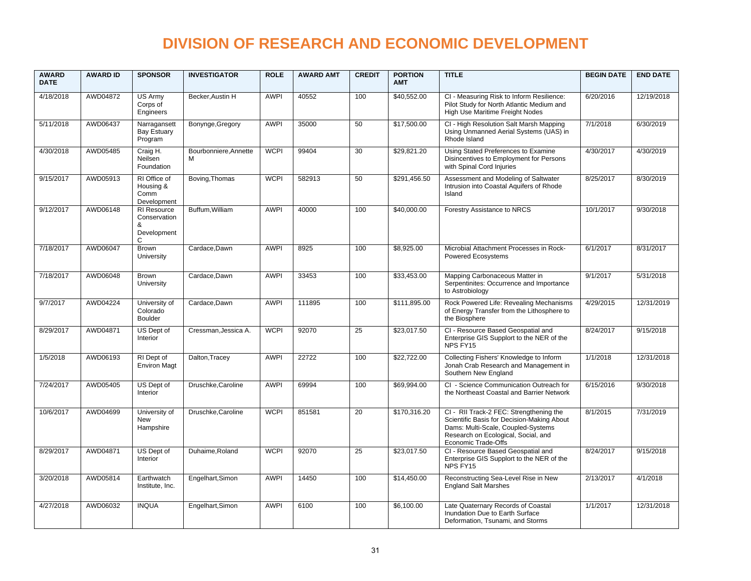| <b>AWARD</b><br><b>DATE</b> | <b>AWARD ID</b> | <b>SPONSOR</b>                                              | <b>INVESTIGATOR</b>        | <b>ROLE</b> | <b>AWARD AMT</b> | <b>CREDIT</b>   | <b>PORTION</b><br><b>AMT</b> | <b>TITLE</b>                                                                                                                                                                              | <b>BEGIN DATE</b> | <b>END DATE</b> |
|-----------------------------|-----------------|-------------------------------------------------------------|----------------------------|-------------|------------------|-----------------|------------------------------|-------------------------------------------------------------------------------------------------------------------------------------------------------------------------------------------|-------------------|-----------------|
| 4/18/2018                   | AWD04872        | US Army<br>Corps of<br>Engineers                            | Becker, Austin H           | <b>AWPI</b> | 40552            | 100             | \$40,552.00                  | CI - Measuring Risk to Inform Resilience:<br>Pilot Study for North Atlantic Medium and<br>High Use Maritime Freight Nodes                                                                 | 6/20/2016         | 12/19/2018      |
| 5/11/2018                   | AWD06437        | Narragansett<br>Bay Estuary<br>Program                      | Bonynge, Gregory           | <b>AWPI</b> | 35000            | 50              | \$17,500.00                  | CI - High Resolution Salt Marsh Mapping<br>Using Unmanned Aerial Systems (UAS) in<br>Rhode Island                                                                                         | 7/1/2018          | 6/30/2019       |
| 4/30/2018                   | AWD05485        | Craig H.<br>Neilsen<br>Foundation                           | Bourbonniere, Annette<br>M | <b>WCPI</b> | 99404            | 30              | \$29,821.20                  | Using Stated Preferences to Examine<br>Disincentives to Employment for Persons<br>with Spinal Cord Injuries                                                                               | 4/30/2017         | 4/30/2019       |
| 9/15/2017                   | AWD05913        | RI Office of<br>Housing &<br>Comm<br>Development            | Boving, Thomas             | <b>WCPI</b> | 582913           | 50              | \$291.456.50                 | Assessment and Modeling of Saltwater<br>Intrusion into Coastal Aquifers of Rhode<br>Island                                                                                                | 8/25/2017         | 8/30/2019       |
| 9/12/2017                   | AWD06148        | <b>RI</b> Resource<br>Conservation<br>&<br>Development<br>C | Buffum, William            | <b>AWPI</b> | 40000            | 100             | \$40,000.00                  | Forestry Assistance to NRCS                                                                                                                                                               | 10/1/2017         | 9/30/2018       |
| 7/18/2017                   | AWD06047        | <b>Brown</b><br>University                                  | Cardace, Dawn              | <b>AWPI</b> | 8925             | 100             | \$8.925.00                   | Microbial Attachment Processes in Rock-<br>Powered Ecosystems                                                                                                                             | 6/1/2017          | 8/31/2017       |
| 7/18/2017                   | AWD06048        | Brown<br>University                                         | Cardace, Dawn              | <b>AWPI</b> | 33453            | 100             | \$33,453.00                  | Mapping Carbonaceous Matter in<br>Serpentinites: Occurrence and Importance<br>to Astrobiology                                                                                             | 9/1/2017          | 5/31/2018       |
| 9/7/2017                    | AWD04224        | University of<br>Colorado<br><b>Boulder</b>                 | Cardace, Dawn              | <b>AWPI</b> | 111895           | 100             | \$111,895.00                 | Rock Powered Life: Revealing Mechanisms<br>of Energy Transfer from the Lithosphere to<br>the Biosphere                                                                                    | 4/29/2015         | 12/31/2019      |
| 8/29/2017                   | AWD04871        | US Dept of<br>Interior                                      | Cressman, Jessica A.       | <b>WCPI</b> | 92070            | $\overline{25}$ | \$23,017.50                  | CI - Resource Based Geospatial and<br>Enterprise GIS Supplort to the NER of the<br>NPS FY15                                                                                               | 8/24/2017         | 9/15/2018       |
| 1/5/2018                    | AWD06193        | RI Dept of<br><b>Environ Magt</b>                           | Dalton, Tracey             | <b>AWPI</b> | 22722            | 100             | \$22,722.00                  | Collecting Fishers' Knowledge to Inform<br>Jonah Crab Research and Management in<br>Southern New England                                                                                  | 1/1/2018          | 12/31/2018      |
| 7/24/2017                   | AWD05405        | US Dept of<br>Interior                                      | Druschke.Caroline          | <b>AWPI</b> | 69994            | 100             | \$69,994.00                  | CI - Science Communication Outreach for<br>the Northeast Coastal and Barrier Network                                                                                                      | 6/15/2016         | 9/30/2018       |
| 10/6/2017                   | AWD04699        | University of<br><b>New</b><br>Hampshire                    | Druschke, Caroline         | <b>WCPI</b> | 851581           | 20              | \$170,316.20                 | CI - RII Track-2 FEC: Strengthening the<br>Scientific Basis for Decision-Making About<br>Dams: Multi-Scale, Coupled-Systems<br>Research on Ecological, Social, and<br>Economic Trade-Offs | 8/1/2015          | 7/31/2019       |
| 8/29/2017                   | AWD04871        | US Dept of<br>Interior                                      | Duhaime.Roland             | <b>WCPI</b> | 92070            | 25              | \$23,017.50                  | CI - Resource Based Geospatial and<br>Enterprise GIS Supplort to the NER of the<br>NPS FY15                                                                                               | 8/24/2017         | 9/15/2018       |
| 3/20/2018                   | AWD05814        | Earthwatch<br>Institute, Inc.                               | Engelhart, Simon           | <b>AWPI</b> | 14450            | 100             | \$14,450.00                  | Reconstructing Sea-Level Rise in New<br><b>England Salt Marshes</b>                                                                                                                       | 2/13/2017         | 4/1/2018        |
| 4/27/2018                   | AWD06032        | <b>INQUA</b>                                                | Engelhart, Simon           | <b>AWPI</b> | 6100             | 100             | \$6,100.00                   | Late Quaternary Records of Coastal<br>Inundation Due to Earth Surface<br>Deformation, Tsunami, and Storms                                                                                 | 1/1/2017          | 12/31/2018      |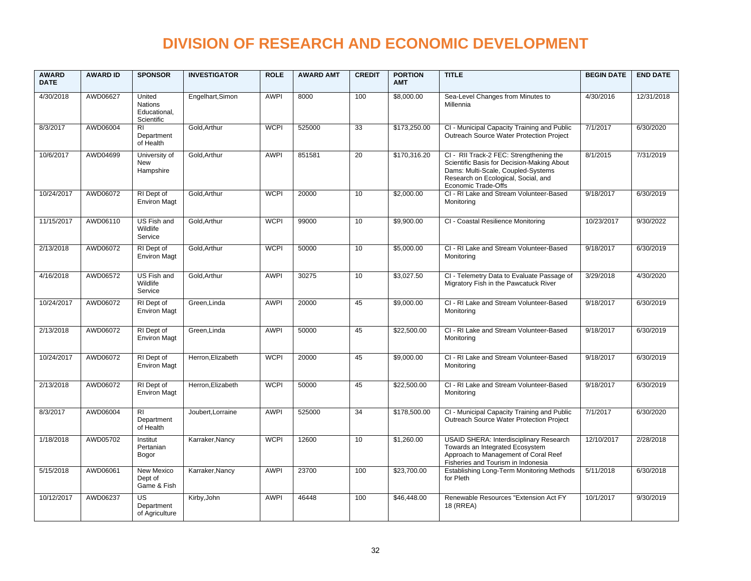| <b>AWARD</b><br><b>DATE</b> | <b>AWARD ID</b> | <b>SPONSOR</b>                                         | <b>INVESTIGATOR</b> | <b>ROLE</b> | <b>AWARD AMT</b> | <b>CREDIT</b>   | <b>PORTION</b><br><b>AMT</b> | <b>TITLE</b>                                                                                                                                                                              | <b>BEGIN DATE</b> | <b>END DATE</b> |
|-----------------------------|-----------------|--------------------------------------------------------|---------------------|-------------|------------------|-----------------|------------------------------|-------------------------------------------------------------------------------------------------------------------------------------------------------------------------------------------|-------------------|-----------------|
| 4/30/2018                   | AWD06627        | United<br><b>Nations</b><br>Educational,<br>Scientific | Engelhart, Simon    | <b>AWPI</b> | 8000             | 100             | \$8,000.00                   | Sea-Level Changes from Minutes to<br>Millennia                                                                                                                                            | 4/30/2016         | 12/31/2018      |
| 8/3/2017                    | AWD06004        | R <sub>l</sub><br>Department<br>of Health              | Gold.Arthur         | <b>WCPI</b> | 525000           | 33              | \$173.250.00                 | CI - Municipal Capacity Training and Public<br>Outreach Source Water Protection Project                                                                                                   | 7/1/2017          | 6/30/2020       |
| 10/6/2017                   | AWD04699        | University of<br><b>New</b><br>Hampshire               | Gold.Arthur         | <b>AWPI</b> | 851581           | 20              | \$170,316.20                 | CI - RII Track-2 FEC: Strengthening the<br>Scientific Basis for Decision-Making About<br>Dams: Multi-Scale, Coupled-Systems<br>Research on Ecological, Social, and<br>Economic Trade-Offs | 8/1/2015          | 7/31/2019       |
| 10/24/2017                  | AWD06072        | RI Dept of<br><b>Environ Magt</b>                      | Gold.Arthur         | <b>WCPI</b> | 20000            | 10              | \$2,000.00                   | CI - RI Lake and Stream Volunteer-Based<br>Monitoring                                                                                                                                     | 9/18/2017         | 6/30/2019       |
| 11/15/2017                  | AWD06110        | US Fish and<br>Wildlife<br>Service                     | Gold, Arthur        | <b>WCPI</b> | 99000            | 10              | \$9,900.00                   | CI - Coastal Resilience Monitoring                                                                                                                                                        | 10/23/2017        | 9/30/2022       |
| 2/13/2018                   | AWD06072        | RI Dept of<br><b>Environ Magt</b>                      | Gold, Arthur        | <b>WCPI</b> | 50000            | 10              | \$5,000.00                   | CI - RI Lake and Stream Volunteer-Based<br>Monitoring                                                                                                                                     | 9/18/2017         | 6/30/2019       |
| 4/16/2018                   | AWD06572        | US Fish and<br>Wildlife<br>Service                     | Gold, Arthur        | <b>AWPI</b> | 30275            | 10              | \$3,027.50                   | CI - Telemetry Data to Evaluate Passage of<br>Migratory Fish in the Pawcatuck River                                                                                                       | 3/29/2018         | 4/30/2020       |
| 10/24/2017                  | AWD06072        | RI Dept of<br><b>Environ Magt</b>                      | Green, Linda        | <b>AWPI</b> | 20000            | 45              | \$9,000.00                   | CI - RI Lake and Stream Volunteer-Based<br>Monitoring                                                                                                                                     | 9/18/2017         | 6/30/2019       |
| 2/13/2018                   | AWD06072        | RI Dept of<br><b>Environ Magt</b>                      | Green, Linda        | <b>AWPI</b> | 50000            | 45              | \$22,500.00                  | CI - RI Lake and Stream Volunteer-Based<br>Monitorina                                                                                                                                     | 9/18/2017         | 6/30/2019       |
| 10/24/2017                  | AWD06072        | RI Dept of<br><b>Environ Magt</b>                      | Herron.Elizabeth    | <b>WCPI</b> | 20000            | 45              | \$9.000.00                   | CI - RI Lake and Stream Volunteer-Based<br>Monitoring                                                                                                                                     | 9/18/2017         | 6/30/2019       |
| 2/13/2018                   | AWD06072        | RI Dept of<br><b>Environ Magt</b>                      | Herron, Elizabeth   | <b>WCPI</b> | 50000            | 45              | \$22,500.00                  | CI - RI Lake and Stream Volunteer-Based<br>Monitoring                                                                                                                                     | 9/18/2017         | 6/30/2019       |
| 8/3/2017                    | AWD06004        | $\overline{R}$<br>Department<br>of Health              | Joubert, Lorraine   | <b>AWPI</b> | 525000           | $\overline{34}$ | \$178,500.00                 | CI - Municipal Capacity Training and Public<br>Outreach Source Water Protection Project                                                                                                   | 7/1/2017          | 6/30/2020       |
| 1/18/2018                   | AWD05702        | Institut<br>Pertanian<br>Bogor                         | Karraker, Nancy     | <b>WCPI</b> | 12600            | 10              | \$1,260.00                   | <b>USAID SHERA: Interdisciplinary Research</b><br>Towards an Integrated Ecosystem<br>Approach to Management of Coral Reef<br>Fisheries and Tourism in Indonesia                           | 12/10/2017        | 2/28/2018       |
| 5/15/2018                   | AWD06061        | New Mexico<br>Dept of<br>Game & Fish                   | Karraker, Nancy     | <b>AWPI</b> | 23700            | 100             | \$23,700.00                  | Establishing Long-Term Monitoring Methods<br>for Pleth                                                                                                                                    | 5/11/2018         | 6/30/2018       |
| 10/12/2017                  | AWD06237        | US<br>Department<br>of Agriculture                     | Kirby, John         | <b>AWPI</b> | 46448            | 100             | \$46,448.00                  | Renewable Resources "Extension Act FY<br>18 (RREA)                                                                                                                                        | 10/1/2017         | 9/30/2019       |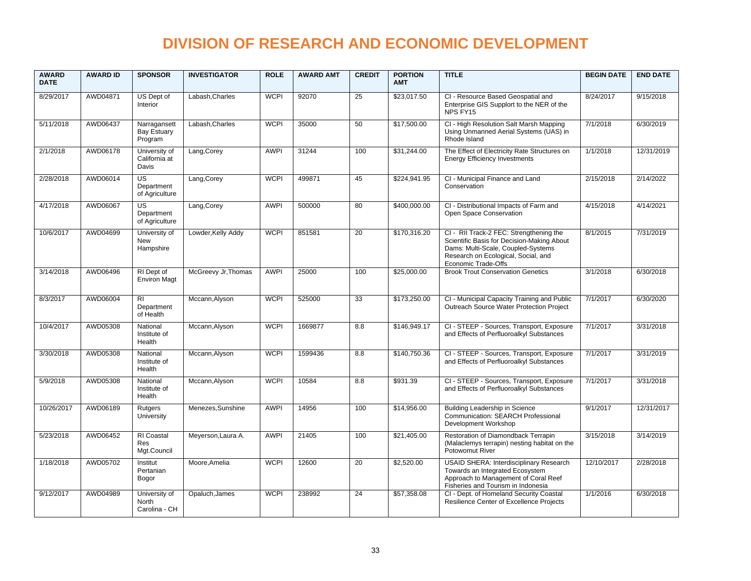| <b>AWARD</b><br><b>DATE</b> | <b>AWARD ID</b> | <b>SPONSOR</b>                                  | <b>INVESTIGATOR</b> | <b>ROLE</b> | <b>AWARD AMT</b> | <b>CREDIT</b> | <b>PORTION</b><br><b>AMT</b> | <b>TITLE</b>                                                                                                                                                                              | <b>BEGIN DATE</b> | <b>END DATE</b> |
|-----------------------------|-----------------|-------------------------------------------------|---------------------|-------------|------------------|---------------|------------------------------|-------------------------------------------------------------------------------------------------------------------------------------------------------------------------------------------|-------------------|-----------------|
| 8/29/2017                   | AWD04871        | US Dept of<br>Interior                          | Labash, Charles     | <b>WCPI</b> | 92070            | 25            | \$23,017.50                  | CI - Resource Based Geospatial and<br>Enterprise GIS Supplort to the NER of the<br>NPS FY15                                                                                               | 8/24/2017         | 9/15/2018       |
| 5/11/2018                   | AWD06437        | Narragansett<br>Bay Estuary<br>Program          | Labash.Charles      | <b>WCPI</b> | 35000            | 50            | \$17,500.00                  | CI - High Resolution Salt Marsh Mapping<br>Using Unmanned Aerial Systems (UAS) in<br>Rhode Island                                                                                         | 7/1/2018          | 6/30/2019       |
| 2/1/2018                    | AWD06178        | University of<br>California at<br>Davis         | Lang, Corey         | <b>AWPI</b> | 31244            | 100           | \$31,244.00                  | The Effect of Electricity Rate Structures on<br><b>Energy Efficiency Investments</b>                                                                                                      | 1/1/2018          | 12/31/2019      |
| 2/28/2018                   | AWD06014        | US<br>Department<br>of Agriculture              | Lang, Corey         | <b>WCPI</b> | 499871           | 45            | \$224.941.95                 | CI - Municipal Finance and Land<br>Conservation                                                                                                                                           | 2/15/2018         | 2/14/2022       |
| 4/17/2018                   | AWD06067        | US <sup>-</sup><br>Department<br>of Agriculture | Lang, Corey         | <b>AWPI</b> | 500000           | 80            | \$400,000.00                 | CI - Distributional Impacts of Farm and<br>Open Space Conservation                                                                                                                        | 4/15/2018         | 4/14/2021       |
| 10/6/2017                   | AWD04699        | University of<br>New<br>Hampshire               | Lowder, Kelly Addy  | <b>WCPI</b> | 851581           | 20            | \$170,316.20                 | CI - RII Track-2 FEC: Strengthening the<br>Scientific Basis for Decision-Making About<br>Dams: Multi-Scale, Coupled-Systems<br>Research on Ecological, Social, and<br>Economic Trade-Offs | 8/1/2015          | 7/31/2019       |
| 3/14/2018                   | AWD06496        | RI Dept of<br><b>Environ Magt</b>               | McGreevy Jr, Thomas | <b>AWPI</b> | 25000            | 100           | \$25,000.00                  | <b>Brook Trout Conservation Genetics</b>                                                                                                                                                  | 3/1/2018          | 6/30/2018       |
| 8/3/2017                    | AWD06004        | <b>RI</b><br>Department<br>of Health            | Mccann, Alyson      | <b>WCPI</b> | 525000           | 33            | \$173,250.00                 | CI - Municipal Capacity Training and Public<br>Outreach Source Water Protection Project                                                                                                   | 7/1/2017          | 6/30/2020       |
| 10/4/2017                   | AWD05308        | National<br>Institute of<br>Health              | Mccann, Alyson      | <b>WCPI</b> | 1669877          | 8.8           | \$146,949.17                 | CI - STEEP - Sources, Transport, Exposure<br>and Effects of Perfluoroalkyl Substances                                                                                                     | 7/1/2017          | 3/31/2018       |
| 3/30/2018                   | AWD05308        | National<br>Institute of<br>Health              | Mccann, Alyson      | <b>WCPI</b> | 1599436          | 8.8           | \$140,750.36                 | CI - STEEP - Sources, Transport, Exposure<br>and Effects of Perfluoroalkyl Substances                                                                                                     | 7/1/2017          | 3/31/2019       |
| 5/9/2018                    | AWD05308        | National<br>Institute of<br>Health              | Mccann, Alyson      | <b>WCPI</b> | 10584            | 8.8           | \$931.39                     | CI - STEEP - Sources, Transport, Exposure<br>and Effects of Perfluoroalkyl Substances                                                                                                     | 7/1/2017          | 3/31/2018       |
| 10/26/2017                  | AWD06189        | Rutgers<br>University                           | Menezes, Sunshine   | <b>AWPI</b> | 14956            | 100           | \$14,956.00                  | Building Leadership in Science<br>Communication: SEARCH Professional<br>Development Workshop                                                                                              | 9/1/2017          | 12/31/2017      |
| 5/23/2018                   | AWD06452        | <b>RI</b> Coastal<br><b>Res</b><br>Mgt.Council  | Meyerson, Laura A.  | <b>AWPI</b> | 21405            | 100           | \$21,405.00                  | Restoration of Diamondback Terrapin<br>(Malaclemys terrapin) nesting habitat on the<br>Potowomut River                                                                                    | 3/15/2018         | 3/14/2019       |
| 1/18/2018                   | AWD05702        | Institut<br>Pertanian<br>Bogor                  | Moore, Amelia       | <b>WCPI</b> | 12600            | 20            | \$2,520.00                   | USAID SHERA: Interdisciplinary Research<br>Towards an Integrated Ecosystem<br>Approach to Management of Coral Reef<br>Fisheries and Tourism in Indonesia                                  | 12/10/2017        | 2/28/2018       |
| 9/12/2017                   | AWD04989        | University of<br><b>North</b><br>Carolina - CH  | Opaluch, James      | <b>WCPI</b> | 238992           | 24            | \$57,358.08                  | CI - Dept. of Homeland Security Coastal<br>Resilience Center of Excellence Projects                                                                                                       | 1/1/2016          | 6/30/2018       |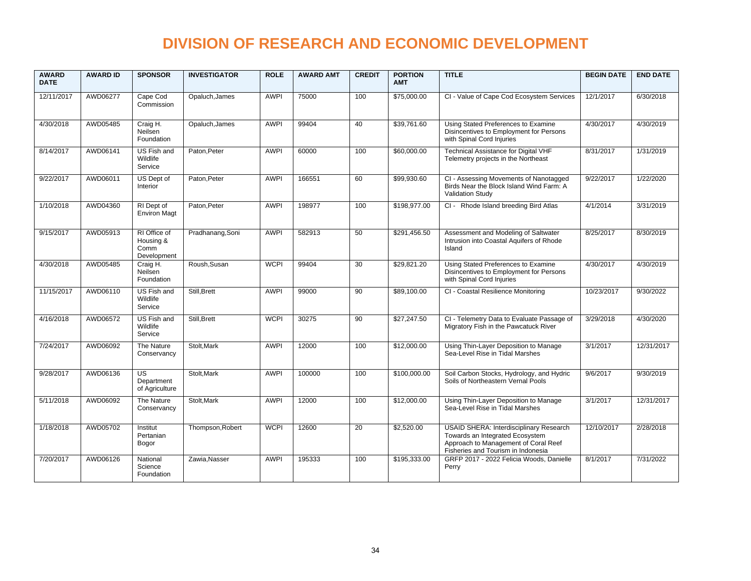| <b>AWARD</b><br><b>DATE</b> | <b>AWARD ID</b> | <b>SPONSOR</b>                                   | <b>INVESTIGATOR</b> | <b>ROLE</b> | <b>AWARD AMT</b> | <b>CREDIT</b> | <b>PORTION</b><br><b>AMT</b> | <b>TITLE</b>                                                                                                                                             | <b>BEGIN DATE</b> | <b>END DATE</b> |
|-----------------------------|-----------------|--------------------------------------------------|---------------------|-------------|------------------|---------------|------------------------------|----------------------------------------------------------------------------------------------------------------------------------------------------------|-------------------|-----------------|
| 12/11/2017                  | AWD06277        | Cape Cod<br>Commission                           | Opaluch, James      | <b>AWPI</b> | 75000            | 100           | \$75,000.00                  | CI - Value of Cape Cod Ecosystem Services                                                                                                                | 12/1/2017         | 6/30/2018       |
| 4/30/2018                   | AWD05485        | Craig H.<br>Neilsen<br>Foundation                | Opaluch, James      | <b>AWPI</b> | 99404            | 40            | \$39,761.60                  | Using Stated Preferences to Examine<br>Disincentives to Employment for Persons<br>with Spinal Cord Injuries                                              | 4/30/2017         | 4/30/2019       |
| 8/14/2017                   | AWD06141        | US Fish and<br>Wildlife<br>Service               | Paton.Peter         | <b>AWPI</b> | 60000            | 100           | \$60,000.00                  | Technical Assistance for Digital VHF<br>Telemetry projects in the Northeast                                                                              | 8/31/2017         | 1/31/2019       |
| 9/22/2017                   | AWD06011        | US Dept of<br>Interior                           | Paton, Peter        | <b>AWPI</b> | 166551           | 60            | \$99,930.60                  | CI - Assessing Movements of Nanotagged<br>Birds Near the Block Island Wind Farm: A<br><b>Validation Study</b>                                            | 9/22/2017         | 1/22/2020       |
| 1/10/2018                   | AWD04360        | RI Dept of<br><b>Environ Magt</b>                | Paton, Peter        | <b>AWPI</b> | 198977           | 100           | \$198,977.00                 | CI - Rhode Island breeding Bird Atlas                                                                                                                    | 4/1/2014          | 3/31/2019       |
| 9/15/2017                   | AWD05913        | RI Office of<br>Housing &<br>Comm<br>Development | Pradhanang, Soni    | <b>AWPI</b> | 582913           | 50            | \$291,456.50                 | Assessment and Modeling of Saltwater<br>Intrusion into Coastal Aquifers of Rhode<br>Island                                                               | 8/25/2017         | 8/30/2019       |
| 4/30/2018                   | AWD05485        | Craig H.<br>Neilsen<br>Foundation                | Roush.Susan         | <b>WCPI</b> | 99404            | 30            | \$29,821.20                  | Using Stated Preferences to Examine<br>Disincentives to Employment for Persons<br>with Spinal Cord Injuries                                              | 4/30/2017         | 4/30/2019       |
| 11/15/2017                  | AWD06110        | US Fish and<br>Wildlife<br>Service               | Still.Brett         | <b>AWPI</b> | 99000            | 90            | \$89.100.00                  | CI - Coastal Resilience Monitoring                                                                                                                       | 10/23/2017        | 9/30/2022       |
| 4/16/2018                   | AWD06572        | US Fish and<br>Wildlife<br>Service               | Still, Brett        | <b>WCPI</b> | 30275            | 90            | \$27,247.50                  | CI - Telemetry Data to Evaluate Passage of<br>Migratory Fish in the Pawcatuck River                                                                      | 3/29/2018         | 4/30/2020       |
| 7/24/2017                   | AWD06092        | The Nature<br>Conservancy                        | Stolt, Mark         | <b>AWPI</b> | 12000            | 100           | \$12,000.00                  | Using Thin-Layer Deposition to Manage<br>Sea-Level Rise in Tidal Marshes                                                                                 | 3/1/2017          | 12/31/2017      |
| 9/28/2017                   | AWD06136        | US<br>Department<br>of Agriculture               | Stolt, Mark         | <b>AWPI</b> | 100000           | 100           | \$100,000.00                 | Soil Carbon Stocks, Hydrology, and Hydric<br>Soils of Northeastern Vernal Pools                                                                          | 9/6/2017          | 9/30/2019       |
| 5/11/2018                   | AWD06092        | The Nature<br>Conservancy                        | Stolt, Mark         | <b>AWPI</b> | 12000            | 100           | \$12,000.00                  | Using Thin-Layer Deposition to Manage<br>Sea-Level Rise in Tidal Marshes                                                                                 | 3/1/2017          | 12/31/2017      |
| 1/18/2018                   | AWD05702        | Institut<br>Pertanian<br>Bogor                   | Thompson, Robert    | <b>WCPI</b> | 12600            | 20            | \$2,520.00                   | USAID SHERA: Interdisciplinary Research<br>Towards an Integrated Ecosystem<br>Approach to Management of Coral Reef<br>Fisheries and Tourism in Indonesia | 12/10/2017        | 2/28/2018       |
| 7/20/2017                   | AWD06126        | National<br>Science<br>Foundation                | Zawia, Nasser       | <b>AWPI</b> | 195333           | 100           | \$195,333.00                 | GRFP 2017 - 2022 Felicia Woods, Danielle<br>Perry                                                                                                        | 8/1/2017          | 7/31/2022       |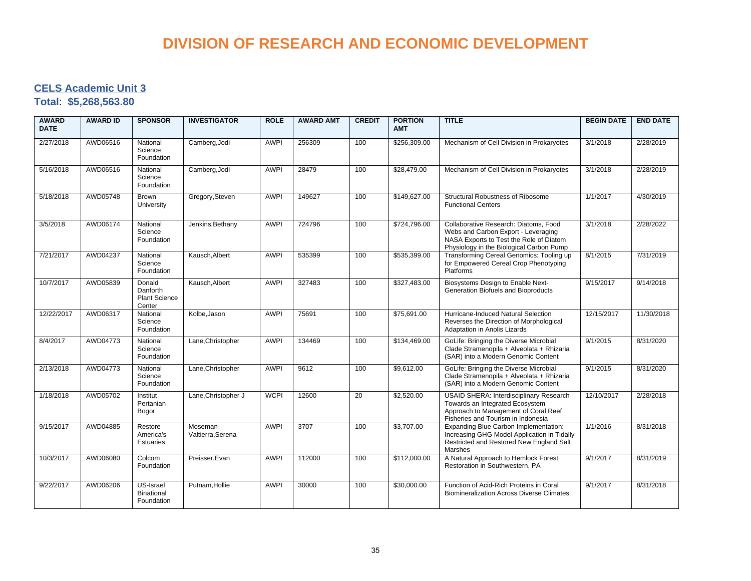#### **CELS Academic Unit 3**

**Total**: **\$5,268,563.80**

| <b>AWARD</b><br><b>DATE</b> | <b>AWARD ID</b> | <b>SPONSOR</b>                                       | <b>INVESTIGATOR</b>           | <b>ROLE</b> | <b>AWARD AMT</b> | <b>CREDIT</b> | <b>PORTION</b><br><b>AMT</b> | <b>TITLE</b>                                                                                                                                                        | <b>BEGIN DATE</b> | <b>END DATE</b> |
|-----------------------------|-----------------|------------------------------------------------------|-------------------------------|-------------|------------------|---------------|------------------------------|---------------------------------------------------------------------------------------------------------------------------------------------------------------------|-------------------|-----------------|
| 2/27/2018                   | AWD06516        | National<br>Science<br>Foundation                    | Camberg, Jodi                 | <b>AWPI</b> | 256309           | 100           | \$256,309.00                 | Mechanism of Cell Division in Prokaryotes                                                                                                                           | 3/1/2018          | 2/28/2019       |
| 5/16/2018                   | AWD06516        | National<br>Science<br>Foundation                    | Camberg, Jodi                 | <b>AWPI</b> | 28479            | 100           | \$28,479.00                  | Mechanism of Cell Division in Prokaryotes                                                                                                                           | 3/1/2018          | 2/28/2019       |
| 5/18/2018                   | AWD05748        | Brown<br>University                                  | Gregory, Steven               | <b>AWPI</b> | 149627           | 100           | \$149,627.00                 | Structural Robustness of Ribosome<br><b>Functional Centers</b>                                                                                                      | 1/1/2017          | 4/30/2019       |
| 3/5/2018                    | AWD06174        | National<br>Science<br>Foundation                    | Jenkins, Bethany              | <b>AWPI</b> | 724796           | 100           | \$724,796.00                 | Collaborative Research: Diatoms, Food<br>Webs and Carbon Export - Leveraging<br>NASA Exports to Test the Role of Diatom<br>Physiology in the Biological Carbon Pump | 3/1/2018          | 2/28/2022       |
| 7/21/2017                   | AWD04237        | National<br>Science<br>Foundation                    | Kausch.Albert                 | <b>AWPI</b> | 535399           | 100           | \$535,399.00                 | Transforming Cereal Genomics: Tooling up<br>for Empowered Cereal Crop Phenotyping<br><b>Platforms</b>                                                               | 8/1/2015          | 7/31/2019       |
| 10/7/2017                   | AWD05839        | Donald<br>Danforth<br><b>Plant Science</b><br>Center | Kausch, Albert                | <b>AWPI</b> | 327483           | 100           | \$327,483.00                 | Biosystems Design to Enable Next-<br>Generation Biofuels and Bioproducts                                                                                            | 9/15/2017         | 9/14/2018       |
| 12/22/2017                  | AWD06317        | National<br>Science<br>Foundation                    | Kolbe, Jason                  | <b>AWPI</b> | 75691            | 100           | \$75,691.00                  | Hurricane-Induced Natural Selection<br>Reverses the Direction of Morphological<br>Adaptation in Anolis Lizards                                                      | 12/15/2017        | 11/30/2018      |
| 8/4/2017                    | AWD04773        | National<br>Science<br>Foundation                    | Lane, Christopher             | <b>AWPI</b> | 134469           | 100           | \$134,469.00                 | GoLife: Bringing the Diverse Microbial<br>Clade Stramenopila + Alveolata + Rhizaria<br>(SAR) into a Modern Genomic Content                                          | 9/1/2015          | 8/31/2020       |
| 2/13/2018                   | AWD04773        | National<br>Science<br>Foundation                    | Lane, Christopher             | <b>AWPI</b> | 9612             | 100           | \$9,612.00                   | GoLife: Bringing the Diverse Microbial<br>Clade Stramenopila + Alveolata + Rhizaria<br>(SAR) into a Modern Genomic Content                                          | 9/1/2015          | 8/31/2020       |
| 1/18/2018                   | AWD05702        | Institut<br>Pertanian<br>Bogor                       | Lane, Christopher J           | <b>WCPI</b> | 12600            | 20            | \$2,520.00                   | USAID SHERA: Interdisciplinary Research<br>Towards an Integrated Ecosystem<br>Approach to Management of Coral Reef<br>Fisheries and Tourism in Indonesia            | 12/10/2017        | 2/28/2018       |
| 9/15/2017                   | AWD04885        | Restore<br>America's<br>Estuaries                    | Moseman-<br>Valtierra, Serena | <b>AWPI</b> | 3707             | 100           | \$3,707.00                   | Expanding Blue Carbon Implementation:<br>Increasing GHG Model Application in Tidally<br>Restricted and Restored New England Salt<br><b>Marshes</b>                  | 1/1/2016          | 8/31/2018       |
| 10/3/2017                   | AWD06080        | Colcom<br>Foundation                                 | Preisser, Evan                | AWPI        | 112000           | 100           | \$112,000.00                 | A Natural Approach to Hemlock Forest<br>Restoration in Southwestern, PA                                                                                             | 9/1/2017          | 8/31/2019       |
| 9/22/2017                   | AWD06206        | US-Israel<br>Binational<br>Foundation                | Putnam, Hollie                | <b>AWPI</b> | 30000            | 100           | \$30,000.00                  | Function of Acid-Rich Proteins in Coral<br><b>Biomineralization Across Diverse Climates</b>                                                                         | 9/1/2017          | 8/31/2018       |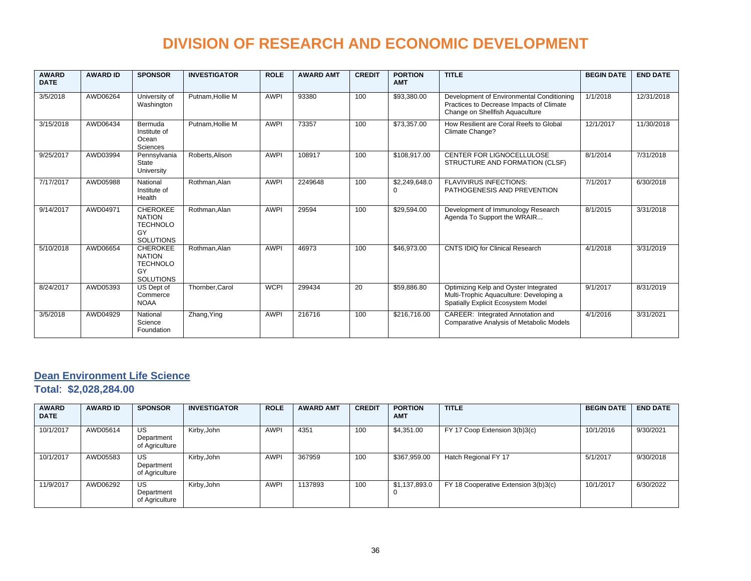| <b>AWARD</b><br><b>DATE</b> | <b>AWARD ID</b> | <b>SPONSOR</b>                                                                | <b>INVESTIGATOR</b> | <b>ROLE</b> | <b>AWARD AMT</b> | <b>CREDIT</b> | <b>PORTION</b><br><b>AMT</b> | <b>TITLE</b>                                                                                                             | <b>BEGIN DATE</b> | <b>END DATE</b> |
|-----------------------------|-----------------|-------------------------------------------------------------------------------|---------------------|-------------|------------------|---------------|------------------------------|--------------------------------------------------------------------------------------------------------------------------|-------------------|-----------------|
| 3/5/2018                    | AWD06264        | University of<br>Washington                                                   | Putnam.Hollie M     | <b>AWPI</b> | 93380            | 100           | \$93,380.00                  | Development of Environmental Conditioning<br>Practices to Decrease Impacts of Climate<br>Change on Shellfish Aquaculture | 1/1/2018          | 12/31/2018      |
| 3/15/2018                   | AWD06434        | Bermuda<br>Institute of<br>Ocean<br><b>Sciences</b>                           | Putnam.Hollie M     | <b>AWPI</b> | 73357            | 100           | \$73,357.00                  | How Resilient are Coral Reefs to Global<br>Climate Change?                                                               | 12/1/2017         | 11/30/2018      |
| 9/25/2017                   | AWD03994        | Pennsylvania<br>State<br>University                                           | Roberts.Alison      | <b>AWPI</b> | 108917           | 100           | \$108,917.00                 | CENTER FOR LIGNOCELLULOSE<br>STRUCTURE AND FORMATION (CLSF)                                                              | 8/1/2014          | 7/31/2018       |
| 7/17/2017                   | AWD05988        | National<br>Institute of<br>Health                                            | Rothman.Alan        | <b>AWPI</b> | 2249648          | 100           | \$2,249,648.0<br>$\Omega$    | <b>FLAVIVIRUS INFECTIONS:</b><br>PATHOGENESIS AND PREVENTION                                                             | 7/1/2017          | 6/30/2018       |
| 9/14/2017                   | AWD04971        | <b>CHEROKEE</b><br><b>NATION</b><br><b>TECHNOLO</b><br>GY<br><b>SOLUTIONS</b> | Rothman, Alan       | <b>AWPI</b> | 29594            | 100           | \$29,594.00                  | Development of Immunology Research<br>Agenda To Support the WRAIR                                                        | 8/1/2015          | 3/31/2018       |
| 5/10/2018                   | AWD06654        | <b>CHEROKEE</b><br><b>NATION</b><br><b>TECHNOLO</b><br>GY<br><b>SOLUTIONS</b> | Rothman.Alan        | <b>AWPI</b> | 46973            | 100           | \$46,973.00                  | CNTS IDIQ for Clinical Research                                                                                          | 4/1/2018          | 3/31/2019       |
| 8/24/2017                   | AWD05393        | US Dept of<br>Commerce<br><b>NOAA</b>                                         | Thornber, Carol     | <b>WCPI</b> | 299434           | 20            | \$59,886.80                  | Optimizing Kelp and Oyster Integrated<br>Multi-Trophic Aquaculture: Developing a<br>Spatially Explicit Ecosystem Model   | 9/1/2017          | 8/31/2019       |
| 3/5/2018                    | AWD04929        | National<br>Science<br>Foundation                                             | Zhang, Ying         | <b>AWPI</b> | 216716           | 100           | \$216,716.00                 | CAREER: Integrated Annotation and<br><b>Comparative Analysis of Metabolic Models</b>                                     | 4/1/2016          | 3/31/2021       |

#### **Dean Environment Life Science**

**Total**: **\$2,028,284.00**

| <b>AWARD</b><br><b>DATE</b> | <b>AWARD ID</b> | <b>SPONSOR</b>                     | <b>INVESTIGATOR</b> | <b>ROLE</b> | <b>AWARD AMT</b> | <b>CREDIT</b> | <b>PORTION</b><br><b>AMT</b> | <b>TITLE</b>                         | <b>BEGIN DATE</b> | <b>END DATE</b> |
|-----------------------------|-----------------|------------------------------------|---------------------|-------------|------------------|---------------|------------------------------|--------------------------------------|-------------------|-----------------|
| 10/1/2017                   | AWD05614        | US<br>Department<br>of Agriculture | Kirby, John         | <b>AWPI</b> | 4351             | 100           | \$4,351.00                   | FY 17 Coop Extension 3(b)3(c)        | 10/1/2016         | 9/30/2021       |
| 10/1/2017                   | AWD05583        | US<br>Department<br>of Agriculture | Kirby, John         | <b>AWPI</b> | 367959           | 100           | \$367,959.00                 | Hatch Regional FY 17                 | 5/1/2017          | 9/30/2018       |
| 11/9/2017                   | AWD06292        | US<br>Department<br>of Agriculture | Kirby, John         | <b>AWPI</b> | 1137893          | 100           | \$1,137,893.0                | FY 18 Cooperative Extension 3(b)3(c) | 10/1/2017         | 6/30/2022       |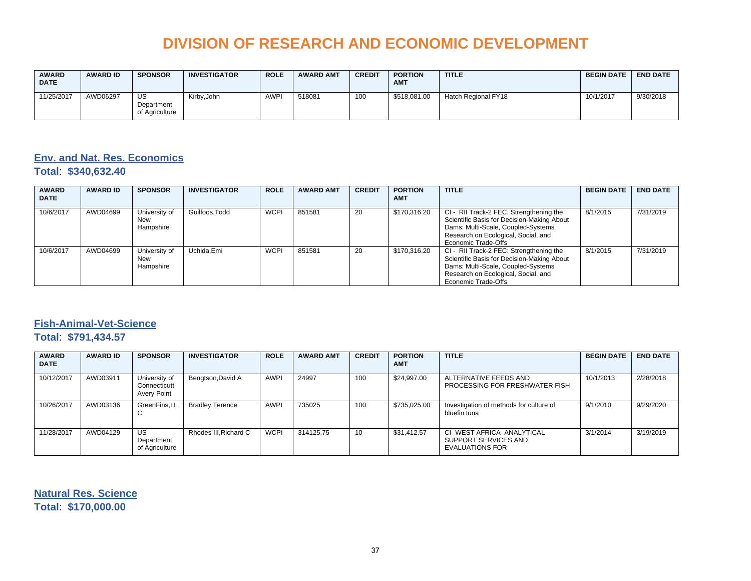| <b>AWARD</b><br><b>DATE</b> | <b>AWARD ID</b> | <b>SPONSOR</b>                     | <b>INVESTIGATOR</b> | <b>ROLE</b> | <b>AWARD AMT</b> | <b>CREDIT</b> | <b>PORTION</b><br><b>AMT</b> | <b>TITLE</b>        | <b>BEGIN DATE</b> | <b>END DATE</b> |
|-----------------------------|-----------------|------------------------------------|---------------------|-------------|------------------|---------------|------------------------------|---------------------|-------------------|-----------------|
| 11/25/2017                  | AWD06297        | US<br>Department<br>of Agriculture | Kirby, John         | <b>AWPI</b> | 518081           | 100           | \$518,081.00                 | Hatch Regional FY18 | 10/1/2017         | 9/30/2018       |

### **Env. and Nat. Res. Economics**

**Total**: **\$340,632.40**

| <b>AWARD</b><br><b>DATE</b> | <b>AWARD ID</b> | <b>SPONSOR</b>                    | <b>INVESTIGATOR</b> | <b>ROLE</b> | <b>AWARD AMT</b> | <b>CREDIT</b> | <b>PORTION</b><br><b>AMT</b> | <b>TITLE</b>                                                                                                                                                                              | <b>BEGIN DATE</b> | <b>END DATE</b> |
|-----------------------------|-----------------|-----------------------------------|---------------------|-------------|------------------|---------------|------------------------------|-------------------------------------------------------------------------------------------------------------------------------------------------------------------------------------------|-------------------|-----------------|
| 10/6/2017                   | AWD04699        | University of<br>New<br>Hampshire | Guilfoos.Todd       | <b>WCPI</b> | 851581           | 20            | \$170,316.20                 | CI - RII Track-2 FEC: Strengthening the<br>Scientific Basis for Decision-Making About<br>Dams: Multi-Scale, Coupled-Systems<br>Research on Ecological, Social, and<br>Economic Trade-Offs | 8/1/2015          | 7/31/2019       |
| 10/6/2017                   | AWD04699        | University of<br>New<br>Hampshire | Uchida.Emi          | <b>WCPI</b> | 851581           | 20            | \$170,316.20                 | CI - RII Track-2 FEC: Strengthening the<br>Scientific Basis for Decision-Making About<br>Dams: Multi-Scale, Coupled-Systems<br>Research on Ecological, Social, and<br>Economic Trade-Offs | 8/1/2015          | 7/31/2019       |

#### **Fish-Animal-Vet-Science**

#### **Total**: **\$791,434.57**

| <b>AWARD</b><br><b>DATE</b> | <b>AWARD ID</b> | <b>SPONSOR</b>                                      | <b>INVESTIGATOR</b>   | <b>ROLE</b> | <b>AWARD AMT</b> | <b>CREDIT</b> | <b>PORTION</b><br><b>AMT</b> | <b>TITLE</b>                                                         | <b>BEGIN DATE</b> | <b>END DATE</b> |
|-----------------------------|-----------------|-----------------------------------------------------|-----------------------|-------------|------------------|---------------|------------------------------|----------------------------------------------------------------------|-------------------|-----------------|
| 10/12/2017                  | AWD03911        | University of<br>Connecticutt<br><b>Avery Point</b> | Bengtson, David A     | <b>AWPI</b> | 24997            | 100           | \$24.997.00                  | ALTERNATIVE FEEDS AND<br>PROCESSING FOR FRESHWATER FISH              | 10/1/2013         | 2/28/2018       |
| 10/26/2017                  | AWD03136        | GreenFins.LL<br>◡                                   | Bradley, Terence      | <b>AWPI</b> | 735025           | 100           | \$735,025.00                 | Investigation of methods for culture of<br>bluefin tuna              | 9/1/2010          | 9/29/2020       |
| 11/28/2017                  | AWD04129        | US<br>Department<br>of Agriculture                  | Rhodes III. Richard C | <b>WCPI</b> | 314125.75        | 10            | \$31.412.57                  | CI-WEST AFRICA ANALYTICAL<br>SUPPORT SERVICES AND<br>EVALUATIONS FOR | 3/1/2014          | 3/19/2019       |

**Natural Res. Science Total**: **\$170,000.00**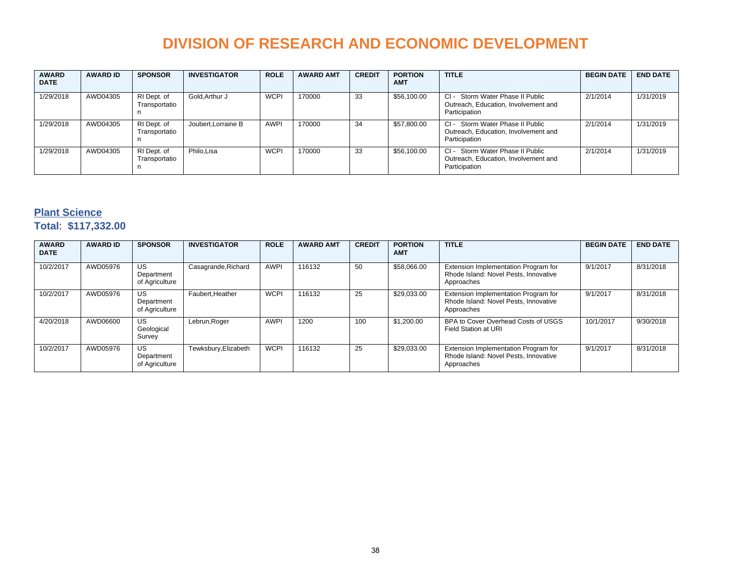| <b>AWARD</b><br><b>DATE</b> | <b>AWARD ID</b> | <b>SPONSOR</b>                    | <b>INVESTIGATOR</b> | <b>ROLE</b> | <b>AWARD AMT</b> | <b>CREDIT</b> | <b>PORTION</b><br><b>AMT</b> | <b>TITLE</b>                                                                                   | <b>BEGIN DATE</b> | <b>END DATE</b> |
|-----------------------------|-----------------|-----------------------------------|---------------------|-------------|------------------|---------------|------------------------------|------------------------------------------------------------------------------------------------|-------------------|-----------------|
| 1/29/2018                   | AWD04305        | RI Dept. of<br>Transportatio<br>n | Gold.Arthur J       | <b>WCPI</b> | 170000           | 33            | \$56,100.00                  | $Cl -$<br>Storm Water Phase II Public<br>Outreach, Education, Involvement and<br>Participation | 2/1/2014          | 1/31/2019       |
| 1/29/2018                   | AWD04305        | RI Dept. of<br>Transportatio<br>n | Joubert, Lorraine B | <b>AWPI</b> | 170000           | 34            | \$57,800.00                  | Storm Water Phase II Public<br>$Cl -$<br>Outreach, Education, Involvement and<br>Participation | 2/1/2014          | 1/31/2019       |
| 1/29/2018                   | AWD04305        | RI Dept. of<br>Transportatio<br>n | Philo.Lisa          | <b>WCPI</b> | 170000           | 33            | \$56,100.00                  | $Cl -$<br>Storm Water Phase II Public<br>Outreach, Education, Involvement and<br>Participation | 2/1/2014          | 1/31/2019       |

#### **Plant Science Total**: **\$117,332.00**

| <b>AWARD</b><br><b>DATE</b> | <b>AWARD ID</b> | <b>SPONSOR</b>                            | <b>INVESTIGATOR</b>  | <b>ROLE</b> | <b>AWARD AMT</b> | <b>CREDIT</b> | <b>PORTION</b><br><b>AMT</b> | <b>TITLE</b>                                                                                | <b>BEGIN DATE</b> | <b>END DATE</b> |
|-----------------------------|-----------------|-------------------------------------------|----------------------|-------------|------------------|---------------|------------------------------|---------------------------------------------------------------------------------------------|-------------------|-----------------|
| 10/2/2017                   | AWD05976        | <b>US</b><br>Department<br>of Agriculture | Casagrande, Richard  | <b>AWPI</b> | 116132           | 50            | \$58,066.00                  | Extension Implementation Program for<br>Rhode Island: Novel Pests, Innovative<br>Approaches | 9/1/2017          | 8/31/2018       |
| 10/2/2017                   | AWD05976        | <b>US</b><br>Department<br>of Agriculture | Faubert.Heather      | <b>WCPI</b> | 116132           | 25            | \$29.033.00                  | Extension Implementation Program for<br>Rhode Island: Novel Pests, Innovative<br>Approaches | 9/1/2017          | 8/31/2018       |
| 4/20/2018                   | AWD06600        | <b>US</b><br>Geological<br>Survey         | Lebrun, Roger        | <b>AWPI</b> | 1200             | 100           | \$1,200.00                   | BPA to Cover Overhead Costs of USGS<br>Field Station at URI                                 | 10/1/2017         | 9/30/2018       |
| 10/2/2017                   | AWD05976        | <b>US</b><br>Department<br>of Agriculture | Tewksbury, Elizabeth | <b>WCPI</b> | 116132           | 25            | \$29.033.00                  | Extension Implementation Program for<br>Rhode Island: Novel Pests, Innovative<br>Approaches | 9/1/2017          | 8/31/2018       |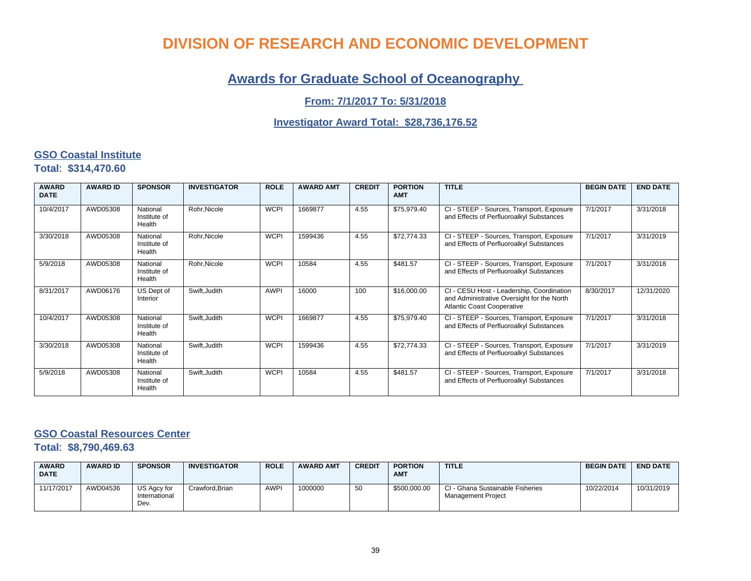### **Awards for Graduate School of Oceanography**

#### **From: 7/1/2017 To: 5/31/2018**

#### **Investigator Award Total: \$28,736,176.52**

#### **GSO Coastal Institute**

**Total**: **\$314,470.60**

| <b>AWARD</b><br><b>DATE</b> | <b>AWARD ID</b> | <b>SPONSOR</b>                     | <b>INVESTIGATOR</b> | <b>ROLE</b> | <b>AWARD AMT</b> | <b>CREDIT</b> | <b>PORTION</b><br><b>AMT</b> | <b>TITLE</b>                                                                                                                 | <b>BEGIN DATE</b> | <b>END DATE</b> |
|-----------------------------|-----------------|------------------------------------|---------------------|-------------|------------------|---------------|------------------------------|------------------------------------------------------------------------------------------------------------------------------|-------------------|-----------------|
| 10/4/2017                   | AWD05308        | National<br>Institute of<br>Health | Rohr, Nicole        | <b>WCPI</b> | 1669877          | 4.55          | \$75,979.40                  | CI - STEEP - Sources, Transport, Exposure<br>and Effects of Perfluoroalkyl Substances                                        | 7/1/2017          | 3/31/2018       |
| 3/30/2018                   | AWD05308        | National<br>Institute of<br>Health | Rohr.Nicole         | <b>WCPI</b> | 1599436          | 4.55          | \$72,774.33                  | CI - STEEP - Sources, Transport, Exposure<br>and Effects of Perfluoroalkyl Substances                                        | 7/1/2017          | 3/31/2019       |
| 5/9/2018                    | AWD05308        | National<br>Institute of<br>Health | Rohr, Nicole        | <b>WCPI</b> | 10584            | 4.55          | \$481.57                     | CI - STEEP - Sources, Transport, Exposure<br>and Effects of Perfluoroalkyl Substances                                        | 7/1/2017          | 3/31/2018       |
| 8/31/2017                   | AWD06176        | US Dept of<br>Interior             | Swift.Judith        | <b>AWPI</b> | 16000            | 100           | \$16,000.00                  | CI - CESU Host - Leadership, Coordination<br>and Administrative Oversight for the North<br><b>Atlantic Coast Cooperative</b> | 8/30/2017         | 12/31/2020      |
| 10/4/2017                   | AWD05308        | National<br>Institute of<br>Health | Swift, Judith       | <b>WCPI</b> | 1669877          | 4.55          | \$75,979.40                  | CI - STEEP - Sources, Transport, Exposure<br>and Effects of Perfluoroalkyl Substances                                        | 7/1/2017          | 3/31/2018       |
| 3/30/2018                   | AWD05308        | National<br>Institute of<br>Health | Swift.Judith        | <b>WCPI</b> | 1599436          | 4.55          | \$72,774.33                  | CI - STEEP - Sources, Transport, Exposure<br>and Effects of Perfluoroalkyl Substances                                        | 7/1/2017          | 3/31/2019       |
| 5/9/2018                    | AWD05308        | National<br>Institute of<br>Health | Swift, Judith       | <b>WCPI</b> | 10584            | 4.55          | \$481.57                     | CI - STEEP - Sources, Transport, Exposure<br>and Effects of Perfluoroalkyl Substances                                        | 7/1/2017          | 3/31/2018       |

#### **GSO Coastal Resources Center**

**Total**: **\$8,790,469.63**

| <b>AWARD</b><br><b>DATE</b> | <b>AWARD ID</b> | <b>SPONSOR</b>                       | <b>INVESTIGATOR</b> | <b>ROLE</b> | <b>AWARD AMT</b> | <b>CREDIT</b> | <b>PORTION</b><br><b>AMT</b> | <b>TITLE</b>                                           | <b>BEGIN DATE</b> | <b>END DATE</b> |
|-----------------------------|-----------------|--------------------------------------|---------------------|-------------|------------------|---------------|------------------------------|--------------------------------------------------------|-------------------|-----------------|
| 11/17/2017                  | AWD04536        | US Agcy for<br>International<br>Dev. | Crawford.Brian      | <b>AWPI</b> | 1000000          | 50            | \$500,000.00                 | CI - Ghana Sustainable Fisheries<br>Management Project | 10/22/2014        | 10/31/2019      |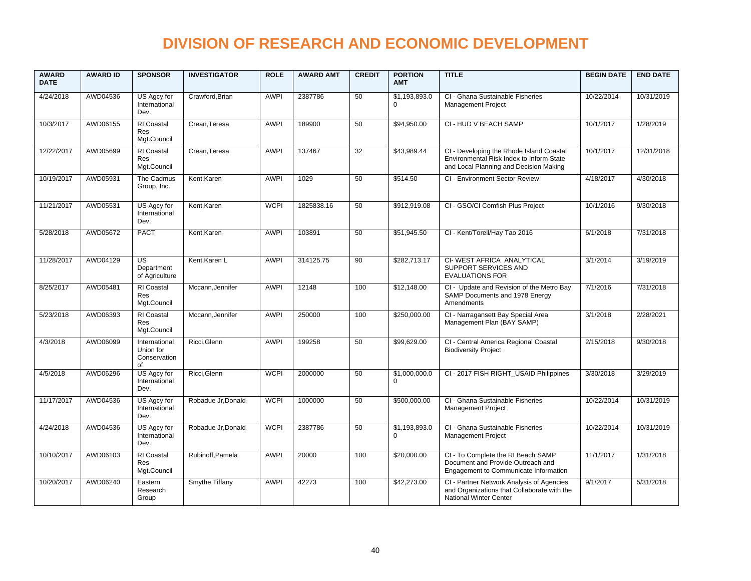| <b>AWARD</b><br><b>DATE</b> | <b>AWARD ID</b> | <b>SPONSOR</b>                                   | <b>INVESTIGATOR</b> | <b>ROLE</b> | <b>AWARD AMT</b> | <b>CREDIT</b> | <b>PORTION</b><br><b>AMT</b> | <b>TITLE</b>                                                                                                                   | <b>BEGIN DATE</b> | <b>END DATE</b> |
|-----------------------------|-----------------|--------------------------------------------------|---------------------|-------------|------------------|---------------|------------------------------|--------------------------------------------------------------------------------------------------------------------------------|-------------------|-----------------|
| 4/24/2018                   | AWD04536        | US Agcy for<br>International<br>Dev.             | Crawford, Brian     | <b>AWPI</b> | 2387786          | 50            | \$1,193,893.0<br>$\mathbf 0$ | CI - Ghana Sustainable Fisheries<br>Management Project                                                                         | 10/22/2014        | 10/31/2019      |
| 10/3/2017                   | AWD06155        | <b>RI</b> Coastal<br><b>Res</b><br>Mgt.Council   | Crean, Teresa       | <b>AWPI</b> | 189900           | 50            | \$94,950.00                  | CI - HUD V BEACH SAMP                                                                                                          | 10/1/2017         | 1/28/2019       |
| 12/22/2017                  | AWD05699        | RI Coastal<br>Res<br>Mgt.Council                 | Crean.Teresa        | <b>AWPI</b> | 137467           | 32            | \$43,989.44                  | CI - Developing the Rhode Island Coastal<br>Environmental Risk Index to Inform State<br>and Local Planning and Decision Making | 10/1/2017         | 12/31/2018      |
| 10/19/2017                  | AWD05931        | The Cadmus<br>Group, Inc.                        | Kent, Karen         | <b>AWPI</b> | 1029             | 50            | \$514.50                     | CI - Environment Sector Review                                                                                                 | 4/18/2017         | 4/30/2018       |
| 11/21/2017                  | AWD05531        | US Agcy for<br>International<br>Dev.             | Kent, Karen         | <b>WCPI</b> | 1825838.16       | 50            | \$912,919.08                 | CI - GSO/CI Comfish Plus Project                                                                                               | 10/1/2016         | 9/30/2018       |
| 5/28/2018                   | AWD05672        | <b>PACT</b>                                      | Kent, Karen         | <b>AWPI</b> | 103891           | 50            | \$51,945.50                  | CI - Kent/Torell/Hay Tao 2016                                                                                                  | 6/1/2018          | 7/31/2018       |
| 11/28/2017                  | AWD04129        | US<br>Department<br>of Agriculture               | Kent, Karen L       | <b>AWPI</b> | 314125.75        | 90            | \$282,713.17                 | CI-WEST AFRICA ANALYTICAL<br>SUPPORT SERVICES AND<br><b>EVALUATIONS FOR</b>                                                    | 3/1/2014          | 3/19/2019       |
| 8/25/2017                   | AWD05481        | <b>RI</b> Coastal<br><b>Res</b><br>Mgt.Council   | Mccann, Jennifer    | <b>AWPI</b> | 12148            | 100           | \$12,148.00                  | CI - Update and Revision of the Metro Bay<br>SAMP Documents and 1978 Energy<br>Amendments                                      | 7/1/2016          | 7/31/2018       |
| 5/23/2018                   | AWD06393        | RI Coastal<br><b>Res</b><br>Mgt.Council          | Mccann, Jennifer    | <b>AWPI</b> | 250000           | 100           | \$250,000.00                 | CI - Narragansett Bay Special Area<br>Management Plan (BAY SAMP)                                                               | 3/1/2018          | 2/28/2021       |
| 4/3/2018                    | AWD06099        | International<br>Union for<br>Conservation<br>оf | Ricci.Glenn         | <b>AWPI</b> | 199258           | 50            | \$99,629.00                  | CI - Central America Regional Coastal<br><b>Biodiversity Project</b>                                                           | 2/15/2018         | 9/30/2018       |
| 4/5/2018                    | AWD06296        | US Agcy for<br>International<br>Dev.             | Ricci, Glenn        | <b>WCPI</b> | 2000000          | 50            | \$1,000,000.0<br>$\Omega$    | CI - 2017 FISH RIGHT USAID Philippines                                                                                         | 3/30/2018         | 3/29/2019       |
| 11/17/2017                  | AWD04536        | US Agcy for<br>International<br>Dev.             | Robadue Jr, Donald  | <b>WCPI</b> | 1000000          | 50            | \$500,000.00                 | CI - Ghana Sustainable Fisheries<br><b>Management Project</b>                                                                  | 10/22/2014        | 10/31/2019      |
| 4/24/2018                   | AWD04536        | US Agcy for<br>International<br>Dev.             | Robadue Jr, Donald  | <b>WCPI</b> | 2387786          | 50            | \$1,193,893.0<br>$\mathbf 0$ | CI - Ghana Sustainable Fisheries<br>Management Project                                                                         | 10/22/2014        | 10/31/2019      |
| 10/10/2017                  | AWD06103        | <b>RI</b> Coastal<br><b>Res</b><br>Mgt.Council   | Rubinoff, Pamela    | <b>AWPI</b> | 20000            | 100           | \$20,000.00                  | CI - To Complete the RI Beach SAMP<br>Document and Provide Outreach and<br>Engagement to Communicate Information               | 11/1/2017         | 1/31/2018       |
| 10/20/2017                  | AWD06240        | Eastern<br>Research<br>Group                     | Smythe, Tiffany     | <b>AWPI</b> | 42273            | 100           | \$42,273.00                  | CI - Partner Network Analysis of Agencies<br>and Organizations that Collaborate with the<br>National Winter Center             | 9/1/2017          | 5/31/2018       |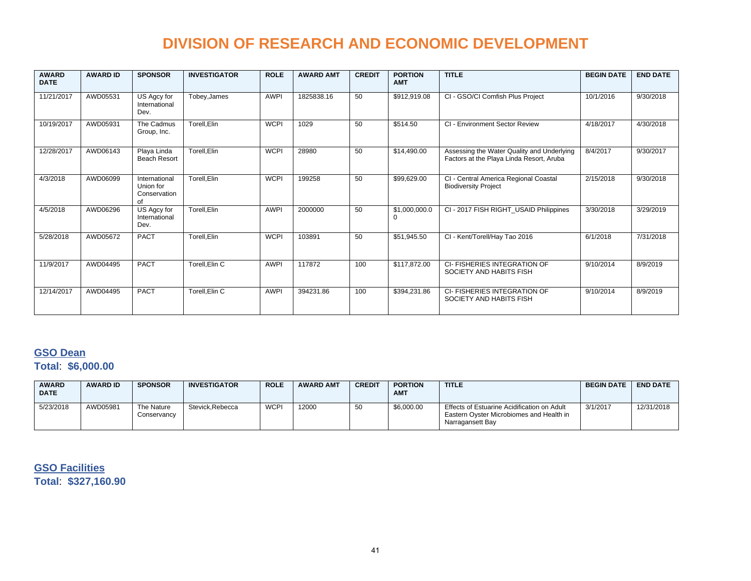| <b>AWARD</b><br><b>DATE</b> | <b>AWARD ID</b> | <b>SPONSOR</b>                                   | <b>INVESTIGATOR</b> | <b>ROLE</b> | <b>AWARD AMT</b> | <b>CREDIT</b> | <b>PORTION</b><br><b>AMT</b> | <b>TITLE</b>                                                                           | <b>BEGIN DATE</b> | <b>END DATE</b> |
|-----------------------------|-----------------|--------------------------------------------------|---------------------|-------------|------------------|---------------|------------------------------|----------------------------------------------------------------------------------------|-------------------|-----------------|
| 11/21/2017                  | AWD05531        | US Agcy for<br>International<br>Dev.             | Tobey, James        | <b>AWPI</b> | 1825838.16       | 50            | \$912,919.08                 | CI - GSO/CI Comfish Plus Project                                                       | 10/1/2016         | 9/30/2018       |
| 10/19/2017                  | AWD05931        | The Cadmus<br>Group, Inc.                        | Torell, Elin        | <b>WCPI</b> | 1029             | 50            | \$514.50                     | CI - Environment Sector Review                                                         | 4/18/2017         | 4/30/2018       |
| 12/28/2017                  | AWD06143        | Playa Linda<br><b>Beach Resort</b>               | Torell, Elin        | <b>WCPI</b> | 28980            | 50            | \$14,490.00                  | Assessing the Water Quality and Underlying<br>Factors at the Playa Linda Resort, Aruba | 8/4/2017          | 9/30/2017       |
| 4/3/2018                    | AWD06099        | International<br>Union for<br>Conservation<br>of | Torell, Elin        | <b>WCPI</b> | 199258           | 50            | \$99,629.00                  | CI - Central America Regional Coastal<br><b>Biodiversity Project</b>                   | 2/15/2018         | 9/30/2018       |
| 4/5/2018                    | AWD06296        | US Agcy for<br>International<br>Dev.             | Torell, Elin        | <b>AWPI</b> | 2000000          | 50            | \$1,000,000.0<br>$\Omega$    | CI - 2017 FISH RIGHT USAID Philippines                                                 | 3/30/2018         | 3/29/2019       |
| 5/28/2018                   | AWD05672        | <b>PACT</b>                                      | Torell, Elin        | <b>WCPI</b> | 103891           | 50            | \$51,945.50                  | CI - Kent/Torell/Hay Tao 2016                                                          | 6/1/2018          | 7/31/2018       |
| 11/9/2017                   | AWD04495        | <b>PACT</b>                                      | Torell, Elin C      | <b>AWPI</b> | 117872           | 100           | \$117,872.00                 | CI-FISHERIES INTEGRATION OF<br>SOCIETY AND HABITS FISH                                 | 9/10/2014         | 8/9/2019        |
| 12/14/2017                  | AWD04495        | <b>PACT</b>                                      | Torell.Elin C       | <b>AWPI</b> | 394231.86        | 100           | \$394,231.86                 | CI-FISHERIES INTEGRATION OF<br>SOCIETY AND HABITS FISH                                 | 9/10/2014         | 8/9/2019        |

### **GSO Dean**

**Total**: **\$6,000.00**

| <b>AWARD</b><br><b>DATE</b> | <b>AWARD ID</b> | <b>SPONSOR</b>            | <b>INVESTIGATOR</b> | <b>ROLE</b> | <b>AWARD AMT</b> | <b>CREDIT</b> | <b>PORTION</b><br><b>AMT</b> | <b>TITLE</b>                                                                                                | <b>BEGIN DATE</b> | <b>END DATE</b> |
|-----------------------------|-----------------|---------------------------|---------------------|-------------|------------------|---------------|------------------------------|-------------------------------------------------------------------------------------------------------------|-------------------|-----------------|
| 5/23/2018                   | AWD05981        | The Nature<br>Conservancv | Stevick.Rebecca     | <b>WCPI</b> | 12000            | -50           | \$6,000.00                   | Effects of Estuarine Acidification on Adult<br>Eastern Ovster Microbiomes and Health in<br>Narragansett Bay | 3/1/2017          | 12/31/2018      |

**GSO Facilities Total**: **\$327,160.90**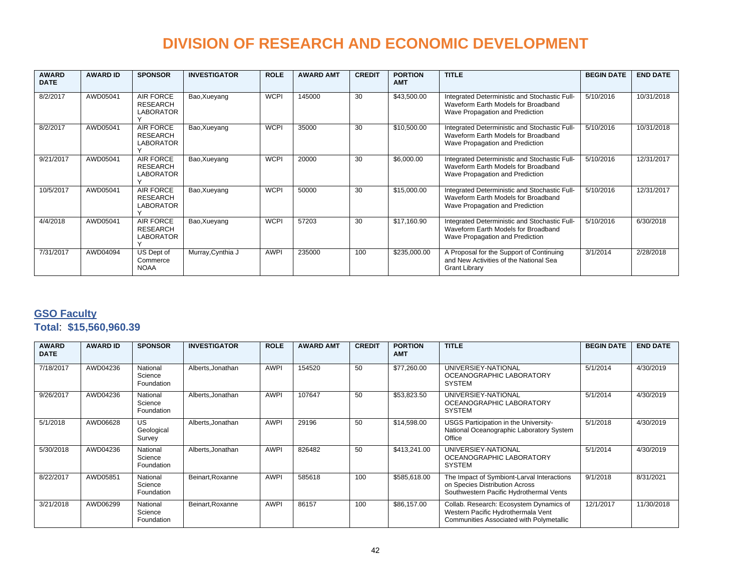| <b>AWARD</b><br><b>DATE</b> | <b>AWARD ID</b> | <b>SPONSOR</b>                                          | <b>INVESTIGATOR</b> | <b>ROLE</b> | <b>AWARD AMT</b> | <b>CREDIT</b> | <b>PORTION</b><br><b>AMT</b> | <b>TITLE</b>                                                                                                            | <b>BEGIN DATE</b> | <b>END DATE</b> |
|-----------------------------|-----------------|---------------------------------------------------------|---------------------|-------------|------------------|---------------|------------------------------|-------------------------------------------------------------------------------------------------------------------------|-------------------|-----------------|
| 8/2/2017                    | AWD05041        | <b>AIR FORCE</b><br><b>RESEARCH</b><br><b>LABORATOR</b> | Bao, Xueyang        | <b>WCPI</b> | 145000           | 30            | \$43,500.00                  | Integrated Deterministic and Stochastic Full-<br>Waveform Earth Models for Broadband<br>Wave Propagation and Prediction | 5/10/2016         | 10/31/2018      |
| 8/2/2017                    | AWD05041        | AIR FORCE<br><b>RESEARCH</b><br><b>LABORATOR</b>        | Bao, Xueyang        | <b>WCPI</b> | 35000            | 30            | \$10,500.00                  | Integrated Deterministic and Stochastic Full-<br>Waveform Earth Models for Broadband<br>Wave Propagation and Prediction | 5/10/2016         | 10/31/2018      |
| 9/21/2017                   | AWD05041        | AIR FORCE<br><b>RESEARCH</b><br><b>LABORATOR</b>        | Bao, Xueyang        | <b>WCPI</b> | 20000            | 30            | \$6,000.00                   | Integrated Deterministic and Stochastic Full-<br>Waveform Earth Models for Broadband<br>Wave Propagation and Prediction | 5/10/2016         | 12/31/2017      |
| 10/5/2017                   | AWD05041        | AIR FORCE<br><b>RESEARCH</b><br>LABORATOR               | Bao, Xueyang        | <b>WCPI</b> | 50000            | 30            | \$15,000.00                  | Integrated Deterministic and Stochastic Full-<br>Waveform Earth Models for Broadband<br>Wave Propagation and Prediction | 5/10/2016         | 12/31/2017      |
| 4/4/2018                    | AWD05041        | AIR FORCE<br>RESEARCH<br><b>LABORATOR</b>               | Bao, Xueyang        | <b>WCPI</b> | 57203            | 30            | \$17.160.90                  | Integrated Deterministic and Stochastic Full-<br>Waveform Earth Models for Broadband<br>Wave Propagation and Prediction | 5/10/2016         | 6/30/2018       |
| 7/31/2017                   | AWD04094        | US Dept of<br>Commerce<br><b>NOAA</b>                   | Murray, Cynthia J   | <b>AWPI</b> | 235000           | 100           | \$235,000.00                 | A Proposal for the Support of Continuing<br>and New Activities of the National Sea<br><b>Grant Library</b>              | 3/1/2014          | 2/28/2018       |

### **GSO Faculty**

|  |  |  | Total: \$15,560,960.39 |
|--|--|--|------------------------|
|--|--|--|------------------------|

| <b>AWARD</b><br><b>DATE</b> | <b>AWARD ID</b> | <b>SPONSOR</b>                    | <b>INVESTIGATOR</b> | <b>ROLE</b> | <b>AWARD AMT</b> | <b>CREDIT</b> | <b>PORTION</b><br><b>AMT</b> | <b>TITLE</b>                                                                                                              | <b>BEGIN DATE</b> | <b>END DATE</b> |
|-----------------------------|-----------------|-----------------------------------|---------------------|-------------|------------------|---------------|------------------------------|---------------------------------------------------------------------------------------------------------------------------|-------------------|-----------------|
| 7/18/2017                   | AWD04236        | National<br>Science<br>Foundation | Alberts, Jonathan   | <b>AWPI</b> | 154520           | 50            | \$77,260.00                  | UNIVERSIEY-NATIONAL<br>OCEANOGRAPHIC LABORATORY<br>SYSTEM                                                                 | 5/1/2014          | 4/30/2019       |
| 9/26/2017                   | AWD04236        | National<br>Science<br>Foundation | Alberts, Jonathan   | <b>AWPI</b> | 107647           | 50            | \$53,823.50                  | UNIVERSIEY-NATIONAL<br>OCEANOGRAPHIC LABORATORY<br>SYSTEM                                                                 | 5/1/2014          | 4/30/2019       |
| 5/1/2018                    | AWD06628        | US<br>Geological<br>Survey        | Alberts, Jonathan   | <b>AWPI</b> | 29196            | 50            | \$14,598.00                  | USGS Participation in the University-<br>National Oceanographic Laboratory System<br>Office                               | 5/1/2018          | 4/30/2019       |
| 5/30/2018                   | AWD04236        | National<br>Science<br>Foundation | Alberts, Jonathan   | <b>AWPI</b> | 826482           | 50            | \$413,241.00                 | UNIVERSIEY-NATIONAL<br>OCEANOGRAPHIC LABORATORY<br><b>SYSTEM</b>                                                          | 5/1/2014          | 4/30/2019       |
| 8/22/2017                   | AWD05851        | National<br>Science<br>Foundation | Beinart.Roxanne     | <b>AWPI</b> | 585618           | 100           | \$585,618.00                 | The Impact of Symbiont-Larval Interactions<br>on Species Distribution Across<br>Southwestern Pacific Hydrothermal Vents   | 9/1/2018          | 8/31/2021       |
| 3/21/2018                   | AWD06299        | National<br>Science<br>Foundation | Beinart.Roxanne     | <b>AWPI</b> | 86157            | 100           | \$86,157.00                  | Collab. Research: Ecosystem Dynamics of<br>Western Pacific Hydrothermala Vent<br>Communities Associated with Polymetallic | 12/1/2017         | 11/30/2018      |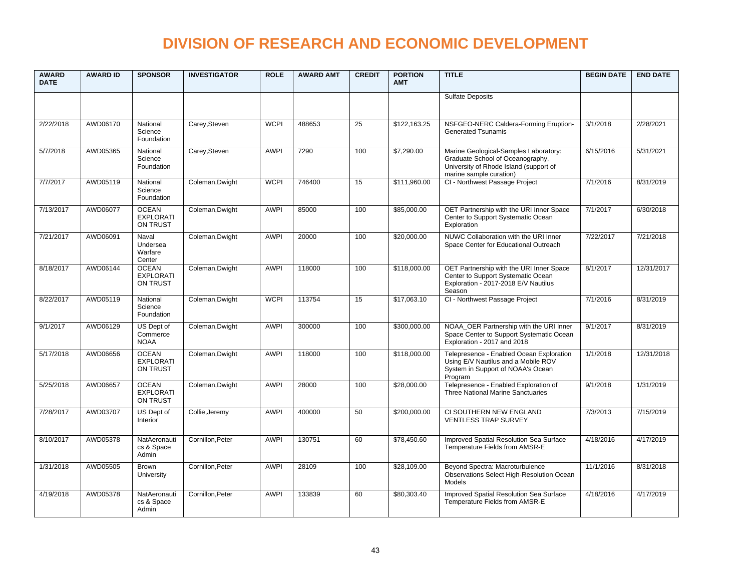| <b>AWARD</b><br><b>DATE</b> | <b>AWARD ID</b> | <b>SPONSOR</b>                               | <b>INVESTIGATOR</b> | <b>ROLE</b> | <b>AWARD AMT</b> | <b>CREDIT</b>   | <b>PORTION</b><br><b>AMT</b> | <b>TITLE</b>                                                                                                                                   | <b>BEGIN DATE</b> | <b>END DATE</b> |
|-----------------------------|-----------------|----------------------------------------------|---------------------|-------------|------------------|-----------------|------------------------------|------------------------------------------------------------------------------------------------------------------------------------------------|-------------------|-----------------|
|                             |                 |                                              |                     |             |                  |                 |                              | <b>Sulfate Deposits</b>                                                                                                                        |                   |                 |
| 2/22/2018                   | AWD06170        | National<br>Science<br>Foundation            | Carey, Steven       | <b>WCPI</b> | 488653           | $\overline{25}$ | \$122.163.25                 | NSFGEO-NERC Caldera-Forming Eruption-<br><b>Generated Tsunamis</b>                                                                             | 3/1/2018          | 2/28/2021       |
| 5/7/2018                    | AWD05365        | National<br>Science<br>Foundation            | Carey, Steven       | <b>AWPI</b> | 7290             | 100             | \$7,290.00                   | Marine Geological-Samples Laboratory:<br>Graduate School of Oceanography,<br>University of Rhode Island (support of<br>marine sample curation) | 6/15/2016         | 5/31/2021       |
| 7/7/2017                    | AWD05119        | National<br>Science<br>Foundation            | Coleman.Dwight      | <b>WCPI</b> | 746400           | 15              | \$111.960.00                 | CI - Northwest Passage Project                                                                                                                 | 7/1/2016          | 8/31/2019       |
| 7/13/2017                   | AWD06077        | <b>OCEAN</b><br><b>EXPLORATI</b><br>ON TRUST | Coleman, Dwight     | <b>AWPI</b> | 85000            | 100             | \$85,000.00                  | OET Partnership with the URI Inner Space<br>Center to Support Systematic Ocean<br>Exploration                                                  | 7/1/2017          | 6/30/2018       |
| 7/21/2017                   | AWD06091        | Naval<br>Undersea<br>Warfare<br>Center       | Coleman, Dwight     | <b>AWPI</b> | 20000            | 100             | \$20,000.00                  | NUWC Collaboration with the URI Inner<br>Space Center for Educational Outreach                                                                 | 7/22/2017         | 7/21/2018       |
| 8/18/2017                   | AWD06144        | <b>OCEAN</b><br><b>EXPLORATI</b><br>ON TRUST | Coleman, Dwight     | <b>AWPI</b> | 118000           | 100             | \$118,000.00                 | OET Partnership with the URI Inner Space<br>Center to Support Systematic Ocean<br>Exploration - 2017-2018 E/V Nautilus<br>Season               | 8/1/2017          | 12/31/2017      |
| 8/22/2017                   | AWD05119        | National<br>Science<br>Foundation            | Coleman, Dwight     | <b>WCPI</b> | 113754           | 15              | $\overline{17,063.10}$       | CI - Northwest Passage Project                                                                                                                 | 7/1/2016          | 8/31/2019       |
| 9/1/2017                    | AWD06129        | US Dept of<br>Commerce<br><b>NOAA</b>        | Coleman, Dwight     | <b>AWPI</b> | 300000           | 100             | \$300,000.00                 | NOAA OER Partnership with the URI Inner<br>Space Center to Support Systematic Ocean<br>Exploration - 2017 and 2018                             | 9/1/2017          | 8/31/2019       |
| 5/17/2018                   | AWD06656        | <b>OCEAN</b><br><b>EXPLORATI</b><br>ON TRUST | Coleman, Dwight     | <b>AWPI</b> | 118000           | 100             | \$118,000.00                 | Telepresence - Enabled Ocean Exploration<br>Using E/V Nautilus and a Mobile ROV<br>System in Support of NOAA's Ocean<br>Program                | 1/1/2018          | 12/31/2018      |
| 5/25/2018                   | AWD06657        | <b>OCEAN</b><br><b>EXPLORATI</b><br>ON TRUST | Coleman, Dwight     | <b>AWPI</b> | 28000            | 100             | \$28,000.00                  | Telepresence - Enabled Exploration of<br><b>Three National Marine Sanctuaries</b>                                                              | 9/1/2018          | 1/31/2019       |
| 7/28/2017                   | AWD03707        | US Dept of<br>Interior                       | Collie, Jeremy      | <b>AWPI</b> | 400000           | 50              | \$200,000.00                 | CI SOUTHERN NEW ENGLAND<br><b>VENTLESS TRAP SURVEY</b>                                                                                         | 7/3/2013          | 7/15/2019       |
| 8/10/2017                   | AWD05378        | NatAeronauti<br>cs & Space<br>Admin          | Cornillon, Peter    | <b>AWPI</b> | 130751           | 60              | \$78,450.60                  | Improved Spatial Resolution Sea Surface<br>Temperature Fields from AMSR-E                                                                      | 4/18/2016         | 4/17/2019       |
| 1/31/2018                   | AWD05505        | Brown<br>University                          | Cornillon, Peter    | <b>AWPI</b> | 28109            | 100             | \$28,109.00                  | Beyond Spectra: Macroturbulence<br>Observations Select High-Resolution Ocean<br>Models                                                         | 11/1/2016         | 8/31/2018       |
| 4/19/2018                   | AWD05378        | NatAeronauti<br>cs & Space<br>Admin          | Cornillon, Peter    | <b>AWPI</b> | 133839           | 60              | \$80,303.40                  | Improved Spatial Resolution Sea Surface<br>Temperature Fields from AMSR-E                                                                      | 4/18/2016         | 4/17/2019       |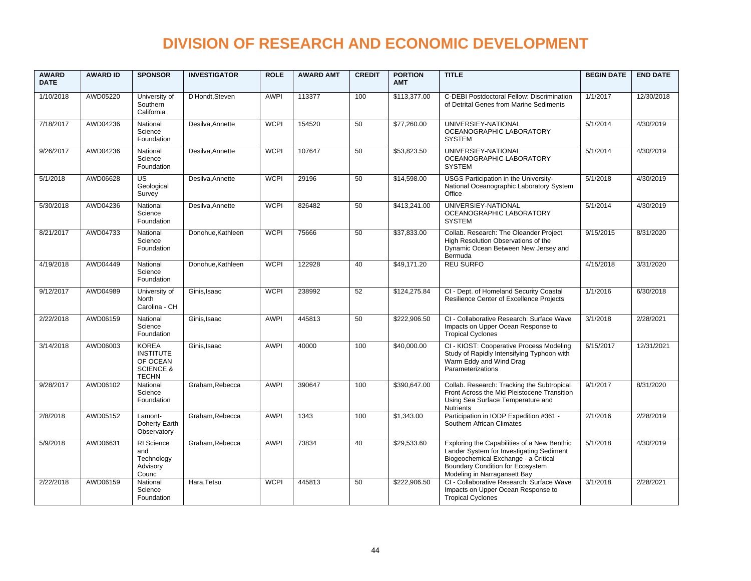| <b>AWARD</b><br><b>DATE</b> | <b>AWARD ID</b> | <b>SPONSOR</b>                                                                       | <b>INVESTIGATOR</b> | <b>ROLE</b> | <b>AWARD AMT</b> | <b>CREDIT</b> | <b>PORTION</b><br><b>AMT</b> | <b>TITLE</b>                                                                                                                                                                                               | <b>BEGIN DATE</b> | <b>END DATE</b> |
|-----------------------------|-----------------|--------------------------------------------------------------------------------------|---------------------|-------------|------------------|---------------|------------------------------|------------------------------------------------------------------------------------------------------------------------------------------------------------------------------------------------------------|-------------------|-----------------|
| 1/10/2018                   | AWD05220        | University of<br>Southern<br>California                                              | D'Hondt, Steven     | <b>AWPI</b> | 113377           | 100           | \$113,377.00                 | C-DEBI Postdoctoral Fellow: Discrimination<br>of Detrital Genes from Marine Sediments                                                                                                                      | 1/1/2017          | 12/30/2018      |
| 7/18/2017                   | AWD04236        | National<br>Science<br>Foundation                                                    | Desilva, Annette    | <b>WCPI</b> | 154520           | 50            | \$77,260.00                  | UNIVERSIEY-NATIONAL<br>OCEANOGRAPHIC LABORATORY<br><b>SYSTEM</b>                                                                                                                                           | 5/1/2014          | 4/30/2019       |
| 9/26/2017                   | AWD04236        | National<br>Science<br>Foundation                                                    | Desilva, Annette    | <b>WCPI</b> | 107647           | 50            | \$53,823.50                  | UNIVERSIEY-NATIONAL<br>OCEANOGRAPHIC LABORATORY<br><b>SYSTEM</b>                                                                                                                                           | 5/1/2014          | 4/30/2019       |
| 5/1/2018                    | AWD06628        | <b>US</b><br>Geological<br>Survey                                                    | Desilva.Annette     | <b>WCPI</b> | 29196            | 50            | \$14,598.00                  | USGS Participation in the University-<br>National Oceanographic Laboratory System<br>Office                                                                                                                | 5/1/2018          | 4/30/2019       |
| 5/30/2018                   | AWD04236        | National<br>Science<br>Foundation                                                    | Desilva, Annette    | <b>WCPI</b> | 826482           | 50            | \$413,241.00                 | UNIVERSIEY-NATIONAL<br>OCEANOGRAPHIC LABORATORY<br><b>SYSTEM</b>                                                                                                                                           | 5/1/2014          | 4/30/2019       |
| 8/21/2017                   | AWD04733        | National<br>Science<br>Foundation                                                    | Donohue, Kathleen   | <b>WCPI</b> | 75666            | 50            | \$37,833.00                  | Collab. Research: The Oleander Project<br>High Resolution Observations of the<br>Dynamic Ocean Between New Jersey and<br>Bermuda                                                                           | 9/15/2015         | 8/31/2020       |
| 4/19/2018                   | AWD04449        | National<br>Science<br>Foundation                                                    | Donohue.Kathleen    | <b>WCPI</b> | 122928           | 40            | \$49.171.20                  | <b>REU SURFO</b>                                                                                                                                                                                           | 4/15/2018         | 3/31/2020       |
| 9/12/2017                   | AWD04989        | University of<br><b>North</b><br>Carolina - CH                                       | Ginis, Isaac        | <b>WCPI</b> | 238992           | 52            | \$124,275.84                 | CI - Dept. of Homeland Security Coastal<br>Resilience Center of Excellence Projects                                                                                                                        | 1/1/2016          | 6/30/2018       |
| 2/22/2018                   | AWD06159        | National<br>Science<br>Foundation                                                    | Ginis, Isaac        | <b>AWPI</b> | 445813           | 50            | \$222,906.50                 | CI - Collaborative Research: Surface Wave<br>Impacts on Upper Ocean Response to<br><b>Tropical Cyclones</b>                                                                                                | 3/1/2018          | 2/28/2021       |
| 3/14/2018                   | AWD06003        | <b>KOREA</b><br><b>INSTITUTE</b><br>OF OCEAN<br><b>SCIENCE &amp;</b><br><b>TECHN</b> | Ginis, Isaac        | <b>AWPI</b> | 40000            | 100           | \$40,000.00                  | CI - KIOST: Cooperative Process Modeling<br>Study of Rapidly Intensifying Typhoon with<br>Warm Eddy and Wind Drag<br>Parameterizations                                                                     | 6/15/2017         | 12/31/2021      |
| 9/28/2017                   | AWD06102        | National<br>Science<br>Foundation                                                    | Graham, Rebecca     | <b>AWPI</b> | 390647           | 100           | \$390,647.00                 | Collab. Research: Tracking the Subtropical<br>Front Across the Mid Pleistocene Transition<br>Using Sea Surface Temperature and<br><b>Nutrients</b>                                                         | 9/1/2017          | 8/31/2020       |
| 2/8/2018                    | AWD05152        | Lamont-<br>Doherty Earth<br>Observatory                                              | Graham.Rebecca      | <b>AWPI</b> | 1343             | 100           | \$1,343.00                   | Participation in IODP Expedition #361 -<br>Southern African Climates                                                                                                                                       | 2/1/2016          | 2/28/2019       |
| 5/9/2018                    | AWD06631        | RI Science<br>and<br>Technology<br>Advisory<br>Counc                                 | Graham, Rebecca     | <b>AWPI</b> | 73834            | 40            | \$29,533.60                  | Exploring the Capabilities of a New Benthic<br>Lander System for Investigating Sediment<br>Biogeochemical Exchange - a Critical<br><b>Boundary Condition for Ecosystem</b><br>Modeling in Narragansett Bay | 5/1/2018          | 4/30/2019       |
| 2/22/2018                   | AWD06159        | National<br>Science<br>Foundation                                                    | Hara, Tetsu         | <b>WCPI</b> | 445813           | 50            | \$222,906.50                 | CI - Collaborative Research: Surface Wave<br>Impacts on Upper Ocean Response to<br><b>Tropical Cyclones</b>                                                                                                | 3/1/2018          | 2/28/2021       |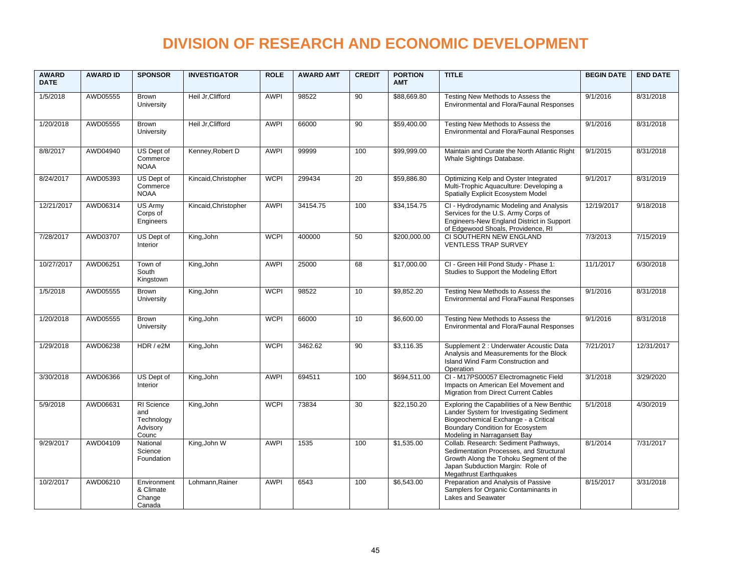| <b>AWARD</b><br><b>DATE</b> | <b>AWARD ID</b> | <b>SPONSOR</b>                                       | <b>INVESTIGATOR</b>  | <b>ROLE</b> | <b>AWARD AMT</b> | <b>CREDIT</b> | <b>PORTION</b><br><b>AMT</b> | <b>TITLE</b>                                                                                                                                                                                        | <b>BEGIN DATE</b> | <b>END DATE</b> |
|-----------------------------|-----------------|------------------------------------------------------|----------------------|-------------|------------------|---------------|------------------------------|-----------------------------------------------------------------------------------------------------------------------------------------------------------------------------------------------------|-------------------|-----------------|
| 1/5/2018                    | AWD05555        | Brown<br>University                                  | Heil Jr, Clifford    | <b>AWPI</b> | 98522            | 90            | \$88,669.80                  | Testing New Methods to Assess the<br>Environmental and Flora/Faunal Responses                                                                                                                       | 9/1/2016          | 8/31/2018       |
| 1/20/2018                   | AWD05555        | Brown<br>University                                  | Heil Jr, Clifford    | <b>AWPI</b> | 66000            | 90            | \$59,400.00                  | Testing New Methods to Assess the<br>Environmental and Flora/Faunal Responses                                                                                                                       | 9/1/2016          | 8/31/2018       |
| 8/8/2017                    | AWD04940        | US Dept of<br>Commerce<br><b>NOAA</b>                | Kenney, Robert D     | <b>AWPI</b> | 99999            | 100           | \$99,999.00                  | Maintain and Curate the North Atlantic Right<br>Whale Sightings Database.                                                                                                                           | 9/1/2015          | 8/31/2018       |
| 8/24/2017                   | AWD05393        | US Dept of<br>Commerce<br><b>NOAA</b>                | Kincaid, Christopher | <b>WCPI</b> | 299434           | 20            | \$59,886.80                  | Optimizing Kelp and Oyster Integrated<br>Multi-Trophic Aquaculture: Developing a<br>Spatially Explicit Ecosystem Model                                                                              | 9/1/2017          | 8/31/2019       |
| 12/21/2017                  | AWD06314        | US Army<br>Corps of<br>Engineers                     | Kincaid, Christopher | <b>AWPI</b> | 34154.75         | 100           | \$34.154.75                  | CI - Hydrodynamic Modeling and Analysis<br>Services for the U.S. Army Corps of<br>Engineers-New England District in Support<br>of Edgewood Shoals, Providence, RI                                   | 12/19/2017        | 9/18/2018       |
| 7/28/2017                   | AWD03707        | US Dept of<br>Interior                               | King, John           | <b>WCPI</b> | 400000           | 50            | \$200,000.00                 | CI SOUTHERN NEW ENGLAND<br><b>VENTLESS TRAP SURVEY</b>                                                                                                                                              | 7/3/2013          | 7/15/2019       |
| 10/27/2017                  | AWD06251        | Town of<br>South<br>Kingstown                        | King, John           | <b>AWPI</b> | 25000            | 68            | \$17,000.00                  | CI - Green Hill Pond Study - Phase 1:<br>Studies to Support the Modeling Effort                                                                                                                     | 11/1/2017         | 6/30/2018       |
| 1/5/2018                    | AWD05555        | Brown<br>University                                  | King, John           | <b>WCPI</b> | 98522            | 10            | \$9,852.20                   | Testing New Methods to Assess the<br>Environmental and Flora/Faunal Responses                                                                                                                       | 9/1/2016          | 8/31/2018       |
| 1/20/2018                   | AWD05555        | <b>Brown</b><br>University                           | King, John           | <b>WCPI</b> | 66000            | 10            | \$6,600.00                   | Testing New Methods to Assess the<br>Environmental and Flora/Faunal Responses                                                                                                                       | 9/1/2016          | 8/31/2018       |
| 1/29/2018                   | AWD06238        | HDR / e2M                                            | King, John           | <b>WCPI</b> | 3462.62          | 90            | \$3,116.35                   | Supplement 2 : Underwater Acoustic Data<br>Analysis and Measurements for the Block<br>Island Wind Farm Construction and<br>Operation                                                                | 7/21/2017         | 12/31/2017      |
| 3/30/2018                   | AWD06366        | US Dept of<br>Interior                               | King, John           | <b>AWPI</b> | 694511           | 100           | \$694,511.00                 | CI - M17PS00057 Electromagnetic Field<br>Impacts on American Eel Movement and<br>Migration from Direct Current Cables                                                                               | 3/1/2018          | 3/29/2020       |
| 5/9/2018                    | AWD06631        | RI Science<br>and<br>Technology<br>Advisory<br>Counc | King, John           | <b>WCPI</b> | 73834            | 30            | \$22,150.20                  | Exploring the Capabilities of a New Benthic<br>Lander System for Investigating Sediment<br>Biogeochemical Exchange - a Critical<br>Boundary Condition for Ecosystem<br>Modeling in Narragansett Bay | 5/1/2018          | 4/30/2019       |
| 9/29/2017                   | AWD04109        | National<br>Science<br>Foundation                    | King, John W         | <b>AWPI</b> | 1535             | 100           | \$1,535.00                   | Collab. Research: Sediment Pathways,<br>Sedimentation Processes, and Structural<br>Growth Along the Tohoku Segment of the<br>Japan Subduction Margin: Role of<br><b>Megathrust Earthquakes</b>      | 8/1/2014          | 7/31/2017       |
| 10/2/2017                   | AWD06210        | Environment<br>& Climate<br>Change<br>Canada         | Lohmann, Rainer      | <b>AWPI</b> | 6543             | 100           | \$6,543.00                   | Preparation and Analysis of Passive<br>Samplers for Organic Contaminants in<br>Lakes and Seawater                                                                                                   | 8/15/2017         | 3/31/2018       |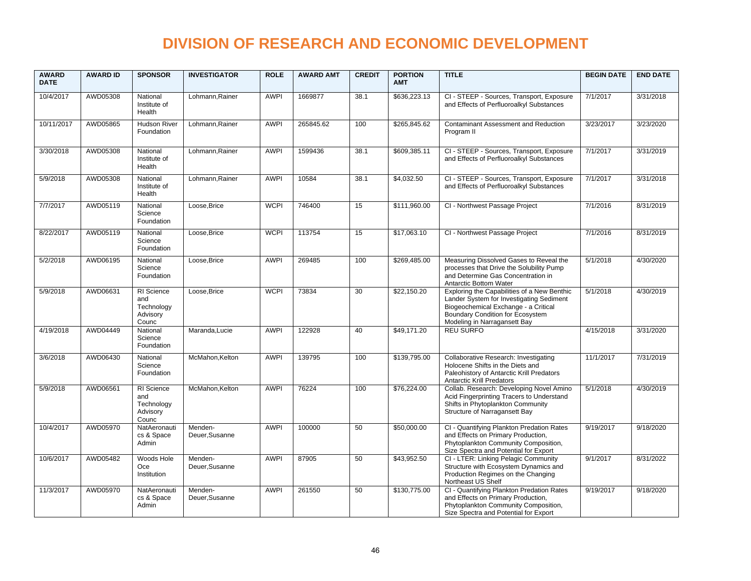| <b>AWARD</b><br><b>DATE</b> | <b>AWARD ID</b> | <b>SPONSOR</b>                                              | <b>INVESTIGATOR</b>       | <b>ROLE</b> | <b>AWARD AMT</b> | <b>CREDIT</b> | <b>PORTION</b><br><b>AMT</b> | <b>TITLE</b>                                                                                                                                                                                        | <b>BEGIN DATE</b> | <b>END DATE</b> |
|-----------------------------|-----------------|-------------------------------------------------------------|---------------------------|-------------|------------------|---------------|------------------------------|-----------------------------------------------------------------------------------------------------------------------------------------------------------------------------------------------------|-------------------|-----------------|
| 10/4/2017                   | AWD05308        | National<br>Institute of<br>Health                          | Lohmann.Rainer            | <b>AWPI</b> | 1669877          | 38.1          | \$636,223.13                 | CI - STEEP - Sources, Transport, Exposure<br>and Effects of Perfluoroalkyl Substances                                                                                                               | 7/1/2017          | 3/31/2018       |
| 10/11/2017                  | AWD05865        | Hudson River<br>Foundation                                  | Lohmann.Rainer            | <b>AWPI</b> | 265845.62        | 100           | \$265,845.62                 | <b>Contaminant Assessment and Reduction</b><br>Program II                                                                                                                                           | 3/23/2017         | 3/23/2020       |
| 3/30/2018                   | AWD05308        | National<br>Institute of<br>Health                          | Lohmann, Rainer           | <b>AWPI</b> | 1599436          | 38.1          | \$609,385.11                 | CI - STEEP - Sources, Transport, Exposure<br>and Effects of Perfluoroalkyl Substances                                                                                                               | 7/1/2017          | 3/31/2019       |
| 5/9/2018                    | AWD05308        | National<br>Institute of<br>Health                          | Lohmann.Rainer            | <b>AWPI</b> | 10584            | 38.1          | \$4,032.50                   | CI - STEEP - Sources, Transport, Exposure<br>and Effects of Perfluoroalkyl Substances                                                                                                               | 7/1/2017          | 3/31/2018       |
| 7/7/2017                    | AWD05119        | National<br>Science<br>Foundation                           | Loose, Brice              | <b>WCPI</b> | 746400           | 15            | \$111,960.00                 | CI - Northwest Passage Project                                                                                                                                                                      | 7/1/2016          | 8/31/2019       |
| 8/22/2017                   | AWD05119        | National<br>Science<br>Foundation                           | Loose, Brice              | <b>WCPI</b> | 113754           | 15            | \$17,063.10                  | CI - Northwest Passage Project                                                                                                                                                                      | 7/1/2016          | 8/31/2019       |
| 5/2/2018                    | AWD06195        | National<br>Science<br>Foundation                           | Loose, Brice              | <b>AWPI</b> | 269485           | 100           | \$269,485.00                 | Measuring Dissolved Gases to Reveal the<br>processes that Drive the Solubility Pump<br>and Determine Gas Concentration in<br>Antarctic Bottom Water                                                 | 5/1/2018          | 4/30/2020       |
| 5/9/2018                    | AWD06631        | <b>RI</b> Science<br>and<br>Technology<br>Advisory<br>Counc | Loose, Brice              | <b>WCPI</b> | 73834            | 30            | \$22,150.20                  | Exploring the Capabilities of a New Benthic<br>Lander System for Investigating Sediment<br>Biogeochemical Exchange - a Critical<br>Boundary Condition for Ecosystem<br>Modeling in Narragansett Bay | 5/1/2018          | 4/30/2019       |
| 4/19/2018                   | AWD04449        | National<br>Science<br>Foundation                           | Maranda, Lucie            | <b>AWPI</b> | 122928           | 40            | \$49,171.20                  | <b>REU SURFO</b>                                                                                                                                                                                    | 4/15/2018         | 3/31/2020       |
| 3/6/2018                    | AWD06430        | National<br>Science<br>Foundation                           | McMahon.Kelton            | <b>AWPI</b> | 139795           | 100           | \$139,795.00                 | Collaborative Research: Investigating<br>Holocene Shifts in the Diets and<br>Paleohistory of Antarctic Krill Predators<br><b>Antarctic Krill Predators</b>                                          | 11/1/2017         | 7/31/2019       |
| 5/9/2018                    | AWD06561        | RI Science<br>and<br>Technology<br>Advisory<br>Counc        | McMahon, Kelton           | <b>AWPI</b> | 76224            | 100           | \$76,224.00                  | Collab. Research: Developing Novel Amino<br>Acid Fingerprinting Tracers to Understand<br>Shifts in Phytoplankton Community<br>Structure of Narragansett Bay                                         | 5/1/2018          | 4/30/2019       |
| 10/4/2017                   | AWD05970        | NatAeronauti<br>cs & Space<br>Admin                         | Menden-<br>Deuer, Susanne | <b>AWPI</b> | 100000           | 50            | \$50,000.00                  | CI - Quantifying Plankton Predation Rates<br>and Effects on Primary Production,<br>Phytoplankton Community Composition,<br>Size Spectra and Potential for Export                                    | 9/19/2017         | 9/18/2020       |
| 10/6/2017                   | AWD05482        | Woods Hole<br>Oce<br>Institution                            | Menden-<br>Deuer, Susanne | <b>AWPI</b> | 87905            | 50            | \$43,952.50                  | CI - LTER: Linking Pelagic Community<br>Structure with Ecosystem Dynamics and<br>Production Regimes on the Changing<br>Northeast US Shelf                                                           | 9/1/2017          | 8/31/2022       |
| 11/3/2017                   | AWD05970        | NatAeronauti<br>cs & Space<br>Admin                         | Menden-<br>Deuer, Susanne | <b>AWPI</b> | 261550           | 50            | \$130,775.00                 | CI - Quantifying Plankton Predation Rates<br>and Effects on Primary Production,<br>Phytoplankton Community Composition,<br>Size Spectra and Potential for Export                                    | 9/19/2017         | 9/18/2020       |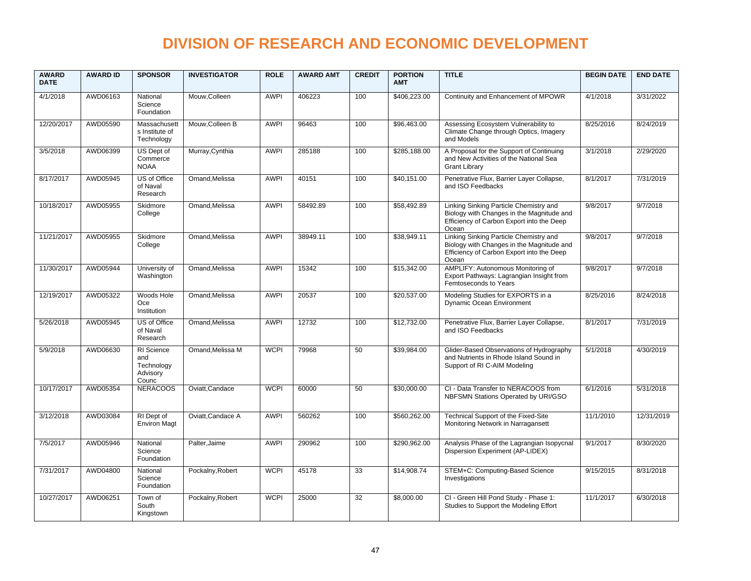| <b>AWARD</b><br><b>DATE</b> | <b>AWARD ID</b> | <b>SPONSOR</b>                                       | <b>INVESTIGATOR</b> | <b>ROLE</b> | <b>AWARD AMT</b> | <b>CREDIT</b> | <b>PORTION</b><br><b>AMT</b> | <b>TITLE</b>                                                                                                                              | <b>BEGIN DATE</b> | <b>END DATE</b> |
|-----------------------------|-----------------|------------------------------------------------------|---------------------|-------------|------------------|---------------|------------------------------|-------------------------------------------------------------------------------------------------------------------------------------------|-------------------|-----------------|
| 4/1/2018                    | AWD06163        | National<br>Science<br>Foundation                    | Mouw, Colleen       | <b>AWPI</b> | 406223           | 100           | \$406,223.00                 | Continuity and Enhancement of MPOWR                                                                                                       | 4/1/2018          | 3/31/2022       |
| 12/20/2017                  | AWD05590        | Massachusett<br>s Institute of<br>Technology         | Mouw, Colleen B     | <b>AWPI</b> | 96463            | 100           | \$96,463.00                  | Assessing Ecosystem Vulnerability to<br>Climate Change through Optics, Imagery<br>and Models                                              | 8/25/2016         | 8/24/2019       |
| 3/5/2018                    | AWD06399        | US Dept of<br>Commerce<br><b>NOAA</b>                | Murray, Cynthia     | <b>AWPI</b> | 285188           | 100           | \$285,188.00                 | A Proposal for the Support of Continuing<br>and New Activities of the National Sea<br><b>Grant Library</b>                                | 3/1/2018          | 2/29/2020       |
| 8/17/2017                   | AWD05945        | US of Office<br>of Naval<br>Research                 | Omand, Melissa      | <b>AWPI</b> | 40151            | 100           | \$40,151.00                  | Penetrative Flux, Barrier Layer Collapse,<br>and ISO Feedbacks                                                                            | 8/1/2017          | 7/31/2019       |
| 10/18/2017                  | AWD05955        | Skidmore<br>College                                  | Omand, Melissa      | <b>AWPI</b> | 58492.89         | 100           | \$58,492.89                  | Linking Sinking Particle Chemistry and<br>Biology with Changes in the Magnitude and<br>Efficiency of Carbon Export into the Deep<br>Ocean | 9/8/2017          | 9/7/2018        |
| 11/21/2017                  | AWD05955        | Skidmore<br>College                                  | Omand, Melissa      | <b>AWPI</b> | 38949.11         | 100           | \$38,949.11                  | Linking Sinking Particle Chemistry and<br>Biology with Changes in the Magnitude and<br>Efficiency of Carbon Export into the Deep<br>Ocean | 9/8/2017          | 9/7/2018        |
| 11/30/2017                  | AWD05944        | University of<br>Washington                          | Omand.Melissa       | <b>AWPI</b> | 15342            | 100           | \$15,342.00                  | AMPLIFY: Autonomous Monitoring of<br>Export Pathways: Lagrangian Insight from<br>Femtoseconds to Years                                    | 9/8/2017          | 9/7/2018        |
| 12/19/2017                  | AWD05322        | Woods Hole<br>Oce<br>Institution                     | Omand.Melissa       | <b>AWPI</b> | 20537            | 100           | \$20,537.00                  | Modeling Studies for EXPORTS in a<br>Dynamic Ocean Environment                                                                            | 8/25/2016         | 8/24/2018       |
| 5/26/2018                   | AWD05945        | US of Office<br>of Naval<br>Research                 | Omand, Melissa      | <b>AWPI</b> | 12732            | 100           | \$12,732.00                  | Penetrative Flux, Barrier Layer Collapse,<br>and ISO Feedbacks                                                                            | 8/1/2017          | 7/31/2019       |
| 5/9/2018                    | AWD06630        | RI Science<br>and<br>Technology<br>Advisory<br>Counc | Omand, Melissa M    | <b>WCPI</b> | 79968            | 50            | \$39,984.00                  | Glider-Based Observations of Hydrography<br>and Nutrients in Rhode Island Sound in<br>Support of RI C-AIM Modeling                        | 5/1/2018          | 4/30/2019       |
| 10/17/2017                  | AWD05354        | <b>NERACOOS</b>                                      | Oviatt, Candace     | <b>WCPI</b> | 60000            | 50            | \$30,000.00                  | CI - Data Transfer to NERACOOS from<br>NBFSMN Stations Operated by URI/GSO                                                                | 6/1/2016          | 5/31/2018       |
| 3/12/2018                   | AWD03084        | RI Dept of<br><b>Environ Magt</b>                    | Oviatt, Candace A   | <b>AWPI</b> | 560262           | 100           | \$560,262.00                 | Technical Support of the Fixed-Site<br>Monitoring Network in Narragansett                                                                 | 11/1/2010         | 12/31/2019      |
| 7/5/2017                    | AWD05946        | National<br>Science<br>Foundation                    | Palter, Jaime       | <b>AWPI</b> | 290962           | 100           | \$290,962.00                 | Analysis Phase of the Lagrangian Isopycnal<br>Dispersion Experiment (AP-LIDEX)                                                            | 9/1/2017          | 8/30/2020       |
| 7/31/2017                   | AWD04800        | National<br>Science<br>Foundation                    | Pockalny, Robert    | <b>WCPI</b> | 45178            | 33            | \$14,908.74                  | STEM+C: Computing-Based Science<br>Investigations                                                                                         | 9/15/2015         | 8/31/2018       |
| 10/27/2017                  | AWD06251        | Town of<br>South<br>Kingstown                        | Pockalny, Robert    | <b>WCPI</b> | 25000            | 32            | \$8,000.00                   | CI - Green Hill Pond Study - Phase 1:<br>Studies to Support the Modeling Effort                                                           | 11/1/2017         | 6/30/2018       |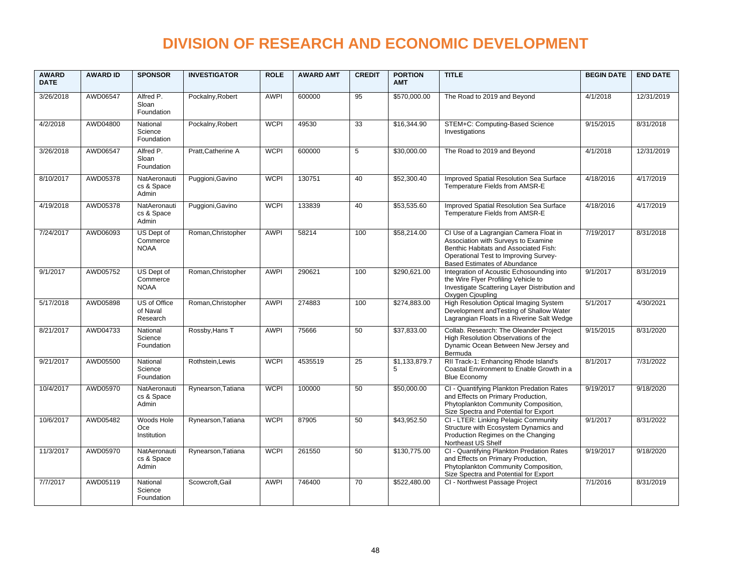| <b>AWARD</b><br><b>DATE</b> | <b>AWARD ID</b> | <b>SPONSOR</b>                        | <b>INVESTIGATOR</b> | <b>ROLE</b> | <b>AWARD AMT</b> | <b>CREDIT</b>  | <b>PORTION</b><br><b>AMT</b> | <b>TITLE</b>                                                                                                                                                                                    | <b>BEGIN DATE</b> | <b>END DATE</b> |
|-----------------------------|-----------------|---------------------------------------|---------------------|-------------|------------------|----------------|------------------------------|-------------------------------------------------------------------------------------------------------------------------------------------------------------------------------------------------|-------------------|-----------------|
| 3/26/2018                   | AWD06547        | Alfred P.<br>Sloan<br>Foundation      | Pockalny, Robert    | <b>AWPI</b> | 600000           | 95             | \$570,000.00                 | The Road to 2019 and Beyond                                                                                                                                                                     | 4/1/2018          | 12/31/2019      |
| 4/2/2018                    | AWD04800        | National<br>Science<br>Foundation     | Pockalny, Robert    | <b>WCPI</b> | 49530            | 33             | \$16,344.90                  | STEM+C: Computing-Based Science<br>Investigations                                                                                                                                               | 9/15/2015         | 8/31/2018       |
| 3/26/2018                   | AWD06547        | Alfred P.<br>Sloan<br>Foundation      | Pratt, Catherine A  | <b>WCPI</b> | 600000           | $\overline{5}$ | \$30,000.00                  | The Road to 2019 and Beyond                                                                                                                                                                     | 4/1/2018          | 12/31/2019      |
| 8/10/2017                   | AWD05378        | NatAeronauti<br>cs & Space<br>Admin   | Puggioni, Gavino    | <b>WCPI</b> | 130751           | 40             | \$52,300.40                  | Improved Spatial Resolution Sea Surface<br>Temperature Fields from AMSR-E                                                                                                                       | 4/18/2016         | 4/17/2019       |
| 4/19/2018                   | AWD05378        | NatAeronauti<br>cs & Space<br>Admin   | Puggioni, Gavino    | <b>WCPI</b> | 133839           | 40             | \$53,535.60                  | Improved Spatial Resolution Sea Surface<br>Temperature Fields from AMSR-E                                                                                                                       | 4/18/2016         | 4/17/2019       |
| 7/24/2017                   | AWD06093        | US Dept of<br>Commerce<br><b>NOAA</b> | Roman, Christopher  | <b>AWPI</b> | 58214            | 100            | \$58,214.00                  | CI Use of a Lagrangian Camera Float in<br>Association with Surveys to Examine<br>Benthic Habitats and Associated Fish:<br>Operational Test to Improving Survey-<br>Based Estimates of Abundance | 7/19/2017         | 8/31/2018       |
| 9/1/2017                    | AWD05752        | US Dept of<br>Commerce<br><b>NOAA</b> | Roman.Christopher   | <b>AWPI</b> | 290621           | 100            | \$290,621.00                 | Integration of Acoustic Echosounding into<br>the Wire Flyer Profiling Vehicle to<br>Investigate Scattering Layer Distribution and<br>Oxygen Cjoupling                                           | 9/1/2017          | 8/31/2019       |
| 5/17/2018                   | AWD05898        | US of Office<br>of Naval<br>Research  | Roman, Christopher  | <b>AWPI</b> | 274883           | 100            | \$274,883.00                 | High Resolution Optical Imaging System<br>Development and Testing of Shallow Water<br>Lagrangian Floats in a Riverine Salt Wedge                                                                | 5/1/2017          | 4/30/2021       |
| 8/21/2017                   | AWD04733        | National<br>Science<br>Foundation     | Rossby, Hans T      | <b>AWPI</b> | 75666            | 50             | \$37,833.00                  | Collab. Research: The Oleander Project<br>High Resolution Observations of the<br>Dynamic Ocean Between New Jersey and<br>Bermuda                                                                | 9/15/2015         | 8/31/2020       |
| 9/21/2017                   | AWD05500        | National<br>Science<br>Foundation     | Rothstein, Lewis    | <b>WCPI</b> | 4535519          | 25             | \$1,133,879.7<br>5           | RII Track-1: Enhancing Rhode Island's<br>Coastal Environment to Enable Growth in a<br><b>Blue Economy</b>                                                                                       | 8/1/2017          | 7/31/2022       |
| 10/4/2017                   | AWD05970        | NatAeronauti<br>cs & Space<br>Admin   | Rynearson, Tatiana  | <b>WCPI</b> | 100000           | 50             | \$50,000.00                  | CI - Quantifying Plankton Predation Rates<br>and Effects on Primary Production,<br>Phytoplankton Community Composition,<br>Size Spectra and Potential for Export                                | 9/19/2017         | 9/18/2020       |
| 10/6/2017                   | AWD05482        | Woods Hole<br>Oce<br>Institution      | Rynearson, Tatiana  | <b>WCPI</b> | 87905            | 50             | \$43,952.50                  | CI - LTER: Linking Pelagic Community<br>Structure with Ecosystem Dynamics and<br>Production Regimes on the Changing<br>Northeast US Shelf                                                       | 9/1/2017          | 8/31/2022       |
| 11/3/2017                   | AWD05970        | NatAeronauti<br>cs & Space<br>Admin   | Rynearson, Tatiana  | <b>WCPI</b> | 261550           | 50             | \$130.775.00                 | CI - Quantifying Plankton Predation Rates<br>and Effects on Primary Production,<br>Phytoplankton Community Composition,<br>Size Spectra and Potential for Export                                | 9/19/2017         | 9/18/2020       |
| 7/7/2017                    | AWD05119        | National<br>Science<br>Foundation     | Scowcroft.Gail      | <b>AWPI</b> | 746400           | 70             | \$522,480.00                 | CI - Northwest Passage Project                                                                                                                                                                  | 7/1/2016          | 8/31/2019       |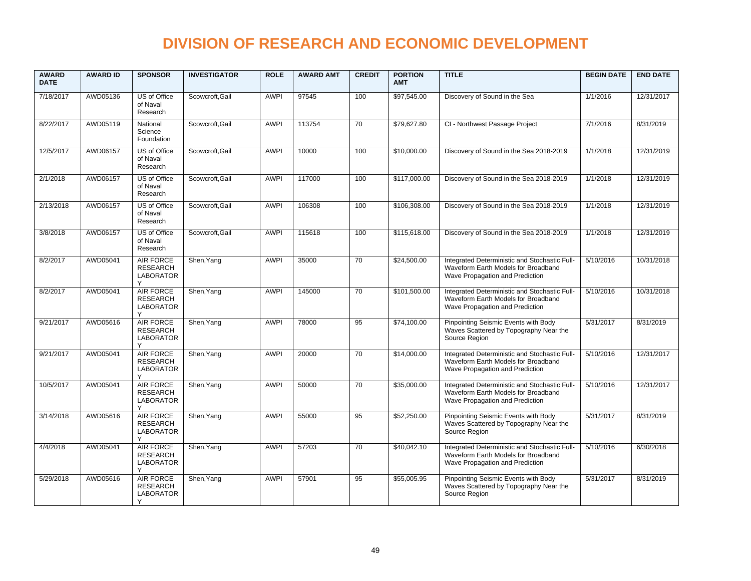| <b>AWARD</b><br><b>DATE</b> | <b>AWARD ID</b> | <b>SPONSOR</b>                                               | <b>INVESTIGATOR</b> | <b>ROLE</b> | <b>AWARD AMT</b> | <b>CREDIT</b>   | <b>PORTION</b><br><b>AMT</b> | <b>TITLE</b>                                                                                                            | <b>BEGIN DATE</b>     | <b>END DATE</b> |
|-----------------------------|-----------------|--------------------------------------------------------------|---------------------|-------------|------------------|-----------------|------------------------------|-------------------------------------------------------------------------------------------------------------------------|-----------------------|-----------------|
| 7/18/2017                   | AWD05136        | US of Office<br>of Naval<br>Research                         | Scowcroft, Gail     | <b>AWPI</b> | 97545            | 100             | \$97,545.00                  | Discovery of Sound in the Sea                                                                                           | 1/1/2016              | 12/31/2017      |
| 8/22/2017                   | AWD05119        | National<br>Science<br>Foundation                            | Scowcroft, Gail     | <b>AWPI</b> | 113754           | 70              | \$79,627.80                  | CI - Northwest Passage Project                                                                                          | 7/1/2016              | 8/31/2019       |
| 12/5/2017                   | AWD06157        | US of Office<br>of Naval<br>Research                         | Scowcroft.Gail      | <b>AWPI</b> | 10000            | 100             | \$10,000.00                  | Discovery of Sound in the Sea 2018-2019                                                                                 | 1/1/2018              | 12/31/2019      |
| 2/1/2018                    | AWD06157        | US of Office<br>of Naval<br>Research                         | Scowcroft, Gail     | <b>AWPI</b> | 117000           | 100             | \$117,000.00                 | Discovery of Sound in the Sea 2018-2019                                                                                 | 1/1/2018              | 12/31/2019      |
| 2/13/2018                   | AWD06157        | US of Office<br>of Naval<br>Research                         | Scowcroft, Gail     | <b>AWPI</b> | 106308           | 100             | \$106,308.00                 | Discovery of Sound in the Sea 2018-2019                                                                                 | 1/1/2018              | 12/31/2019      |
| 3/8/2018                    | AWD06157        | US of Office<br>of Naval<br>Research                         | Scowcroft, Gail     | <b>AWPI</b> | 115618           | 100             | \$115,618.00                 | Discovery of Sound in the Sea 2018-2019                                                                                 | 1/1/2018              | 12/31/2019      |
| 8/2/2017                    | AWD05041        | <b>AIR FORCE</b><br><b>RESEARCH</b><br><b>LABORATOR</b>      | Shen, Yang          | <b>AWPI</b> | 35000            | $\overline{70}$ | \$24,500.00                  | Integrated Deterministic and Stochastic Full-<br>Waveform Earth Models for Broadband<br>Wave Propagation and Prediction | 5/10/2016             | 10/31/2018      |
| 8/2/2017                    | AWD05041        | AIR FORCE<br><b>RESEARCH</b><br><b>LABORATOR</b><br>٧        | Shen, Yang          | <b>AWPI</b> | 145000           | 70              | \$101,500.00                 | Integrated Deterministic and Stochastic Full-<br>Waveform Earth Models for Broadband<br>Wave Propagation and Prediction | 5/10/2016             | 10/31/2018      |
| 9/21/2017                   | AWD05616        | <b>AIR FORCE</b><br><b>RESEARCH</b><br><b>LABORATOR</b><br>Υ | Shen, Yang          | <b>AWPI</b> | 78000            | 95              | \$74,100.00                  | Pinpointing Seismic Events with Body<br>Waves Scattered by Topography Near the<br>Source Region                         | 5/31/2017             | 8/31/2019       |
| 9/21/2017                   | AWD05041        | AIR FORCE<br><b>RESEARCH</b><br><b>LABORATOR</b>             | Shen, Yang          | <b>AWPI</b> | 20000            | 70              | \$14,000.00                  | Integrated Deterministic and Stochastic Full-<br>Waveform Earth Models for Broadband<br>Wave Propagation and Prediction | $\frac{1}{5/10/2016}$ | 12/31/2017      |
| 10/5/2017                   | AWD05041        | AIR FORCE<br><b>RESEARCH</b><br><b>LABORATOR</b><br>Y        | Shen, Yang          | <b>AWPI</b> | 50000            | 70              | \$35,000.00                  | Integrated Deterministic and Stochastic Full-<br>Waveform Earth Models for Broadband<br>Wave Propagation and Prediction | 5/10/2016             | 12/31/2017      |
| 3/14/2018                   | AWD05616        | AIR FORCE<br><b>RESEARCH</b><br><b>LABORATOR</b>             | Shen, Yang          | <b>AWPI</b> | 55000            | 95              | \$52,250.00                  | Pinpointing Seismic Events with Body<br>Waves Scattered by Topography Near the<br>Source Region                         | 5/31/2017             | 8/31/2019       |
| 4/4/2018                    | AWD05041        | <b>AIR FORCE</b><br><b>RESEARCH</b><br><b>LABORATOR</b>      | Shen, Yang          | <b>AWPI</b> | 57203            | $\overline{70}$ | \$40,042.10                  | Integrated Deterministic and Stochastic Full-<br>Waveform Earth Models for Broadband<br>Wave Propagation and Prediction | 5/10/2016             | 6/30/2018       |
| 5/29/2018                   | AWD05616        | AIR FORCE<br><b>RESEARCH</b><br><b>LABORATOR</b><br>v        | Shen, Yang          | <b>AWPI</b> | 57901            | 95              | \$55,005.95                  | Pinpointing Seismic Events with Body<br>Waves Scattered by Topography Near the<br>Source Region                         | 5/31/2017             | 8/31/2019       |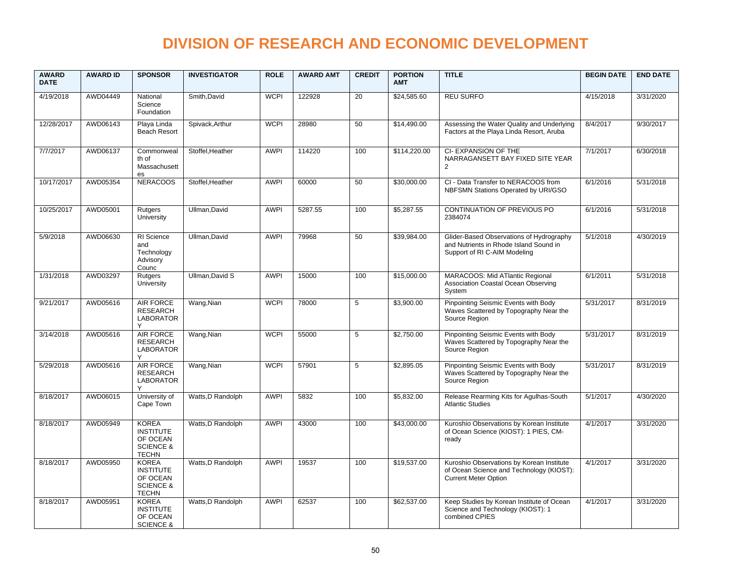| <b>AWARD</b><br><b>DATE</b> | <b>AWARD ID</b> | <b>SPONSOR</b>                                                                       | <b>INVESTIGATOR</b> | <b>ROLE</b> | <b>AWARD AMT</b> | <b>CREDIT</b> | <b>PORTION</b><br><b>AMT</b> | <b>TITLE</b>                                                                                                         | <b>BEGIN DATE</b> | <b>END DATE</b> |
|-----------------------------|-----------------|--------------------------------------------------------------------------------------|---------------------|-------------|------------------|---------------|------------------------------|----------------------------------------------------------------------------------------------------------------------|-------------------|-----------------|
| 4/19/2018                   | AWD04449        | National<br>Science<br>Foundation                                                    | Smith, David        | <b>WCPI</b> | 122928           | 20            | \$24,585.60                  | <b>REU SURFO</b>                                                                                                     | 4/15/2018         | 3/31/2020       |
| 12/28/2017                  | AWD06143        | Playa Linda<br><b>Beach Resort</b>                                                   | Spivack.Arthur      | <b>WCPI</b> | 28980            | 50            | \$14,490.00                  | Assessing the Water Quality and Underlying<br>Factors at the Playa Linda Resort, Aruba                               | 8/4/2017          | 9/30/2017       |
| 7/7/2017                    | AWD06137        | Commonweal<br>th of<br>Massachusett<br>es                                            | Stoffel, Heather    | <b>AWPI</b> | 114220           | 100           | \$114,220.00                 | CI-EXPANSION OF THE<br>NARRAGANSETT BAY FIXED SITE YEAR<br>$\overline{2}$                                            | 7/1/2017          | 6/30/2018       |
| 10/17/2017                  | AWD05354        | <b>NERACOOS</b>                                                                      | Stoffel, Heather    | <b>AWPI</b> | 60000            | 50            | \$30,000.00                  | CI - Data Transfer to NERACOOS from<br>NBFSMN Stations Operated by URI/GSO                                           | 6/1/2016          | 5/31/2018       |
| 10/25/2017                  | AWD05001        | Rutgers<br>University                                                                | Ullman.David        | <b>AWPI</b> | 5287.55          | 100           | \$5,287.55                   | CONTINUATION OF PREVIOUS PO<br>2384074                                                                               | 6/1/2016          | 5/31/2018       |
| 5/9/2018                    | AWD06630        | RI Science<br>and<br>Technology<br>Advisory<br>Counc                                 | Ullman.David        | <b>AWPI</b> | 79968            | 50            | \$39,984.00                  | Glider-Based Observations of Hydrography<br>and Nutrients in Rhode Island Sound in<br>Support of RI C-AIM Modeling   | 5/1/2018          | 4/30/2019       |
| 1/31/2018                   | AWD03297        | Rutgers<br>University                                                                | Ullman, David S     | <b>AWPI</b> | 15000            | 100           | \$15,000.00                  | MARACOOS: Mid ATlantic Regional<br>Association Coastal Ocean Observing<br>System                                     | 6/1/2011          | 5/31/2018       |
| 9/21/2017                   | AWD05616        | AIR FORCE<br><b>RESEARCH</b><br><b>LABORATOR</b>                                     | Wang, Nian          | <b>WCPI</b> | 78000            | 5             | \$3,900.00                   | Pinpointing Seismic Events with Body<br>Waves Scattered by Topography Near the<br>Source Region                      | 5/31/2017         | 8/31/2019       |
| 3/14/2018                   | AWD05616        | <b>AIR FORCE</b><br><b>RESEARCH</b><br><b>LABORATOR</b>                              | Wang, Nian          | <b>WCPI</b> | 55000            | 5             | \$2,750.00                   | Pinpointing Seismic Events with Body<br>Waves Scattered by Topography Near the<br>Source Region                      | 5/31/2017         | 8/31/2019       |
| 5/29/2018                   | AWD05616        | <b>AIR FORCE</b><br><b>RESEARCH</b><br><b>LABORATOR</b>                              | Wang, Nian          | <b>WCPI</b> | 57901            | 5             | \$2,895.05                   | Pinpointing Seismic Events with Body<br>Waves Scattered by Topography Near the<br>Source Region                      | 5/31/2017         | 8/31/2019       |
| 8/18/2017                   | AWD06015        | University of<br>Cape Town                                                           | Watts, D Randolph   | <b>AWPI</b> | 5832             | 100           | \$5,832.00                   | Release Rearming Kits for Agulhas-South<br><b>Atlantic Studies</b>                                                   | 5/1/2017          | 4/30/2020       |
| 8/18/2017                   | AWD05949        | <b>KOREA</b><br><b>INSTITUTE</b><br>OF OCEAN<br><b>SCIENCE &amp;</b><br><b>TECHN</b> | Watts, D Randolph   | <b>AWPI</b> | 43000            | 100           | \$43,000.00                  | Kuroshio Observations by Korean Institute<br>of Ocean Science (KIOST): 1 PIES, CM-<br>ready                          | 4/1/2017          | 3/31/2020       |
| 8/18/2017                   | AWD05950        | <b>KOREA</b><br><b>INSTITUTE</b><br>OF OCEAN<br><b>SCIENCE &amp;</b><br><b>TECHN</b> | Watts, D Randolph   | <b>AWPI</b> | 19537            | 100           | \$19,537.00                  | Kuroshio Observations by Korean Institute<br>of Ocean Science and Technology (KIOST):<br><b>Current Meter Option</b> | 4/1/2017          | 3/31/2020       |
| 8/18/2017                   | AWD05951        | <b>KOREA</b><br><b>INSTITUTE</b><br>OF OCEAN<br><b>SCIENCE &amp;</b>                 | Watts, D Randolph   | <b>AWPI</b> | 62537            | 100           | \$62,537.00                  | Keep Studies by Korean Institute of Ocean<br>Science and Technology (KIOST): 1<br>combined CPIES                     | 4/1/2017          | 3/31/2020       |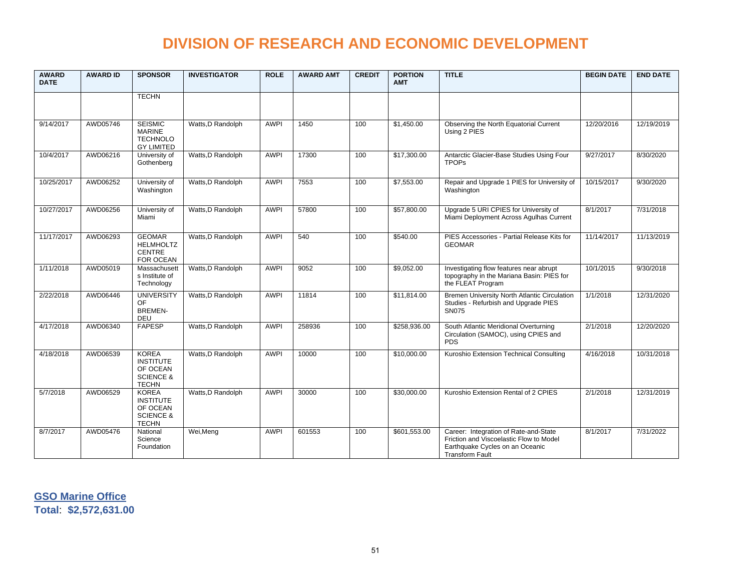| <b>AWARD</b><br><b>DATE</b> | <b>AWARD ID</b> | <b>SPONSOR</b>                                                                       | <b>INVESTIGATOR</b> | <b>ROLE</b> | <b>AWARD AMT</b> | <b>CREDIT</b> | <b>PORTION</b><br><b>AMT</b> | <b>TITLE</b>                                                                                                                                  | <b>BEGIN DATE</b> | <b>END DATE</b> |
|-----------------------------|-----------------|--------------------------------------------------------------------------------------|---------------------|-------------|------------------|---------------|------------------------------|-----------------------------------------------------------------------------------------------------------------------------------------------|-------------------|-----------------|
|                             |                 | <b>TECHN</b>                                                                         |                     |             |                  |               |                              |                                                                                                                                               |                   |                 |
| 9/14/2017                   | AWD05746        | <b>SEISMIC</b><br><b>MARINE</b><br><b>TECHNOLO</b><br><b>GY LIMITED</b>              | Watts, D Randolph   | <b>AWPI</b> | 1450             | 100           | \$1,450.00                   | Observing the North Equatorial Current<br>Using 2 PIES                                                                                        | 12/20/2016        | 12/19/2019      |
| 10/4/2017                   | AWD06216        | University of<br>Gothenberg                                                          | Watts, D Randolph   | <b>AWPI</b> | 17300            | 100           | \$17,300.00                  | Antarctic Glacier-Base Studies Using Four<br><b>TPOPs</b>                                                                                     | 9/27/2017         | 8/30/2020       |
| 10/25/2017                  | AWD06252        | University of<br>Washington                                                          | Watts.D Randolph    | <b>AWPI</b> | 7553             | 100           | \$7,553.00                   | Repair and Upgrade 1 PIES for University of<br>Washington                                                                                     | 10/15/2017        | 9/30/2020       |
| 10/27/2017                  | AWD06256        | University of<br>Miami                                                               | Watts, D Randolph   | <b>AWPI</b> | 57800            | 100           | \$57,800.00                  | Upgrade 5 URI CPIES for University of<br>Miami Deployment Across Agulhas Current                                                              | 8/1/2017          | 7/31/2018       |
| 11/17/2017                  | AWD06293        | <b>GEOMAR</b><br><b>HELMHOLTZ</b><br><b>CENTRE</b><br>FOR OCEAN                      | Watts, D Randolph   | <b>AWPI</b> | 540              | 100           | \$540.00                     | PIES Accessories - Partial Release Kits for<br><b>GEOMAR</b>                                                                                  | 11/14/2017        | 11/13/2019      |
| 1/11/2018                   | AWD05019        | Massachusett<br>s Institute of<br>Technology                                         | Watts, D Randolph   | <b>AWPI</b> | 9052             | 100           | \$9,052.00                   | Investigating flow features near abrupt<br>topography in the Mariana Basin: PIES for<br>the FLEAT Program                                     | 10/1/2015         | 9/30/2018       |
| 2/22/2018                   | AWD06446        | <b>UNIVERSITY</b><br><b>OF</b><br><b>BREMEN-</b><br>DEU                              | Watts, D Randolph   | <b>AWPI</b> | 11814            | 100           | \$11,814.00                  | Bremen University North Atlantic Circulation<br>Studies - Refurbish and Upgrade PIES<br><b>SN075</b>                                          | 1/1/2018          | 12/31/2020      |
| 4/17/2018                   | AWD06340        | <b>FAPESP</b>                                                                        | Watts, D Randolph   | <b>AWPI</b> | 258936           | 100           | \$258,936.00                 | South Atlantic Meridional Overturning<br>Circulation (SAMOC), using CPIES and<br><b>PDS</b>                                                   | 2/1/2018          | 12/20/2020      |
| 4/18/2018                   | AWD06539        | <b>KOREA</b><br><b>INSTITUTE</b><br>OF OCEAN<br><b>SCIENCE &amp;</b><br><b>TECHN</b> | Watts, D Randolph   | <b>AWPI</b> | 10000            | 100           | \$10,000.00                  | Kuroshio Extension Technical Consulting                                                                                                       | 4/16/2018         | 10/31/2018      |
| 5/7/2018                    | AWD06529        | <b>KOREA</b><br><b>INSTITUTE</b><br>OF OCEAN<br><b>SCIENCE &amp;</b><br><b>TECHN</b> | Watts, D Randolph   | <b>AWPI</b> | 30000            | 100           | \$30,000.00                  | Kuroshio Extension Rental of 2 CPIES                                                                                                          | 2/1/2018          | 12/31/2019      |
| 8/7/2017                    | AWD05476        | National<br>Science<br>Foundation                                                    | Wei, Meng           | <b>AWPI</b> | 601553           | 100           | \$601,553.00                 | Career: Integration of Rate-and-State<br>Friction and Viscoelastic Flow to Model<br>Earthquake Cycles on an Oceanic<br><b>Transform Fault</b> | 8/1/2017          | 7/31/2022       |

**GSO Marine Office Total**: **\$2,572,631.00**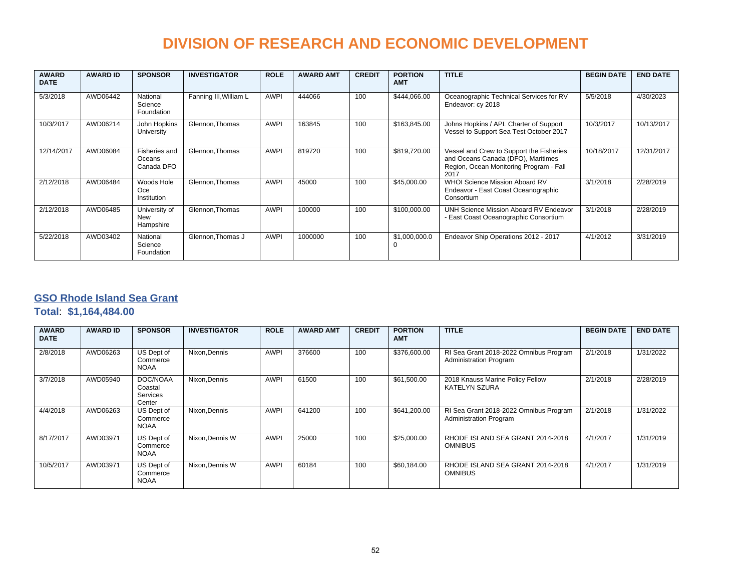| <b>AWARD</b><br><b>DATE</b> | <b>AWARD ID</b> | <b>SPONSOR</b>                          | <b>INVESTIGATOR</b>    | <b>ROLE</b> | <b>AWARD AMT</b> | <b>CREDIT</b> | <b>PORTION</b><br><b>AMT</b> | <b>TITLE</b>                                                                                                                      | <b>BEGIN DATE</b> | <b>END DATE</b> |
|-----------------------------|-----------------|-----------------------------------------|------------------------|-------------|------------------|---------------|------------------------------|-----------------------------------------------------------------------------------------------------------------------------------|-------------------|-----------------|
| 5/3/2018                    | AWD06442        | National<br>Science<br>Foundation       | Fanning III, William L | <b>AWPI</b> | 444066           | 100           | \$444,066.00                 | Oceanographic Technical Services for RV<br>Endeavor: cy 2018                                                                      | 5/5/2018          | 4/30/2023       |
| 10/3/2017                   | AWD06214        | John Hopkins<br>University              | Glennon. Thomas        | <b>AWPI</b> | 163845           | 100           | \$163,845.00                 | Johns Hopkins / APL Charter of Support<br>Vessel to Support Sea Test October 2017                                                 | 10/3/2017         | 10/13/2017      |
| 12/14/2017                  | AWD06084        | Fisheries and<br>Oceans<br>Canada DFO   | Glennon, Thomas        | <b>AWPI</b> | 819720           | 100           | \$819,720.00                 | Vessel and Crew to Support the Fisheries<br>and Oceans Canada (DFO), Maritimes<br>Region, Ocean Monitoring Program - Fall<br>2017 | 10/18/2017        | 12/31/2017      |
| 2/12/2018                   | AWD06484        | Woods Hole<br>Oce<br><b>Institution</b> | Glennon, Thomas        | <b>AWPI</b> | 45000            | 100           | \$45,000.00                  | <b>WHOI Science Mission Aboard RV</b><br>Endeavor - East Coast Oceanographic<br>Consortium                                        | 3/1/2018          | 2/28/2019       |
| 2/12/2018                   | AWD06485        | University of<br>New<br>Hampshire       | Glennon, Thomas        | <b>AWPI</b> | 100000           | 100           | \$100,000.00                 | UNH Science Mission Aboard RV Endeavor<br>- East Coast Oceanographic Consortium                                                   | 3/1/2018          | 2/28/2019       |
| 5/22/2018                   | AWD03402        | National<br>Science<br>Foundation       | Glennon, Thomas J      | <b>AWPI</b> | 1000000          | 100           | \$1,000,000.0                | Endeavor Ship Operations 2012 - 2017                                                                                              | 4/1/2012          | 3/31/2019       |

#### **GSO Rhode Island Sea Grant**

**Total**: **\$1,164,484.00**

| <b>AWARD</b><br><b>DATE</b> | <b>AWARD ID</b> | <b>SPONSOR</b>                                   | <b>INVESTIGATOR</b> | <b>ROLE</b> | <b>AWARD AMT</b> | <b>CREDIT</b> | <b>PORTION</b><br><b>AMT</b> | <b>TITLE</b>                                                     | <b>BEGIN DATE</b> | <b>END DATE</b> |
|-----------------------------|-----------------|--------------------------------------------------|---------------------|-------------|------------------|---------------|------------------------------|------------------------------------------------------------------|-------------------|-----------------|
| 2/8/2018                    | AWD06263        | US Dept of<br>Commerce<br><b>NOAA</b>            | Nixon.Dennis        | <b>AWPI</b> | 376600           | 100           | \$376,600.00                 | RI Sea Grant 2018-2022 Omnibus Program<br>Administration Program | 2/1/2018          | 1/31/2022       |
| 3/7/2018                    | AWD05940        | DOC/NOAA<br>Coastal<br><b>Services</b><br>Center | Nixon.Dennis        | <b>AWPI</b> | 61500            | 100           | \$61,500.00                  | 2018 Knauss Marine Policy Fellow<br>KATELYN SZURA                | 2/1/2018          | 2/28/2019       |
| 4/4/2018                    | AWD06263        | US Dept of<br>Commerce<br><b>NOAA</b>            | Nixon.Dennis        | <b>AWPI</b> | 641200           | 100           | \$641,200.00                 | RI Sea Grant 2018-2022 Omnibus Program<br>Administration Program | 2/1/2018          | 1/31/2022       |
| 8/17/2017                   | AWD03971        | US Dept of<br>Commerce<br><b>NOAA</b>            | Nixon, Dennis W     | <b>AWPI</b> | 25000            | 100           | \$25,000.00                  | RHODE ISLAND SEA GRANT 2014-2018<br><b>OMNIBUS</b>               | 4/1/2017          | 1/31/2019       |
| 10/5/2017                   | AWD03971        | US Dept of<br>Commerce<br><b>NOAA</b>            | Nixon, Dennis W     | <b>AWPI</b> | 60184            | 100           | \$60,184.00                  | RHODE ISLAND SEA GRANT 2014-2018<br><b>OMNIBUS</b>               | 4/1/2017          | 1/31/2019       |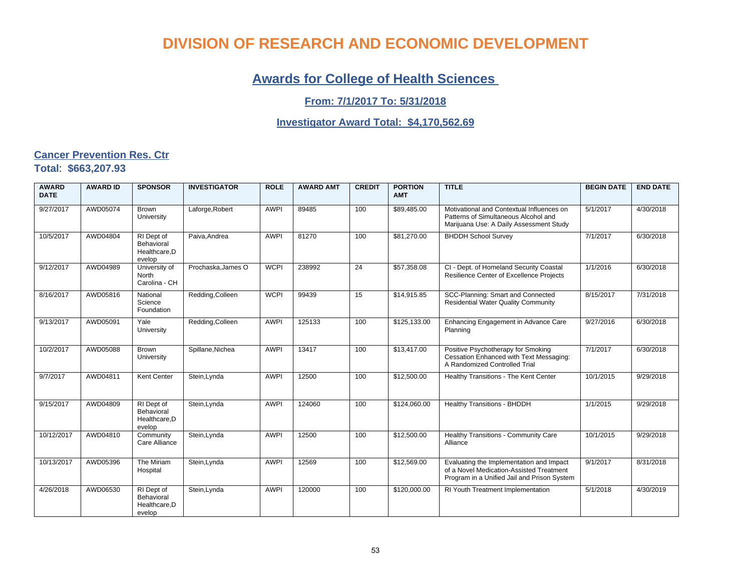### **Awards for College of Health Sciences**

#### **From: 7/1/2017 To: 5/31/2018**

#### **Investigator Award Total: \$4,170,562.69**

#### **Cancer Prevention Res. Ctr Total**: **\$663,207.93**

| <b>AWARD</b><br><b>DATE</b> | <b>AWARD ID</b> | <b>SPONSOR</b>                                      | <b>INVESTIGATOR</b> | <b>ROLE</b> | <b>AWARD AMT</b> | <b>CREDIT</b> | <b>PORTION</b><br><b>AMT</b> | <b>TITLE</b>                                                                                                                        | <b>BEGIN DATE</b> | <b>END DATE</b> |
|-----------------------------|-----------------|-----------------------------------------------------|---------------------|-------------|------------------|---------------|------------------------------|-------------------------------------------------------------------------------------------------------------------------------------|-------------------|-----------------|
| 9/27/2017                   | AWD05074        | Brown<br>University                                 | Laforge, Robert     | <b>AWPI</b> | 89485            | 100           | \$89,485.00                  | Motivational and Contextual Influences on<br>Patterns of Simultaneous Alcohol and<br>Marijuana Use: A Daily Assessment Study        | 5/1/2017          | 4/30/2018       |
| 10/5/2017                   | AWD04804        | RI Dept of<br>Behavioral<br>Healthcare, D<br>evelop | Paiva, Andrea       | <b>AWPI</b> | 81270            | 100           | \$81,270.00                  | <b>BHDDH School Survey</b>                                                                                                          | 7/1/2017          | 6/30/2018       |
| 9/12/2017                   | AWD04989        | University of<br>North<br>Carolina - CH             | Prochaska, James O  | <b>WCPI</b> | 238992           | 24            | \$57,358.08                  | CI - Dept. of Homeland Security Coastal<br>Resilience Center of Excellence Projects                                                 | 1/1/2016          | 6/30/2018       |
| 8/16/2017                   | AWD05816        | National<br>Science<br>Foundation                   | Redding, Colleen    | <b>WCPI</b> | 99439            | 15            | \$14,915.85                  | SCC-Planning: Smart and Connected<br><b>Residential Water Quality Community</b>                                                     | 8/15/2017         | 7/31/2018       |
| 9/13/2017                   | AWD05091        | Yale<br>University                                  | Redding, Colleen    | <b>AWPI</b> | 125133           | 100           | \$125,133.00                 | Enhancing Engagement in Advance Care<br>Planning                                                                                    | 9/27/2016         | 6/30/2018       |
| 10/2/2017                   | AWD05088        | <b>Brown</b><br>University                          | Spillane, Nichea    | <b>AWPI</b> | 13417            | 100           | \$13,417.00                  | Positive Psychotherapy for Smoking<br>Cessation Enhanced with Text Messaging:<br>A Randomized Controlled Trial                      | 7/1/2017          | 6/30/2018       |
| 9/7/2017                    | AWD04811        | Kent Center                                         | Stein, Lynda        | <b>AWPI</b> | 12500            | 100           | \$12,500.00                  | Healthy Transitions - The Kent Center                                                                                               | 10/1/2015         | 9/29/2018       |
| 9/15/2017                   | AWD04809        | RI Dept of<br>Behavioral<br>Healthcare, D<br>evelop | Stein, Lynda        | <b>AWPI</b> | 124060           | 100           | \$124,060.00                 | Healthy Transitions - BHDDH                                                                                                         | 1/1/2015          | 9/29/2018       |
| 10/12/2017                  | AWD04810        | Community<br>Care Alliance                          | Stein, Lynda        | <b>AWPI</b> | 12500            | 100           | \$12,500.00                  | Healthy Transitions - Community Care<br>Alliance                                                                                    | 10/1/2015         | 9/29/2018       |
| 10/13/2017                  | AWD05396        | The Miriam<br>Hospital                              | Stein, Lynda        | <b>AWPI</b> | 12569            | 100           | \$12,569.00                  | Evaluating the Implementation and Impact<br>of a Novel Medication-Assisted Treatment<br>Program in a Unified Jail and Prison System | 9/1/2017          | 8/31/2018       |
| 4/26/2018                   | AWD06530        | RI Dept of<br>Behavioral<br>Healthcare, D<br>evelop | Stein, Lynda        | <b>AWPI</b> | 120000           | 100           | \$120,000.00                 | RI Youth Treatment Implementation                                                                                                   | 5/1/2018          | 4/30/2019       |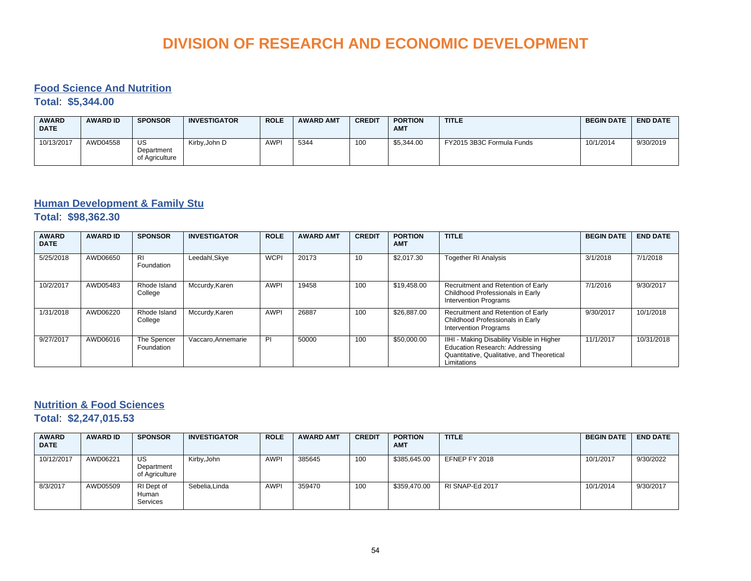#### **Food Science And Nutrition**

**Total**: **\$5,344.00**

| <b>AWARD</b><br><b>DATE</b> | <b>AWARD ID</b> | <b>SPONSOR</b>                     | <b>INVESTIGATOR</b> | <b>ROLE</b> | <b>AWARD AMT</b> | <b>CREDIT</b> | <b>PORTION</b><br><b>AMT</b> | <b>TITLE</b>              | <b>BEGIN DATE</b> | <b>END DATE</b> |
|-----------------------------|-----------------|------------------------------------|---------------------|-------------|------------------|---------------|------------------------------|---------------------------|-------------------|-----------------|
| 10/13/2017                  | AWD04558        | US<br>Department<br>of Agriculture | Kirby.John D        | <b>AWPI</b> | 5344             | 100           | \$5.344.00                   | FY2015 3B3C Formula Funds | 10/1/2014         | 9/30/2019       |

#### **Human Development & Family Stu**

**Total**: **\$98,362.30**

| <b>AWARD</b><br><b>DATE</b> | <b>AWARD ID</b> | <b>SPONSOR</b>            | <b>INVESTIGATOR</b> | <b>ROLE</b> | <b>AWARD AMT</b> | <b>CREDIT</b> | <b>PORTION</b><br><b>AMT</b> | <b>TITLE</b>                                                                                                                                     | <b>BEGIN DATE</b> | <b>END DATE</b> |
|-----------------------------|-----------------|---------------------------|---------------------|-------------|------------------|---------------|------------------------------|--------------------------------------------------------------------------------------------------------------------------------------------------|-------------------|-----------------|
| 5/25/2018                   | AWD06650        | <b>RI</b><br>Foundation   | Leedahl, Skye       | <b>WCPI</b> | 20173            | 10            | \$2.017.30                   | <b>Together RI Analysis</b>                                                                                                                      | 3/1/2018          | 7/1/2018        |
| 10/2/2017                   | AWD05483        | Rhode Island<br>College   | Mccurdy, Karen      | <b>AWPI</b> | 19458            | 100           | \$19,458.00                  | Recruitment and Retention of Early<br>Childhood Professionals in Early<br><b>Intervention Programs</b>                                           | 7/1/2016          | 9/30/2017       |
| 1/31/2018                   | AWD06220        | Rhode Island<br>College   | Mccurdy, Karen      | <b>AWPI</b> | 26887            | 100           | \$26,887.00                  | Recruitment and Retention of Early<br>Childhood Professionals in Early<br><b>Intervention Programs</b>                                           | 9/30/2017         | 10/1/2018       |
| 9/27/2017                   | AWD06016        | The Spencer<br>Foundation | Vaccaro, Annemarie  | PI          | 50000            | 100           | \$50,000.00                  | IIHI - Making Disability Visible in Higher<br><b>Education Research: Addressing</b><br>Quantitative, Qualitative, and Theoretical<br>Limitations | 11/1/2017         | 10/31/2018      |

#### **Nutrition & Food Sciences**

**Total**: **\$2,247,015.53**

| <b>AWARD</b><br><b>DATE</b> | <b>AWARD ID</b> | <b>SPONSOR</b>                     | <b>INVESTIGATOR</b> | <b>ROLE</b> | <b>AWARD AMT</b> | <b>CREDIT</b> | <b>PORTION</b><br><b>AMT</b> | <b>TITLE</b>    | <b>BEGIN DATE</b> | <b>END DATE</b> |
|-----------------------------|-----------------|------------------------------------|---------------------|-------------|------------------|---------------|------------------------------|-----------------|-------------------|-----------------|
| 10/12/2017                  | AWD06221        | US<br>Department<br>of Agriculture | Kirby, John         | <b>AWPI</b> | 385645           | 100           | \$385,645.00                 | EFNEP FY 2018   | 10/1/2017         | 9/30/2022       |
| 8/3/2017                    | AWD05509        | RI Dept of<br>Human<br>Services    | Sebelia, Linda      | <b>AWPI</b> | 359470           | 100           | \$359,470.00                 | RI SNAP-Ed 2017 | 10/1/2014         | 9/30/2017       |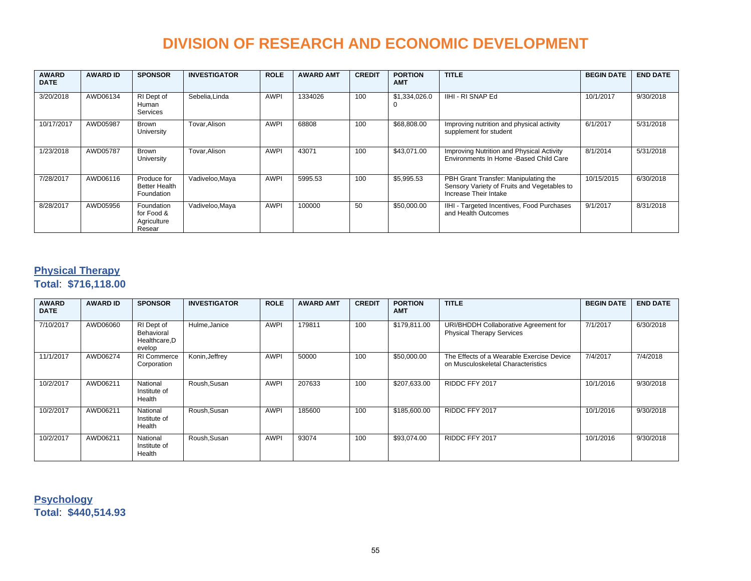| <b>AWARD</b><br><b>DATE</b> | <b>AWARD ID</b> | <b>SPONSOR</b>                                    | <b>INVESTIGATOR</b> | <b>ROLE</b> | <b>AWARD AMT</b> | <b>CREDIT</b> | <b>PORTION</b><br><b>AMT</b> | <b>TITLE</b>                                                                                                 | <b>BEGIN DATE</b> | <b>END DATE</b> |
|-----------------------------|-----------------|---------------------------------------------------|---------------------|-------------|------------------|---------------|------------------------------|--------------------------------------------------------------------------------------------------------------|-------------------|-----------------|
| 3/20/2018                   | AWD06134        | RI Dept of<br>Human<br><b>Services</b>            | Sebelia, Linda      | <b>AWPI</b> | 1334026          | 100           | \$1,334,026.0                | IIHI - RI SNAP Ed                                                                                            | 10/1/2017         | 9/30/2018       |
| 10/17/2017                  | AWD05987        | Brown<br>University                               | Tovar, Alison       | <b>AWPI</b> | 68808            | 100           | \$68,808.00                  | Improving nutrition and physical activity<br>supplement for student                                          | 6/1/2017          | 5/31/2018       |
| 1/23/2018                   | AWD05787        | Brown<br>University                               | Tovar.Alison        | <b>AWPI</b> | 43071            | 100           | \$43.071.00                  | Improving Nutrition and Physical Activity<br>Environments In Home - Based Child Care                         | 8/1/2014          | 5/31/2018       |
| 7/28/2017                   | AWD06116        | Produce for<br><b>Better Health</b><br>Foundation | Vadiveloo, Maya     | <b>AWPI</b> | 5995.53          | 100           | \$5,995.53                   | PBH Grant Transfer: Manipulating the<br>Sensory Variety of Fruits and Vegetables to<br>Increase Their Intake | 10/15/2015        | 6/30/2018       |
| 8/28/2017                   | AWD05956        | Foundation<br>for Food &<br>Agriculture<br>Resear | Vadiveloo, Maya     | <b>AWPI</b> | 100000           | 50            | \$50,000.00                  | IIHI - Targeted Incentives, Food Purchases<br>and Health Outcomes                                            | 9/1/2017          | 8/31/2018       |

#### **Physical Therapy**

**Total**: **\$716,118.00**

| <b>AWARD</b><br><b>DATE</b> | <b>AWARD ID</b> | <b>SPONSOR</b>                                      | <b>INVESTIGATOR</b> | <b>ROLE</b> | <b>AWARD AMT</b> | <b>CREDIT</b> | <b>PORTION</b><br><b>AMT</b> | <b>TITLE</b>                                                                    | <b>BEGIN DATE</b> | <b>END DATE</b> |
|-----------------------------|-----------------|-----------------------------------------------------|---------------------|-------------|------------------|---------------|------------------------------|---------------------------------------------------------------------------------|-------------------|-----------------|
| 7/10/2017                   | AWD06060        | RI Dept of<br>Behavioral<br>Healthcare, D<br>evelop | Hulme, Janice       | <b>AWPI</b> | 179811           | 100           | \$179,811.00                 | URI/BHDDH Collaborative Agreement for<br><b>Physical Therapy Services</b>       | 7/1/2017          | 6/30/2018       |
| 11/1/2017                   | AWD06274        | <b>RI Commerce</b><br>Corporation                   | Konin, Jeffrey      | <b>AWPI</b> | 50000            | 100           | \$50,000.00                  | The Effects of a Wearable Exercise Device<br>on Musculoskeletal Characteristics | 7/4/2017          | 7/4/2018        |
| 10/2/2017                   | AWD06211        | National<br>Institute of<br>Health                  | Roush, Susan        | <b>AWPI</b> | 207633           | 100           | \$207,633.00                 | RIDDC FFY 2017                                                                  | 10/1/2016         | 9/30/2018       |
| 10/2/2017                   | AWD06211        | National<br>Institute of<br>Health                  | Roush, Susan        | <b>AWPI</b> | 185600           | 100           | \$185,600.00                 | RIDDC FFY 2017                                                                  | 10/1/2016         | 9/30/2018       |
| 10/2/2017                   | AWD06211        | National<br>Institute of<br>Health                  | Roush, Susan        | <b>AWPI</b> | 93074            | 100           | \$93,074.00                  | RIDDC FFY 2017                                                                  | 10/1/2016         | 9/30/2018       |

**Psychology Total**: **\$440,514.93**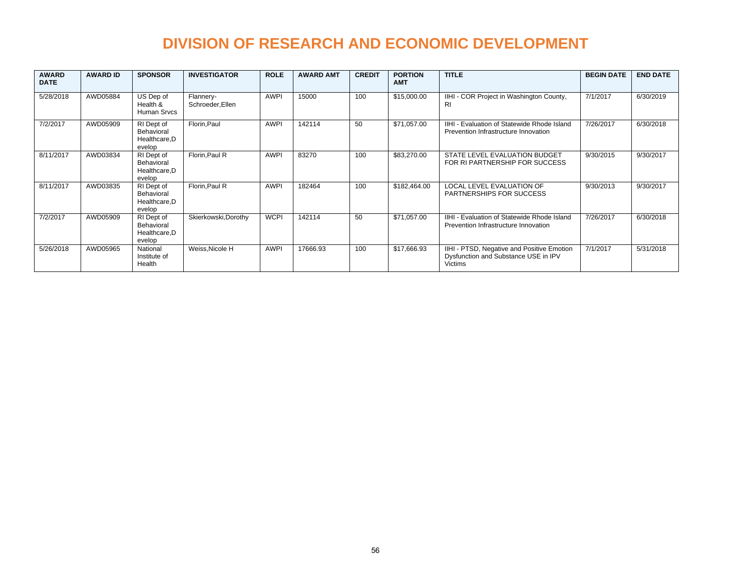| <b>AWARD</b><br><b>DATE</b> | <b>AWARD ID</b> | <b>SPONSOR</b>                                      | <b>INVESTIGATOR</b>           | <b>ROLE</b> | <b>AWARD AMT</b> | <b>CREDIT</b> | <b>PORTION</b><br><b>AMT</b> | <b>TITLE</b>                                                                                         | <b>BEGIN DATE</b> | <b>END DATE</b> |
|-----------------------------|-----------------|-----------------------------------------------------|-------------------------------|-------------|------------------|---------------|------------------------------|------------------------------------------------------------------------------------------------------|-------------------|-----------------|
| 5/28/2018                   | AWD05884        | US Dep of<br>Health &<br>Human Srvcs                | Flannery-<br>Schroeder, Ellen | <b>AWPI</b> | 15000            | 100           | \$15,000.00                  | IIHI - COR Project in Washington County,<br>RI                                                       | 7/1/2017          | 6/30/2019       |
| 7/2/2017                    | AWD05909        | RI Dept of<br>Behavioral<br>Healthcare.D<br>evelop  | Florin, Paul                  | <b>AWPI</b> | 142114           | 50            | \$71,057.00                  | IIHI - Evaluation of Statewide Rhode Island<br>Prevention Infrastructure Innovation                  | 7/26/2017         | 6/30/2018       |
| 8/11/2017                   | AWD03834        | RI Dept of<br>Behavioral<br>Healthcare, D<br>evelop | Florin, Paul R                | <b>AWPI</b> | 83270            | 100           | \$83,270.00                  | STATE LEVEL EVALUATION BUDGET<br>FOR RI PARTNERSHIP FOR SUCCESS                                      | 9/30/2015         | 9/30/2017       |
| 8/11/2017                   | AWD03835        | RI Dept of<br>Behavioral<br>Healthcare, D<br>evelop | Florin, Paul R                | <b>AWPI</b> | 182464           | 100           | \$182,464.00                 | <b>LOCAL LEVEL EVALUATION OF</b><br>PARTNERSHIPS FOR SUCCESS                                         | 9/30/2013         | 9/30/2017       |
| 7/2/2017                    | AWD05909        | RI Dept of<br>Behavioral<br>Healthcare, D<br>evelop | Skierkowski, Dorothy          | <b>WCPI</b> | 142114           | 50            | \$71,057.00                  | IIHI - Evaluation of Statewide Rhode Island<br>Prevention Infrastructure Innovation                  | 7/26/2017         | 6/30/2018       |
| 5/26/2018                   | AWD05965        | National<br>Institute of<br>Health                  | Weiss, Nicole H               | <b>AWPI</b> | 17666.93         | 100           | \$17,666.93                  | IIHI - PTSD, Negative and Positive Emotion<br>Dysfunction and Substance USE in IPV<br><b>Victims</b> | 7/1/2017          | 5/31/2018       |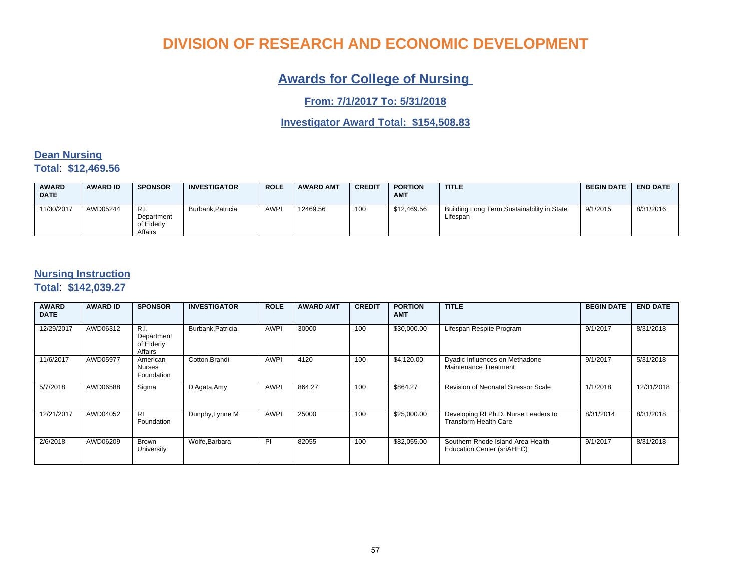### **Awards for College of Nursing**

**From: 7/1/2017 To: 5/31/2018**

**Investigator Award Total: \$154,508.83**

#### **Dean Nursing Total**: **\$12,469.56**

| <b>AWARD</b><br><b>DATE</b> | <b>AWARD ID</b> | <b>SPONSOR</b>                                | <b>INVESTIGATOR</b> | <b>ROLE</b> | <b>AWARD AMT</b> | <b>CREDIT</b> | <b>PORTION</b><br><b>AMT</b> | <b>TITLE</b>                                           | <b>BEGIN DATE</b> | <b>END DATE</b> |
|-----------------------------|-----------------|-----------------------------------------------|---------------------|-------------|------------------|---------------|------------------------------|--------------------------------------------------------|-------------------|-----------------|
| 11/30/2017                  | AWD05244        | - R.I.<br>Department<br>of Elderly<br>Affairs | Burbank.Patricia    | <b>AWPI</b> | 12469.56         | 100           | \$12,469.56                  | Building Long Term Sustainability in State<br>Lifespan | 9/1/2015          | 8/31/2016       |

#### **Nursing Instruction**

**Total**: **\$142,039.27**

| <b>AWARD</b><br><b>DATE</b> | <b>AWARD ID</b> | <b>SPONSOR</b>                              | <b>INVESTIGATOR</b> | <b>ROLE</b> | <b>AWARD AMT</b> | <b>CREDIT</b> | <b>PORTION</b><br><b>AMT</b> | <b>TITLE</b>                                                         | <b>BEGIN DATE</b> | <b>END DATE</b> |
|-----------------------------|-----------------|---------------------------------------------|---------------------|-------------|------------------|---------------|------------------------------|----------------------------------------------------------------------|-------------------|-----------------|
| 12/29/2017                  | AWD06312        | R.I.<br>Department<br>of Elderly<br>Affairs | Burbank, Patricia   | <b>AWPI</b> | 30000            | 100           | \$30,000.00                  | Lifespan Respite Program                                             | 9/1/2017          | 8/31/2018       |
| 11/6/2017                   | AWD05977        | American<br>Nurses<br>Foundation            | Cotton, Brandi      | <b>AWPI</b> | 4120             | 100           | \$4,120.00                   | Dyadic Influences on Methadone<br>Maintenance Treatment              | 9/1/2017          | 5/31/2018       |
| 5/7/2018                    | AWD06588        | Sigma                                       | D'Agata, Amy        | <b>AWPI</b> | 864.27           | 100           | \$864.27                     | <b>Revision of Neonatal Stressor Scale</b>                           | 1/1/2018          | 12/31/2018      |
| 12/21/2017                  | AWD04052        | <b>RI</b><br>Foundation                     | Dunphy, Lynne M     | <b>AWPI</b> | 25000            | 100           | \$25,000.00                  | Developing RI Ph.D. Nurse Leaders to<br><b>Transform Health Care</b> | 8/31/2014         | 8/31/2018       |
| 2/6/2018                    | AWD06209        | Brown<br>University                         | Wolfe, Barbara      | PI          | 82055            | 100           | \$82,055.00                  | Southern Rhode Island Area Health<br>Education Center (sriAHEC)      | 9/1/2017          | 8/31/2018       |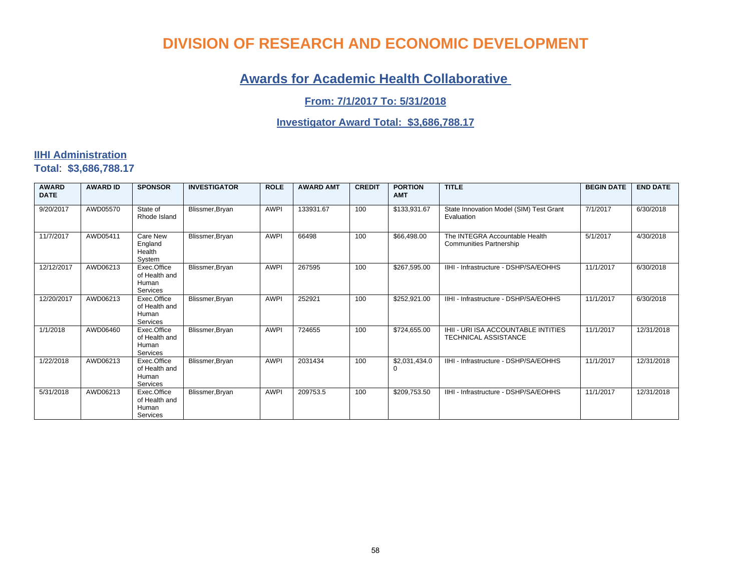### **Awards for Academic Health Collaborative**

**From: 7/1/2017 To: 5/31/2018**

#### **Investigator Award Total: \$3,686,788.17**

#### **IIHI Administration Total**: **\$3,686,788.17**

| <b>AWARD</b><br><b>DATE</b> | <b>AWARD ID</b> | <b>SPONSOR</b>                                    | <b>INVESTIGATOR</b> | <b>ROLE</b> | <b>AWARD AMT</b> | <b>CREDIT</b> | <b>PORTION</b><br><b>AMT</b> | <b>TITLE</b>                                                       | <b>BEGIN DATE</b> | <b>END DATE</b> |
|-----------------------------|-----------------|---------------------------------------------------|---------------------|-------------|------------------|---------------|------------------------------|--------------------------------------------------------------------|-------------------|-----------------|
| 9/20/2017                   | AWD05570        | State of<br>Rhode Island                          | Blissmer, Bryan     | <b>AWPI</b> | 133931.67        | 100           | \$133,931.67                 | State Innovation Model (SIM) Test Grant<br>Evaluation              | 7/1/2017          | 6/30/2018       |
| 11/7/2017                   | AWD05411        | Care New<br>England<br>Health<br>System           | Blissmer, Bryan     | <b>AWPI</b> | 66498            | 100           | \$66,498.00                  | The INTEGRA Accountable Health<br><b>Communities Partnership</b>   | 5/1/2017          | 4/30/2018       |
| 12/12/2017                  | AWD06213        | Exec.Office<br>of Health and<br>Human<br>Services | Blissmer, Bryan     | <b>AWPI</b> | 267595           | 100           | \$267,595.00                 | IIHI - Infrastructure - DSHP/SA/EOHHS                              | 11/1/2017         | 6/30/2018       |
| 12/20/2017                  | AWD06213        | Exec.Office<br>of Health and<br>Human<br>Services | Blissmer, Bryan     | <b>AWPI</b> | 252921           | 100           | \$252,921.00                 | IIHI - Infrastructure - DSHP/SA/EOHHS                              | 11/1/2017         | 6/30/2018       |
| 1/1/2018                    | AWD06460        | Exec.Office<br>of Health and<br>Human<br>Services | Blissmer, Bryan     | <b>AWPI</b> | 724655           | 100           | \$724,655.00                 | IHII - URI ISA ACCOUNTABLE INTITIES<br><b>TECHNICAL ASSISTANCE</b> | 11/1/2017         | 12/31/2018      |
| 1/22/2018                   | AWD06213        | Exec.Office<br>of Health and<br>Human<br>Services | Blissmer, Bryan     | <b>AWPI</b> | 2031434          | 100           | \$2,031,434.0                | IIHI - Infrastructure - DSHP/SA/EOHHS                              | 11/1/2017         | 12/31/2018      |
| 5/31/2018                   | AWD06213        | Exec.Office<br>of Health and<br>Human<br>Services | Blissmer, Bryan     | <b>AWPI</b> | 209753.5         | 100           | \$209,753.50                 | IIHI - Infrastructure - DSHP/SA/EOHHS                              | 11/1/2017         | 12/31/2018      |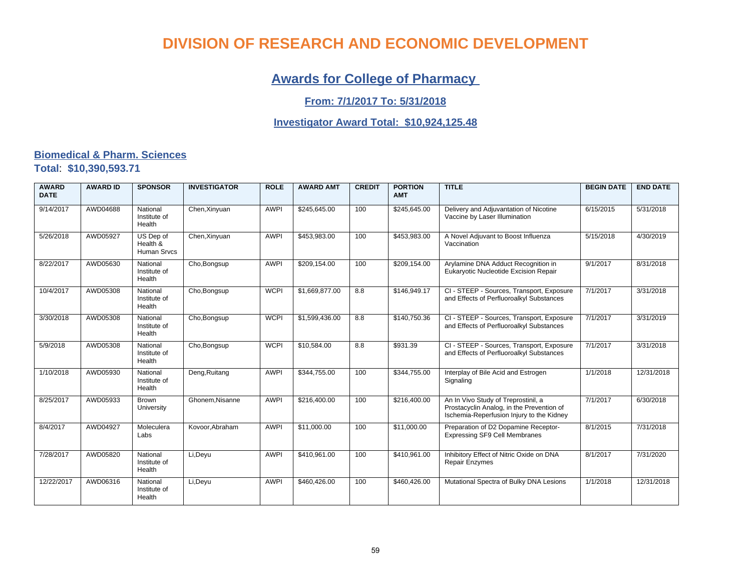### **Awards for College of Pharmacy**

#### **From: 7/1/2017 To: 5/31/2018**

#### **Investigator Award Total: \$10,924,125.48**

#### **Biomedical & Pharm. Sciences Total**: **\$10,390,593.71**

| <b>AWARD</b><br><b>DATE</b> | <b>AWARD ID</b> | <b>SPONSOR</b>                              | <b>INVESTIGATOR</b> | <b>ROLE</b> | <b>AWARD AMT</b> | <b>CREDIT</b> | <b>PORTION</b><br><b>AMT</b> | <b>TITLE</b>                                                                                                                  | <b>BEGIN DATE</b> | <b>END DATE</b> |
|-----------------------------|-----------------|---------------------------------------------|---------------------|-------------|------------------|---------------|------------------------------|-------------------------------------------------------------------------------------------------------------------------------|-------------------|-----------------|
| 9/14/2017                   | AWD04688        | National<br>Institute of<br>Health          | Chen, Xinyuan       | <b>AWPI</b> | \$245,645.00     | 100           | \$245,645.00                 | Delivery and Adjuvantation of Nicotine<br>Vaccine by Laser Illumination                                                       | 6/15/2015         | 5/31/2018       |
| 5/26/2018                   | AWD05927        | US Dep of<br>Health &<br><b>Human Srvcs</b> | Chen, Xinyuan       | <b>AWPI</b> | \$453,983.00     | 100           | \$453,983.00                 | A Novel Adjuvant to Boost Influenza<br>Vaccination                                                                            | 5/15/2018         | 4/30/2019       |
| 8/22/2017                   | AWD05630        | National<br>Institute of<br>Health          | Cho, Bongsup        | <b>AWPI</b> | \$209,154.00     | 100           | \$209,154.00                 | Arylamine DNA Adduct Recognition in<br>Eukaryotic Nucleotide Excision Repair                                                  | 9/1/2017          | 8/31/2018       |
| 10/4/2017                   | AWD05308        | National<br>Institute of<br>Health          | Cho, Bongsup        | <b>WCPI</b> | \$1,669,877.00   | 8.8           | \$146,949.17                 | CI - STEEP - Sources, Transport, Exposure<br>and Effects of Perfluoroalkyl Substances                                         | 7/1/2017          | 3/31/2018       |
| 3/30/2018                   | AWD05308        | National<br>Institute of<br>Health          | Cho, Bongsup        | <b>WCPI</b> | \$1,599,436.00   | 8.8           | \$140,750.36                 | CI - STEEP - Sources, Transport, Exposure<br>and Effects of Perfluoroalkyl Substances                                         | 7/1/2017          | 3/31/2019       |
| 5/9/2018                    | AWD05308        | National<br>Institute of<br>Health          | Cho, Bongsup        | <b>WCPI</b> | \$10,584.00      | 8.8           | \$931.39                     | CI - STEEP - Sources, Transport, Exposure<br>and Effects of Perfluoroalkyl Substances                                         | 7/1/2017          | 3/31/2018       |
| 1/10/2018                   | AWD05930        | National<br>Institute of<br>Health          | Deng, Ruitang       | <b>AWPI</b> | \$344,755.00     | 100           | \$344,755.00                 | Interplay of Bile Acid and Estrogen<br>Signaling                                                                              | 1/1/2018          | 12/31/2018      |
| 8/25/2017                   | AWD05933        | <b>Brown</b><br>University                  | Ghonem.Nisanne      | <b>AWPI</b> | \$216,400.00     | 100           | \$216,400.00                 | An In Vivo Study of Treprostinil, a<br>Prostacyclin Analog, in the Prevention of<br>Ischemia-Reperfusion Injury to the Kidney | 7/1/2017          | 6/30/2018       |
| 8/4/2017                    | AWD04927        | Moleculera<br>Labs                          | Kovoor, Abraham     | <b>AWPI</b> | \$11,000.00      | 100           | \$11,000.00                  | Preparation of D2 Dopamine Receptor-<br>Expressing SF9 Cell Membranes                                                         | 8/1/2015          | 7/31/2018       |
| 7/28/2017                   | AWD05820        | National<br>Institute of<br>Health          | Li, Deyu            | <b>AWPI</b> | \$410,961.00     | 100           | \$410,961.00                 | Inhibitory Effect of Nitric Oxide on DNA<br><b>Repair Enzymes</b>                                                             | 8/1/2017          | 7/31/2020       |
| 12/22/2017                  | AWD06316        | National<br>Institute of<br>Health          | Li, Deyu            | <b>AWPI</b> | \$460,426.00     | 100           | \$460,426.00                 | Mutational Spectra of Bulky DNA Lesions                                                                                       | 1/1/2018          | 12/31/2018      |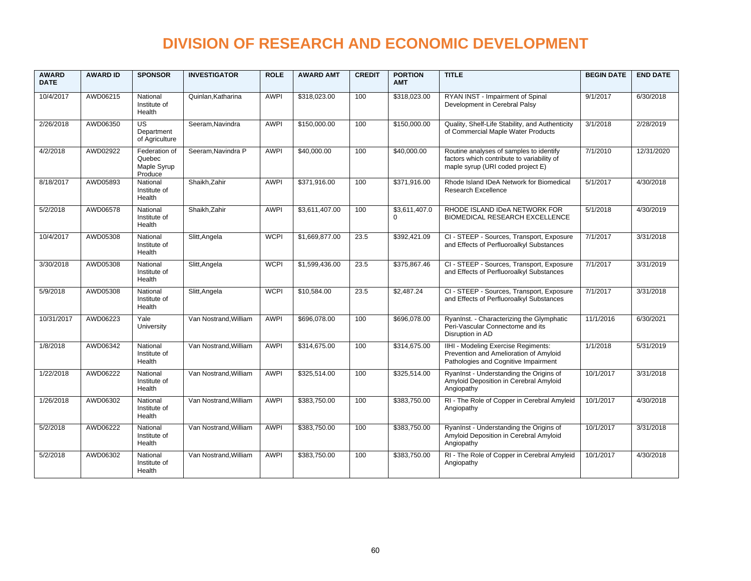| <b>AWARD</b><br><b>DATE</b> | <b>AWARD ID</b> | <b>SPONSOR</b>                                    | <b>INVESTIGATOR</b>   | <b>ROLE</b> | <b>AWARD AMT</b> | <b>CREDIT</b> | <b>PORTION</b><br><b>AMT</b> | <b>TITLE</b>                                                                                                               | <b>BEGIN DATE</b> | <b>END DATE</b> |
|-----------------------------|-----------------|---------------------------------------------------|-----------------------|-------------|------------------|---------------|------------------------------|----------------------------------------------------------------------------------------------------------------------------|-------------------|-----------------|
| 10/4/2017                   | AWD06215        | National<br>Institute of<br>Health                | Quinlan.Katharina     | <b>AWPI</b> | \$318,023,00     | 100           | \$318,023.00                 | RYAN INST - Impairment of Spinal<br>Development in Cerebral Palsy                                                          | 9/1/2017          | 6/30/2018       |
| 2/26/2018                   | AWD06350        | US<br>Department<br>of Agriculture                | Seeram, Navindra      | <b>AWPI</b> | \$150,000.00     | 100           | \$150,000.00                 | Quality, Shelf-Life Stability, and Authenticity<br>of Commercial Maple Water Products                                      | 3/1/2018          | 2/28/2019       |
| 4/2/2018                    | AWD02922        | Federation of<br>Quebec<br>Maple Syrup<br>Produce | Seeram.Navindra P     | <b>AWPI</b> | \$40,000.00      | 100           | \$40,000.00                  | Routine analyses of samples to identify<br>factors which contribute to variability of<br>maple syrup (URI coded project E) | 7/1/2010          | 12/31/2020      |
| 8/18/2017                   | AWD05893        | National<br>Institute of<br>Health                | Shaikh, Zahir         | <b>AWPI</b> | \$371,916.00     | 100           | \$371.916.00                 | Rhode Island IDeA Network for Biomedical<br><b>Research Excellence</b>                                                     | 5/1/2017          | 4/30/2018       |
| 5/2/2018                    | AWD06578        | National<br>Institute of<br>Health                | Shaikh.Zahir          | <b>AWPI</b> | \$3.611.407.00   | 100           | \$3,611,407.0<br>$\Omega$    | RHODE ISLAND IDeA NETWORK FOR<br>BIOMEDICAL RESEARCH EXCELLENCE                                                            | 5/1/2018          | 4/30/2019       |
| 10/4/2017                   | AWD05308        | National<br>Institute of<br>Health                | Slitt, Angela         | <b>WCPI</b> | \$1,669,877.00   | 23.5          | \$392,421.09                 | CI - STEEP - Sources, Transport, Exposure<br>and Effects of Perfluoroalkyl Substances                                      | 7/1/2017          | 3/31/2018       |
| 3/30/2018                   | AWD05308        | National<br>Institute of<br>Health                | Slitt, Angela         | <b>WCPI</b> | \$1,599,436.00   | 23.5          | \$375,867.46                 | CI - STEEP - Sources, Transport, Exposure<br>and Effects of Perfluoroalkyl Substances                                      | 7/1/2017          | 3/31/2019       |
| 5/9/2018                    | AWD05308        | National<br>Institute of<br>Health                | Slitt, Angela         | <b>WCPI</b> | \$10,584.00      | 23.5          | \$2,487.24                   | CI - STEEP - Sources, Transport, Exposure<br>and Effects of Perfluoroalkyl Substances                                      | 7/1/2017          | 3/31/2018       |
| 10/31/2017                  | AWD06223        | Yale<br>University                                | Van Nostrand, William | <b>AWPI</b> | \$696,078.00     | 100           | \$696,078.00                 | RyanInst. - Characterizing the Glymphatic<br>Peri-Vascular Connectome and its<br>Disruption in AD                          | 11/1/2016         | 6/30/2021       |
| 1/8/2018                    | AWD06342        | National<br>Institute of<br>Health                | Van Nostrand. William | <b>AWPI</b> | \$314.675.00     | 100           | \$314,675.00                 | IIHI - Modeling Exercise Regiments:<br>Prevention and Amelioration of Amyloid<br>Pathologies and Cognitive Impairment      | 1/1/2018          | 5/31/2019       |
| 1/22/2018                   | AWD06222        | National<br>Institute of<br>Health                | Van Nostrand. William | <b>AWPI</b> | \$325.514.00     | 100           | \$325.514.00                 | RyanInst - Understanding the Origins of<br>Amyloid Deposition in Cerebral Amyloid<br>Angiopathy                            | 10/1/2017         | 3/31/2018       |
| 1/26/2018                   | AWD06302        | National<br>Institute of<br>Health                | Van Nostrand, William | <b>AWPI</b> | \$383,750.00     | 100           | \$383,750.00                 | RI - The Role of Copper in Cerebral Amyleid<br>Angiopathy                                                                  | 10/1/2017         | 4/30/2018       |
| 5/2/2018                    | AWD06222        | National<br>Institute of<br>Health                | Van Nostrand, William | <b>AWPI</b> | \$383,750.00     | 100           | \$383,750.00                 | RyanInst - Understanding the Origins of<br>Amyloid Deposition in Cerebral Amyloid<br>Angiopathy                            | 10/1/2017         | 3/31/2018       |
| 5/2/2018                    | AWD06302        | National<br>Institute of<br>Health                | Van Nostrand. William | <b>AWPI</b> | \$383,750.00     | 100           | \$383.750.00                 | RI - The Role of Copper in Cerebral Amyleid<br>Angiopathy                                                                  | 10/1/2017         | 4/30/2018       |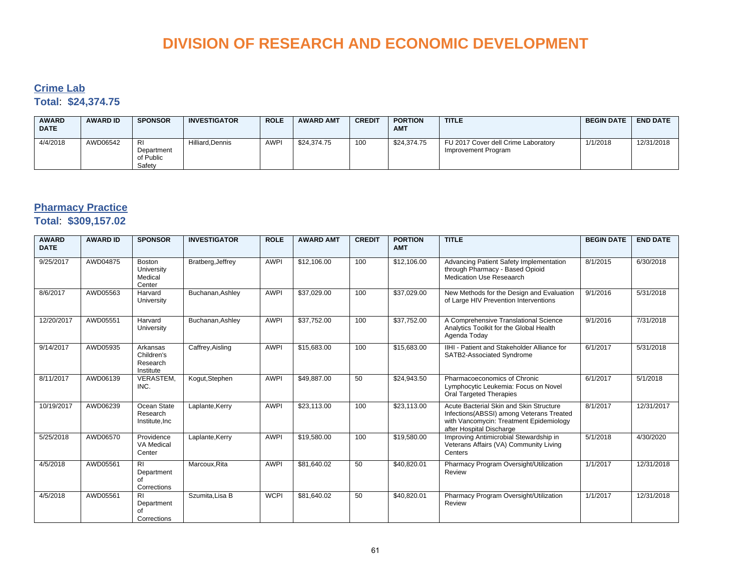#### **Crime Lab Total**: **\$24,374.75**

| <b>AWARD</b><br><b>DATE</b> | <b>AWARD ID</b> | <b>SPONSOR</b>                          | <b>INVESTIGATOR</b> | <b>ROLE</b> | <b>AWARD AMT</b> | <b>CREDIT</b> | <b>PORTION</b><br><b>AMT</b> | <b>TITLE</b>                                               | <b>BEGIN DATE</b> | <b>END DATE</b> |
|-----------------------------|-----------------|-----------------------------------------|---------------------|-------------|------------------|---------------|------------------------------|------------------------------------------------------------|-------------------|-----------------|
| 4/4/2018                    | AWD06542        | RI<br>Department<br>of Public<br>Safety | Hilliard.Dennis     | <b>AWPI</b> | \$24,374.75      | 100           | \$24.374.75                  | FU 2017 Cover dell Crime Laboratory<br>Improvement Program | 1/1/2018          | 12/31/2018      |

#### **Pharmacy Practice**

#### **Total**: **\$309,157.02**

| <b>AWARD</b><br><b>DATE</b> | <b>AWARD ID</b> | <b>SPONSOR</b>                                    | <b>INVESTIGATOR</b> | <b>ROLE</b> | <b>AWARD AMT</b> | <b>CREDIT</b> | <b>PORTION</b><br><b>AMT</b> | <b>TITLE</b>                                                                                                                                               | <b>BEGIN DATE</b> | <b>END DATE</b> |
|-----------------------------|-----------------|---------------------------------------------------|---------------------|-------------|------------------|---------------|------------------------------|------------------------------------------------------------------------------------------------------------------------------------------------------------|-------------------|-----------------|
| 9/25/2017                   | AWD04875        | <b>Boston</b><br>University<br>Medical<br>Center  | Bratberg, Jeffrey   | <b>AWPI</b> | \$12,106.00      | 100           | \$12,106.00                  | Advancing Patient Safety Implementation<br>through Pharmacy - Based Opioid<br><b>Medication Use Reseaarch</b>                                              | 8/1/2015          | 6/30/2018       |
| 8/6/2017                    | AWD05563        | Harvard<br>University                             | Buchanan, Ashley    | <b>AWPI</b> | \$37,029.00      | 100           | \$37,029.00                  | New Methods for the Design and Evaluation<br>of Large HIV Prevention Interventions                                                                         | 9/1/2016          | 5/31/2018       |
| 12/20/2017                  | AWD05551        | Harvard<br>University                             | Buchanan, Ashley    | <b>AWPI</b> | \$37,752.00      | 100           | \$37,752.00                  | A Comprehensive Translational Science<br>Analytics Toolkit for the Global Health<br>Agenda Today                                                           | 9/1/2016          | 7/31/2018       |
| 9/14/2017                   | AWD05935        | Arkansas<br>Children's<br>Research<br>Institute   | Caffrey, Aisling    | <b>AWPI</b> | \$15,683.00      | 100           | \$15,683.00                  | IIHI - Patient and Stakeholder Alliance for<br>SATB2-Associated Syndrome                                                                                   | 6/1/2017          | 5/31/2018       |
| 8/11/2017                   | AWD06139        | VERASTEM,<br>INC.                                 | Kogut, Stephen      | <b>AWPI</b> | \$49,887.00      | 50            | \$24,943.50                  | Pharmacoeconomics of Chronic<br>Lymphocytic Leukemia: Focus on Novel<br>Oral Targeted Therapies                                                            | 6/1/2017          | 5/1/2018        |
| 10/19/2017                  | AWD06239        | Ocean State<br>Research<br>Institute, Inc         | Laplante, Kerry     | <b>AWPI</b> | \$23,113.00      | 100           | \$23,113.00                  | Acute Bacterial Skin and Skin Structure<br>Infections(ABSSI) among Veterans Treated<br>with Vancomycin: Treatment Epidemiology<br>after Hospital Discharge | 8/1/2017          | 12/31/2017      |
| 5/25/2018                   | AWD06570        | Providence<br>VA Medical<br>Center                | Laplante, Kerry     | <b>AWPI</b> | \$19,580.00      | 100           | \$19,580.00                  | Improving Antimicrobial Stewardship in<br>Veterans Affairs (VA) Community Living<br>Centers                                                                | 5/1/2018          | 4/30/2020       |
| 4/5/2018                    | AWD05561        | <b>RI</b><br>Department<br>of<br>Corrections      | Marcoux.Rita        | <b>AWPI</b> | \$81.640.02      | 50            | \$40,820.01                  | Pharmacy Program Oversight/Utilization<br>Review                                                                                                           | 1/1/2017          | 12/31/2018      |
| 4/5/2018                    | AWD05561        | R <sub>1</sub><br>Department<br>of<br>Corrections | Szumita.Lisa B      | <b>WCPI</b> | \$81,640.02      | 50            | \$40,820.01                  | Pharmacy Program Oversight/Utilization<br>Review                                                                                                           | 1/1/2017          | 12/31/2018      |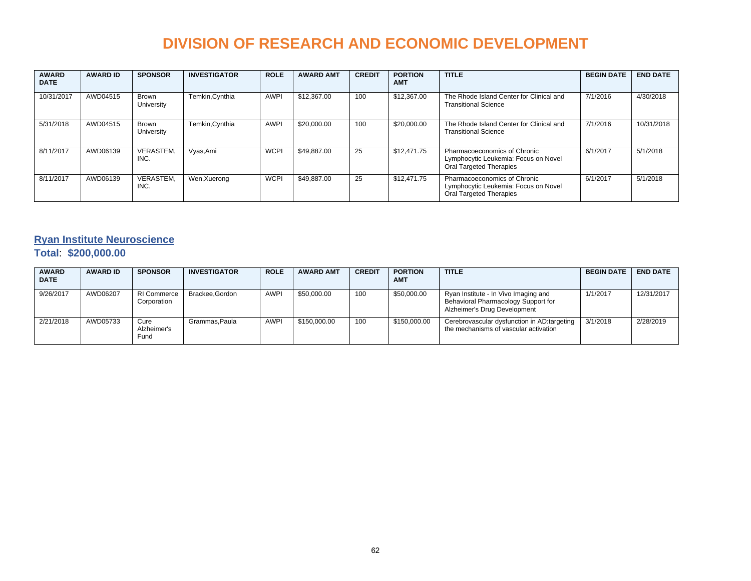| <b>AWARD</b><br><b>DATE</b> | <b>AWARD ID</b> | <b>SPONSOR</b>      | <b>INVESTIGATOR</b> | <b>ROLE</b> | <b>AWARD AMT</b> | <b>CREDIT</b> | <b>PORTION</b><br><b>AMT</b> | <b>TITLE</b>                                                                                           | <b>BEGIN DATE</b> | <b>END DATE</b> |
|-----------------------------|-----------------|---------------------|---------------------|-------------|------------------|---------------|------------------------------|--------------------------------------------------------------------------------------------------------|-------------------|-----------------|
| 10/31/2017                  | AWD04515        | Brown<br>University | Temkin, Cynthia     | <b>AWPI</b> | \$12,367.00      | 100           | \$12,367.00                  | The Rhode Island Center for Clinical and<br><b>Transitional Science</b>                                | 7/1/2016          | 4/30/2018       |
| 5/31/2018                   | AWD04515        | Brown<br>University | Temkin, Cynthia     | <b>AWPI</b> | \$20,000.00      | 100           | \$20,000.00                  | The Rhode Island Center for Clinical and<br><b>Transitional Science</b>                                | 7/1/2016          | 10/31/2018      |
| 8/11/2017                   | AWD06139        | VERASTEM.<br>INC.   | Vyas, Ami           | <b>WCPI</b> | \$49.887.00      | 25            | \$12.471.75                  | Pharmacoeconomics of Chronic<br>Lymphocytic Leukemia: Focus on Novel<br>Oral Targeted Therapies        | 6/1/2017          | 5/1/2018        |
| 8/11/2017                   | AWD06139        | VERASTEM.<br>INC.   | Wen, Xuerong        | <b>WCPI</b> | \$49.887.00      | 25            | \$12,471.75                  | Pharmacoeconomics of Chronic<br>Lymphocytic Leukemia: Focus on Novel<br><b>Oral Targeted Therapies</b> | 6/1/2017          | 5/1/2018        |

#### **Ryan Institute Neuroscience**

#### **Total**: **\$200,000.00**

| <b>AWARD</b><br><b>DATE</b> | <b>AWARD ID</b> | <b>SPONSOR</b>                    | <b>INVESTIGATOR</b> | <b>ROLE</b> | <b>AWARD AMT</b> | <b>CREDIT</b> | <b>PORTION</b><br><b>AMT</b> | <b>TITLE</b>                                                                                                | <b>BEGIN DATE</b> | <b>END DATE</b> |
|-----------------------------|-----------------|-----------------------------------|---------------------|-------------|------------------|---------------|------------------------------|-------------------------------------------------------------------------------------------------------------|-------------------|-----------------|
| 9/26/2017                   | AWD06207        | <b>RI Commerce</b><br>Corporation | Brackee.Gordon      | <b>AWPI</b> | \$50,000.00      | 100           | \$50,000.00                  | Ryan Institute - In Vivo Imaging and<br>Behavioral Pharmacology Support for<br>Alzheimer's Drug Development | 1/1/2017          | 12/31/2017      |
| 2/21/2018                   | AWD05733        | Cure<br>Alzheimer's<br>Fund       | Grammas.Paula       | <b>AWPI</b> | \$150,000.00     | 100           | \$150,000.00                 | Cerebrovascular dysfunction in AD:targeting<br>the mechanisms of vascular activation                        | 3/1/2018          | 2/28/2019       |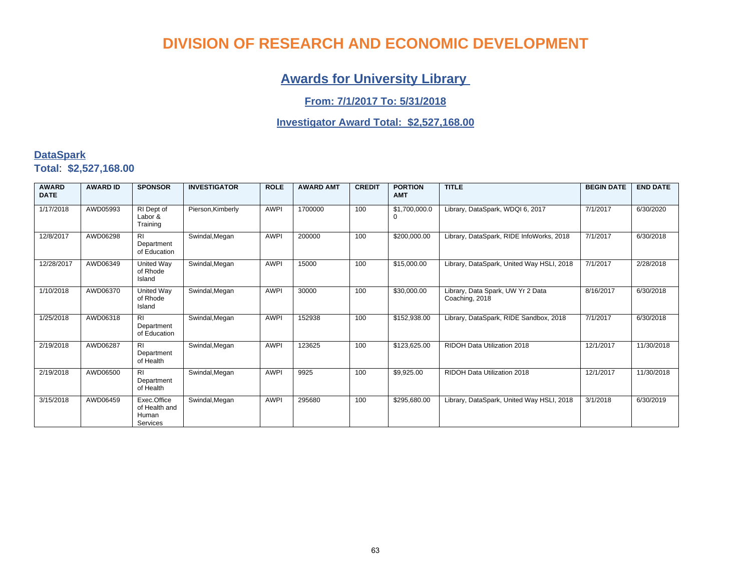### **Awards for University Library**

#### **From: 7/1/2017 To: 5/31/2018**

#### **Investigator Award Total: \$2,527,168.00**

#### **DataSpark Total**: **\$2,527,168.00**

| <b>AWARD</b><br><b>DATE</b> | <b>AWARD ID</b> | <b>SPONSOR</b>                                    | <b>INVESTIGATOR</b> | <b>ROLE</b> | <b>AWARD AMT</b> | <b>CREDIT</b> | <b>PORTION</b><br><b>AMT</b> | <b>TITLE</b>                                        | <b>BEGIN DATE</b> | <b>END DATE</b> |
|-----------------------------|-----------------|---------------------------------------------------|---------------------|-------------|------------------|---------------|------------------------------|-----------------------------------------------------|-------------------|-----------------|
| 1/17/2018                   | AWD05993        | RI Dept of<br>Labor &<br>Training                 | Pierson, Kimberly   | <b>AWPI</b> | 1700000          | 100           | \$1,700,000.0                | Library, DataSpark, WDQI 6, 2017                    | 7/1/2017          | 6/30/2020       |
| 12/8/2017                   | AWD06298        | <b>RI</b><br>Department<br>of Education           | Swindal, Megan      | <b>AWPI</b> | 200000           | 100           | \$200,000.00                 | Library, DataSpark, RIDE InfoWorks, 2018            | 7/1/2017          | 6/30/2018       |
| 12/28/2017                  | AWD06349        | United Way<br>of Rhode<br>Island                  | Swindal, Megan      | <b>AWPI</b> | 15000            | 100           | \$15,000.00                  | Library, DataSpark, United Way HSLI, 2018           | 7/1/2017          | 2/28/2018       |
| 1/10/2018                   | AWD06370        | United Way<br>of Rhode<br>Island                  | Swindal, Megan      | <b>AWPI</b> | 30000            | 100           | \$30,000.00                  | Library, Data Spark, UW Yr 2 Data<br>Coaching, 2018 | 8/16/2017         | 6/30/2018       |
| 1/25/2018                   | AWD06318        | <b>RI</b><br>Department<br>of Education           | Swindal, Megan      | <b>AWPI</b> | 152938           | 100           | \$152,938.00                 | Library, DataSpark, RIDE Sandbox, 2018              | 7/1/2017          | 6/30/2018       |
| 2/19/2018                   | AWD06287        | R1<br>Department<br>of Health                     | Swindal, Megan      | <b>AWPI</b> | 123625           | 100           | \$123,625.00                 | RIDOH Data Utilization 2018                         | 12/1/2017         | 11/30/2018      |
| 2/19/2018                   | AWD06500        | R <sub>l</sub><br>Department<br>of Health         | Swindal, Megan      | <b>AWPI</b> | 9925             | 100           | \$9,925.00                   | RIDOH Data Utilization 2018                         | 12/1/2017         | 11/30/2018      |
| 3/15/2018                   | AWD06459        | Exec.Office<br>of Health and<br>Human<br>Services | Swindal, Megan      | <b>AWPI</b> | 295680           | 100           | \$295.680.00                 | Library, DataSpark, United Way HSLI, 2018           | 3/1/2018          | 6/30/2019       |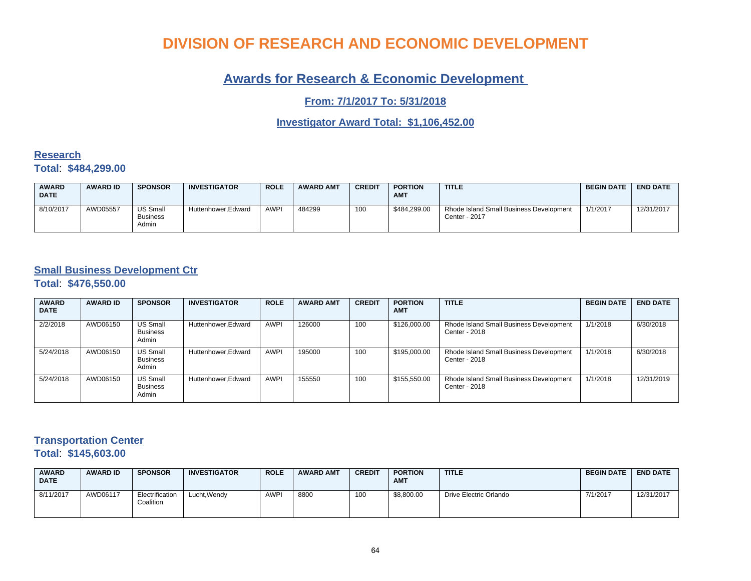#### **Awards for Research & Economic Development**

**From: 7/1/2017 To: 5/31/2018**

**Investigator Award Total: \$1,106,452.00**

#### **Research Total**: **\$484,299.00**

| <b>AWARD</b><br><b>DATE</b> | <b>AWARD ID</b> | <b>SPONSOR</b>                | <b>INVESTIGATOR</b> | <b>ROLE</b> | <b>AWARD AMT</b> | <b>CREDIT</b> | <b>PORTION</b><br><b>AMT</b> | <b>TITLE</b>                                             | <b>BEGIN DATE</b> | <b>END DATE</b> |
|-----------------------------|-----------------|-------------------------------|---------------------|-------------|------------------|---------------|------------------------------|----------------------------------------------------------|-------------------|-----------------|
| 8/10/2017                   | AWD05557        | US Small<br>Business<br>Admin | Huttenhower.Edward  | <b>AWPI</b> | 484299           | 100           | \$484.299.00                 | Rhode Island Small Business Development<br>Center - 2017 | 1/1/2017          | 12/31/2017      |

#### **Small Business Development Ctr**

**Total**: **\$476,550.00**

| <b>AWARD</b><br><b>DATE</b> | <b>AWARD ID</b> | <b>SPONSOR</b>                       | <b>INVESTIGATOR</b> | <b>ROLE</b> | <b>AWARD AMT</b> | <b>CREDIT</b> | <b>PORTION</b><br><b>AMT</b> | <b>TITLE</b>                                             | <b>BEGIN DATE</b> | <b>END DATE</b> |
|-----------------------------|-----------------|--------------------------------------|---------------------|-------------|------------------|---------------|------------------------------|----------------------------------------------------------|-------------------|-----------------|
| 2/2/2018                    | AWD06150        | US Small<br><b>Business</b><br>Admin | Huttenhower.Edward  | AWPI        | 126000           | 100           | \$126,000.00                 | Rhode Island Small Business Development<br>Center - 2018 | 1/1/2018          | 6/30/2018       |
| 5/24/2018                   | AWD06150        | US Small<br><b>Business</b><br>Admin | Huttenhower, Edward | <b>AWPI</b> | 195000           | 100           | \$195,000.00                 | Rhode Island Small Business Development<br>Center - 2018 | 1/1/2018          | 6/30/2018       |
| 5/24/2018                   | AWD06150        | US Small<br><b>Business</b><br>Admin | Huttenhower, Edward | <b>AWPI</b> | 155550           | 100           | \$155,550.00                 | Rhode Island Small Business Development<br>Center - 2018 | 1/1/2018          | 12/31/2019      |

#### **Transportation Center**

**Total**: **\$145,603.00**

| <b>AWARD</b><br><b>DATE</b> | <b>AWARD ID</b> | <b>SPONSOR</b>               | <b>INVESTIGATOR</b> | <b>ROLE</b> | <b>AWARD AMT</b> | <b>CREDIT</b> | <b>PORTION</b><br><b>AMT</b> | <b>TITLE</b>           | <b>BEGIN DATE</b> | <b>END DATE</b> |
|-----------------------------|-----------------|------------------------------|---------------------|-------------|------------------|---------------|------------------------------|------------------------|-------------------|-----------------|
| 8/11/2017                   | AWD06117        | Electrification<br>Coalition | Lucht, Wendy        | <b>AWPI</b> | 8800             | 100           | \$8,800.00                   | Drive Electric Orlando | 7/1/2017          | 12/31/2017      |